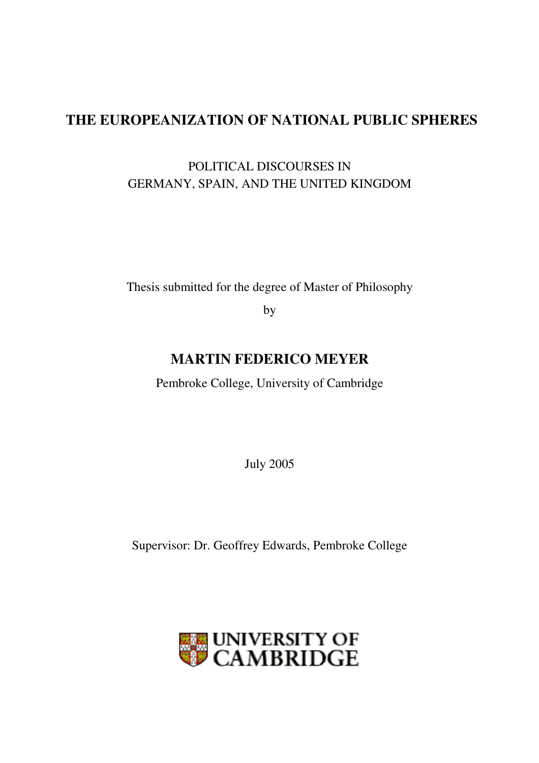# **THE EUROPEANIZATION OF NATIONAL PUBLIC SPHERES**

## POLITICAL DISCOURSES IN GERMANY, SPAIN, AND THE UNITED KINGDOM

Thesis submitted for the degree of Master of Philosophy

by

## **MARTIN FEDERICO MEYER**

Pembroke College, University of Cambridge

July 2005

Supervisor: Dr. Geoffrey Edwards, Pembroke College

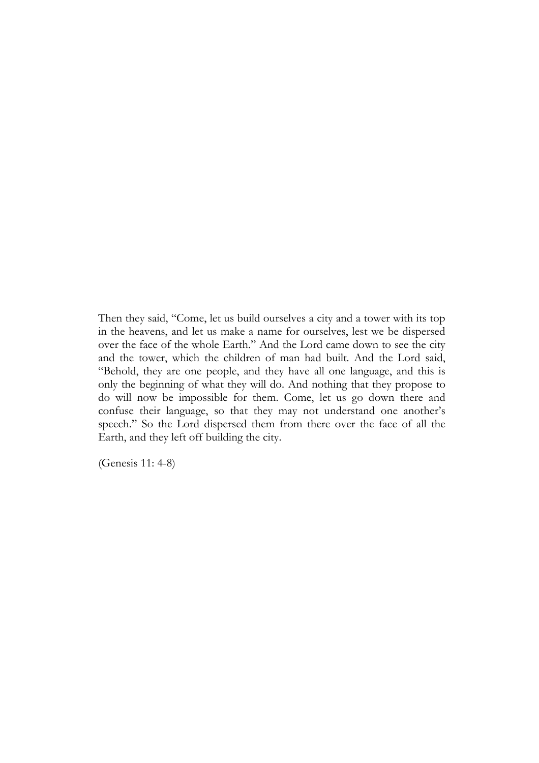Then they said, "Come, let us build ourselves a city and a tower with its top in the heavens, and let us make a name for ourselves, lest we be dispersed over the face of the whole Earth." And the Lord came down to see the city and the tower, which the children of man had built. And the Lord said, "Behold, they are one people, and they have all one language, and this is only the beginning of what they will do. And nothing that they propose to do will now be impossible for them. Come, let us go down there and confuse their language, so that they may not understand one another's speech." So the Lord dispersed them from there over the face of all the Earth, and they left off building the city.

(Genesis 11: 4-8)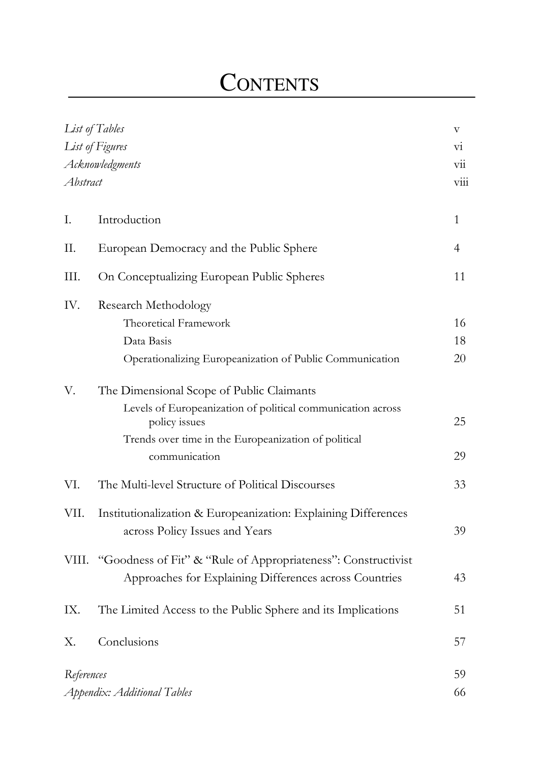# **CONTENTS**

| List of Tables<br>List of Figures<br>Acknowledgments<br>Abstract |                                                                                                                                                                                                    |                |
|------------------------------------------------------------------|----------------------------------------------------------------------------------------------------------------------------------------------------------------------------------------------------|----------------|
| Ι.                                                               | Introduction                                                                                                                                                                                       | $\mathbf{1}$   |
| П.                                                               | European Democracy and the Public Sphere                                                                                                                                                           | $\overline{4}$ |
| III.                                                             | On Conceptualizing European Public Spheres                                                                                                                                                         | 11             |
| IV.                                                              | <b>Research Methodology</b><br><b>Theoretical Framework</b><br>Data Basis<br>Operationalizing Europeanization of Public Communication                                                              | 16<br>18<br>20 |
| V.                                                               | The Dimensional Scope of Public Claimants<br>Levels of Europeanization of political communication across<br>policy issues<br>Trends over time in the Europeanization of political<br>communication | 25<br>29       |
| VI.                                                              | The Multi-level Structure of Political Discourses                                                                                                                                                  | 33             |
| VII.                                                             | Institutionalization & Europeanization: Explaining Differences<br>across Policy Issues and Years                                                                                                   | 39             |
|                                                                  | VIII. "Goodness of Fit" & "Rule of Appropriateness": Constructivist<br>Approaches for Explaining Differences across Countries                                                                      | 43             |
| IX.                                                              | The Limited Access to the Public Sphere and its Implications                                                                                                                                       | 51             |
| Χ.                                                               | Conclusions                                                                                                                                                                                        | 57             |
| References<br>Appendix: Additional Tables                        |                                                                                                                                                                                                    | 59<br>66       |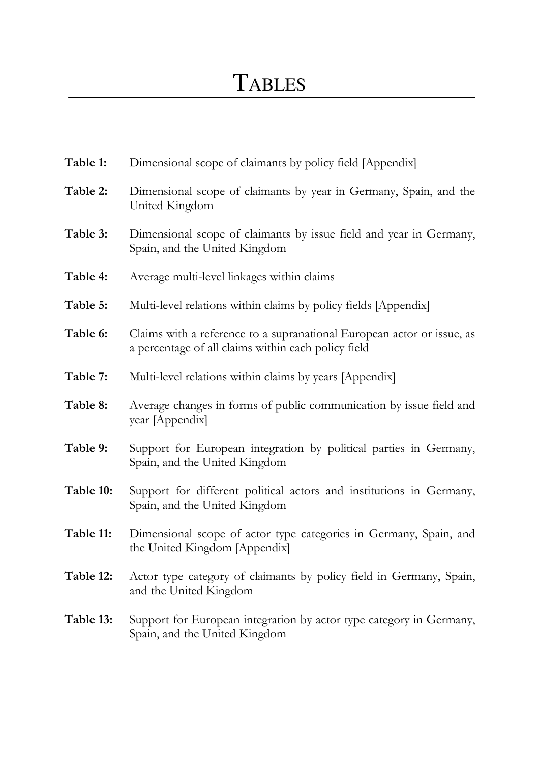| Table 1:  | Dimensional scope of claimants by policy field [Appendix]                                                                     |
|-----------|-------------------------------------------------------------------------------------------------------------------------------|
| Table 2:  | Dimensional scope of claimants by year in Germany, Spain, and the<br>United Kingdom                                           |
| Table 3:  | Dimensional scope of claimants by issue field and year in Germany,<br>Spain, and the United Kingdom                           |
| Table 4:  | Average multi-level linkages within claims                                                                                    |
| Table 5:  | Multi-level relations within claims by policy fields [Appendix]                                                               |
| Table 6:  | Claims with a reference to a supranational European actor or issue, as<br>a percentage of all claims within each policy field |
| Table 7:  | Multi-level relations within claims by years [Appendix]                                                                       |
| Table 8:  | Average changes in forms of public communication by issue field and<br>year [Appendix]                                        |
| Table 9:  | Support for European integration by political parties in Germany,<br>Spain, and the United Kingdom                            |
| Table 10: | Support for different political actors and institutions in Germany,<br>Spain, and the United Kingdom                          |
| Table 11: | Dimensional scope of actor type categories in Germany, Spain, and<br>the United Kingdom [Appendix]                            |
| Table 12: | Actor type category of claimants by policy field in Germany, Spain,<br>and the United Kingdom                                 |
| Table 13: | Support for European integration by actor type category in Germany,<br>Spain, and the United Kingdom                          |
|           |                                                                                                                               |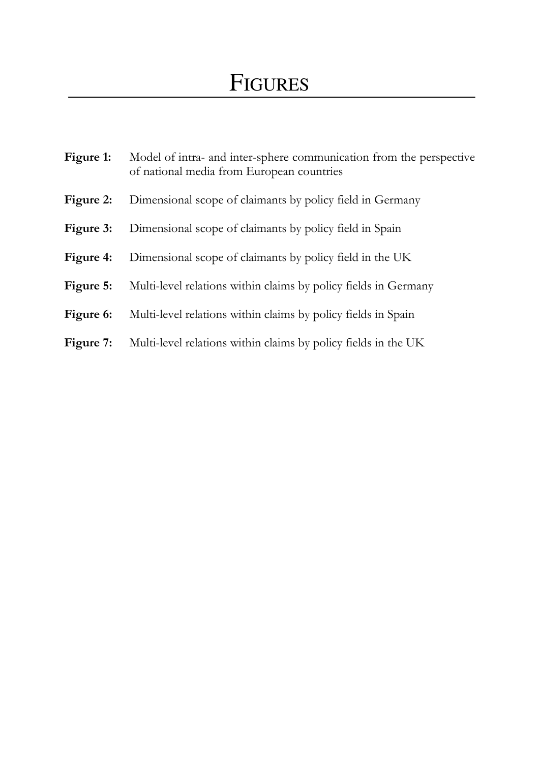| Figure 1: | Model of intra- and inter-sphere communication from the perspective<br>of national media from European countries |  |  |  |  |  |
|-----------|------------------------------------------------------------------------------------------------------------------|--|--|--|--|--|
| Figure 2: | Dimensional scope of claimants by policy field in Germany                                                        |  |  |  |  |  |
| Figure 3: | Dimensional scope of claimants by policy field in Spain                                                          |  |  |  |  |  |
| Figure 4: | Dimensional scope of claimants by policy field in the UK                                                         |  |  |  |  |  |
| Figure 5: | Multi-level relations within claims by policy fields in Germany                                                  |  |  |  |  |  |
| Figure 6: | Multi-level relations within claims by policy fields in Spain                                                    |  |  |  |  |  |
| Figure 7: | Multi-level relations within claims by policy fields in the UK                                                   |  |  |  |  |  |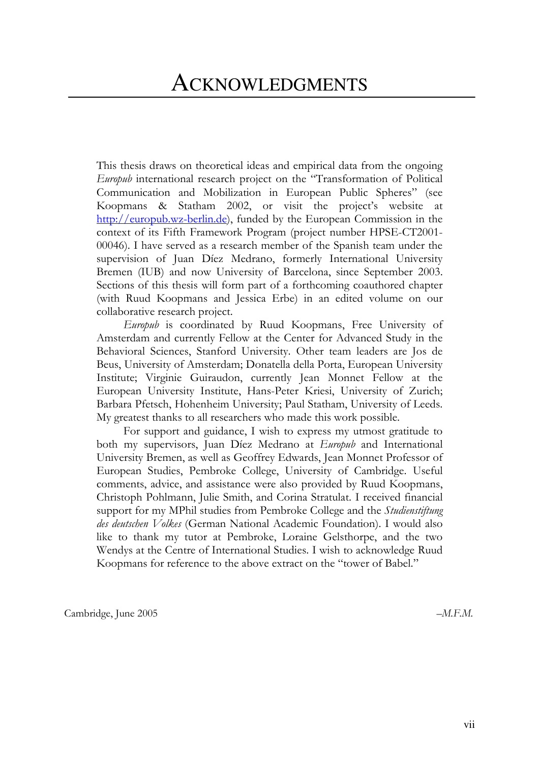This thesis draws on theoretical ideas and empirical data from the ongoing *Europub* international research project on the "Transformation of Political Communication and Mobilization in European Public Spheres" (see Koopmans & Statham 2002, or visit the project's website at http://europub.wz-berlin.de), funded by the European Commission in the context of its Fifth Framework Program (project number HPSE-CT2001-00046). I have served as a research member of the Spanish team under the supervision of Juan Díez Medrano, formerly International University Bremen (IUB) and now University of Barcelona, since September 2003. Sections of this thesis will form part of a forthcoming coauthored chapter (with Ruud Koopmans and Jessica Erbe) in an edited volume on our collaborative research project.

Europub is coordinated by Ruud Koopmans, Free University of Amsterdam and currently Fellow at the Center for Advanced Study in the Behavioral Sciences, Stanford University. Other team leaders are Jos de Beus, University of Amsterdam; Donatella della Porta, European University Institute; Virginie Guiraudon, currently Jean Monnet Fellow at the European University Institute, Hans-Peter Kriesi, University of Zurich; Barbara Pfetsch, Hohenheim University; Paul Statham, University of Leeds. My greatest thanks to all researchers who made this work possible.

For support and guidance, I wish to express my utmost gratitude to both my supervisors, Juan Díez Medrano at Europub and International University Bremen, as well as Geoffrey Edwards, Jean Monnet Professor of European Studies, Pembroke College, University of Cambridge. Useful comments, advice, and assistance were also provided by Ruud Koopmans, Christoph Pohlmann, Julie Smith, and Corina Stratulat. I received financial support for my MPhil studies from Pembroke College and the Studienstiftung des deutschen Volkes (German National Academic Foundation). I would also like to thank my tutor at Pembroke, Loraine Gelsthorpe, and the two Wendys at the Centre of International Studies. I wish to acknowledge Ruud Koopmans for reference to the above extract on the "tower of Babel."

Cambridge, June 2005

 $-M.F.M.$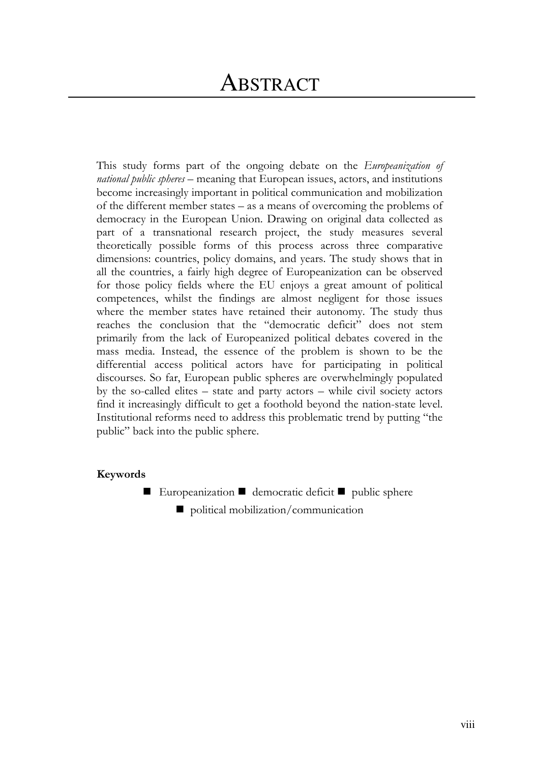This study forms part of the ongoing debate on the *Europeanization of national public spheres* – meaning that European issues, actors, and institutions become increasingly important in political communication and mobilization of the different member states  $-$  as a means of overcoming the problems of democracy in the European Union. Drawing on original data collected as part of a transnational research project, the study measures several theoretically possible forms of this process across three comparative dimensions: countries, policy domains, and years. The study shows that in all the countries, a fairly high degree of Europeanization can be observed for those policy fields where the EU enjoys a great amount of political competences, whilst the findings are almost negligent for those issues where the member states have retained their autonomy. The study thus reaches the conclusion that the "democratic deficit" does not stem primarily from the lack of Europeanized political debates covered in the mass media. Instead, the essence of the problem is shown to be the differential access political actors have for participating in political discourses. So far, European public spheres are overwhelmingly populated by the so-called elites  $-$  state and party actors  $-$  while civil society actors find it increasingly difficult to get a foothold beyond the nation-state level. Institutional reforms need to address this problematic trend by putting "the public" back into the public sphere.

## Keywords

- Europeanization democratic deficit public sphere
	- $\Box$  political mobilization/communication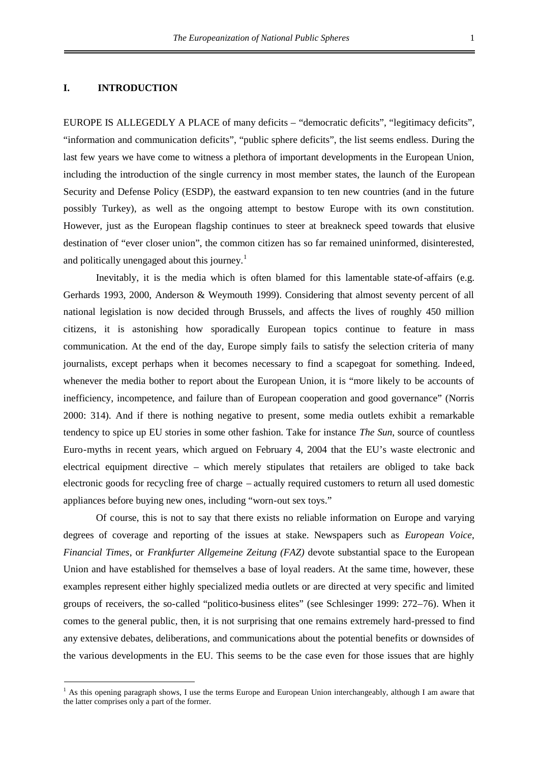### **I. INTRODUCTION**

EUROPE IS ALLEGEDLY A PLACE of many deficits – "democratic deficits", "legitimacy deficits", "information and communication deficits", "public sphere deficits", the list seems endless. During the last few years we have come to witness a plethora of important developments in the European Union, including the introduction of the single currency in most member states, the launch of the European Security and Defense Policy (ESDP), the eastward expansion to ten new countries (and in the future possibly Turkey), as well as the ongoing attempt to bestow Europe with its own constitution. However, just as the European flagship continues to steer at breakneck speed towards that elusive destination of "ever closer union", the common citizen has so far remained uninformed, disinterested, and politically unengaged about this journey.<sup>[1](#page-7-0)</sup>

Inevitably, it is the media which is often blamed for this lamentable state-of-affairs (e.g. Gerhards 1993, 2000, Anderson & Weymouth 1999). Considering that almost seventy percent of all national legislation is now decided through Brussels, and affects the lives of roughly 450 million citizens, it is astonishing how sporadically European topics continue to feature in mass communication. At the end of the day, Europe simply fails to satisfy the selection criteria of many journalists, except perhaps when it becomes necessary to find a scapegoat for something. Indeed, whenever the media bother to report about the European Union, it is "more likely to be accounts of inefficiency, incompetence, and failure than of European cooperation and good governance" (Norris 2000: 314). And if there is nothing negative to present, some media outlets exhibit a remarkable tendency to spice up EU stories in some other fashion. Take for instance *The Sun*, source of countless Euro-myths in recent years, which argued on February 4, 2004 that the EU's waste electronic and electrical equipment directive – which merely stipulates that retailers are obliged to take back electronic goods for recycling free of charge – actually required customers to return all used domestic appliances before buying new ones, including "worn-out sex toys."

Of course, this is not to say that there exists no reliable information on Europe and varying degrees of coverage and reporting of the issues at stake. Newspapers such as *European Voice*, *Financial Times*, or *Frankfurter Allgemeine Zeitung (FAZ)* devote substantial space to the European Union and have established for themselves a base of loyal readers. At the same time, however, these examples represent either highly specialized media outlets or are directed at very specific and limited groups of receivers, the so-called "politico-business elites" (see Schlesinger 1999: 272–76). When it comes to the general public, then, it is not surprising that one remains extremely hard-pressed to find any extensive debates, deliberations, and communications about the potential benefits or downsides of the various developments in the EU. This seems to be the case even for those issues that are highly

<span id="page-7-0"></span><sup>&</sup>lt;sup>1</sup> As this opening paragraph shows, I use the terms Europe and European Union interchangeably, although I am aware that the latter comprises only a part of the former.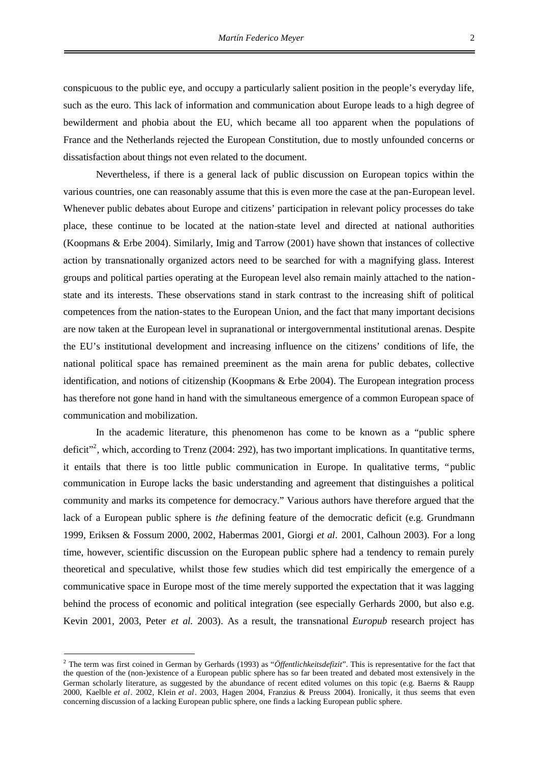conspicuous to the public eye, and occupy a particularly salient position in the people's everyday life, such as the euro. This lack of information and communication about Europe leads to a high degree of bewilderment and phobia about the EU, which became all too apparent when the populations of France and the Netherlands rejected the European Constitution, due to mostly unfounded concerns or dissatisfaction about things not even related to the document.

Nevertheless, if there is a general lack of public discussion on European topics within the various countries, one can reasonably assume that this is even more the case at the pan-European level. Whenever public debates about Europe and citizens' participation in relevant policy processes do take place, these continue to be located at the nation-state level and directed at national authorities (Koopmans & Erbe 2004). Similarly, Imig and Tarrow (2001) have shown that instances of collective action by transnationally organized actors need to be searched for with a magnifying glass. Interest groups and political parties operating at the European level also remain mainly attached to the nationstate and its interests. These observations stand in stark contrast to the increasing shift of political competences from the nation-states to the European Union, and the fact that many important decisions are now taken at the European level in supranational or intergovernmental institutional arenas. Despite the EU's institutional development and increasing influence on the citizens' conditions of life, the national political space has remained preeminent as the main arena for public debates, collective identification, and notions of citizenship (Koopmans & Erbe 2004). The European integration process has therefore not gone hand in hand with the simultaneous emergence of a common European space of communication and mobilization.

In the academic literature, this phenomenon has come to be known as a "public sphere deficit<sup>32</sup>[,](#page-8-0) which, according to Trenz (2004: 292), has two important implications. In quantitative terms, it entails that there is too little public communication in Europe. In qualitative terms, "public communication in Europe lacks the basic understanding and agreement that distinguishes a political community and marks its competence for democracy." Various authors have therefore argued that the lack of a European public sphere is *the* defining feature of the democratic deficit (e.g. Grundmann 1999, Eriksen & Fossum 2000, 2002, Habermas 2001, Giorgi *et al*. 2001, Calhoun 2003). For a long time, however, scientific discussion on the European public sphere had a tendency to remain purely theoretical and speculative, whilst those few studies which did test empirically the emergence of a communicative space in Europe most of the time merely supported the expectation that it was lagging behind the process of economic and political integration (see especially Gerhards 2000, but also e.g. Kevin 2001, 2003, Peter *et al*. 2003). As a result, the transnational *Europub* research project has

<span id="page-8-0"></span><sup>2</sup> The term was first coined in German by Gerhards (1993) as "*Öffentlichkeitsdefizit*". This is representative for the fact that the question of the (non-)existence of a European public sphere has so far been treated and debated most extensively in the German scholarly literature, as suggested by the abundance of recent edited volumes on this topic (e.g. Baerns & Raupp 2000, Kaelble *et al*. 2002, Klein *et al*. 2003, Hagen 2004, Franzius & Preuss 2004). Ironically, it thus seems that even concerning discussion of a lacking European public sphere, one finds a lacking European public sphere.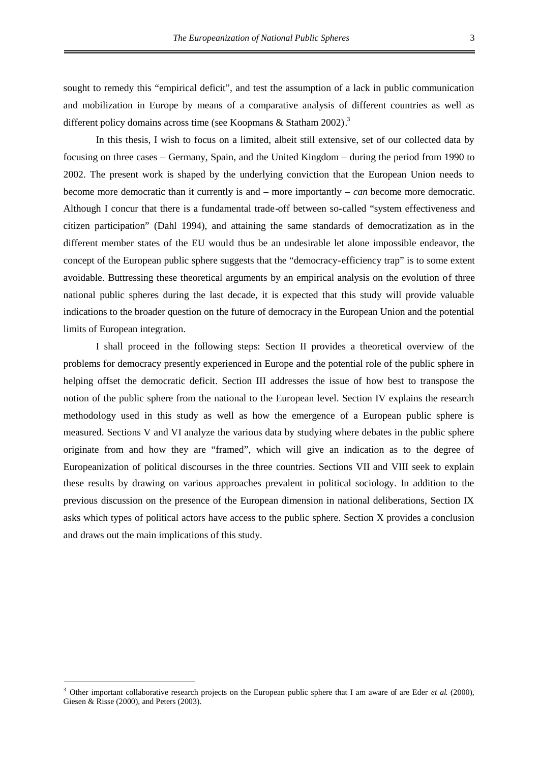sought to remedy this "empirical deficit", and test the assumption of a lack in public communication and mobilization in Europe by means of a comparative analysis of different countries as well as different policy domains across time (see Koopmans & Statham 2002).<sup>[3](#page-9-0)</sup>

In this thesis, I wish to focus on a limited, albeit still extensive, set of our collected data by focusing on three cases – Germany, Spain, and the United Kingdom – during the period from 1990 to 2002. The present work is shaped by the underlying conviction that the European Union needs to become more democratic than it currently is and – more importantly – *can* become more democratic. Although I concur that there is a fundamental trade-off between so-called "system effectiveness and citizen participation" (Dahl 1994), and attaining the same standards of democratization as in the different member states of the EU would thus be an undesirable let alone impossible endeavor, the concept of the European public sphere suggests that the "democracy-efficiency trap" is to some extent avoidable. Buttressing these theoretical arguments by an empirical analysis on the evolution of three national public spheres during the last decade, it is expected that this study will provide valuable indications to the broader question on the future of democracy in the European Union and the potential limits of European integration.

I shall proceed in the following steps: Section II provides a theoretical overview of the problems for democracy presently experienced in Europe and the potential role of the public sphere in helping offset the democratic deficit. Section III addresses the issue of how best to transpose the notion of the public sphere from the national to the European level. Section IV explains the research methodology used in this study as well as how the emergence of a European public sphere is measured. Sections V and VI analyze the various data by studying where debates in the public sphere originate from and how they are "framed", which will give an indication as to the degree of Europeanization of political discourses in the three countries. Sections VII and VIII seek to explain these results by drawing on various approaches prevalent in political sociology. In addition to the previous discussion on the presence of the European dimension in national deliberations, Section IX asks which types of political actors have access to the public sphere. Section X provides a conclusion and draws out the main implications of this study.

<span id="page-9-0"></span><sup>3</sup> Other important collaborative research projects on the European public sphere that I am aware of are Eder *et al*. (2000), Giesen & Risse (2000), and Peters (2003).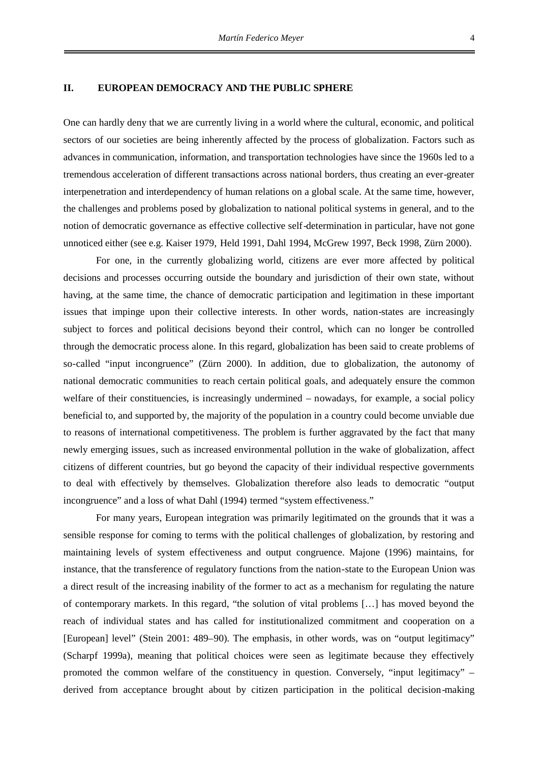#### **II. EUROPEAN DEMOCRACY AND THE PUBLIC SPHERE**

One can hardly deny that we are currently living in a world where the cultural, economic, and political sectors of our societies are being inherently affected by the process of globalization. Factors such as advances in communication, information, and transportation technologies have since the 1960s led to a tremendous acceleration of different transactions across national borders, thus creating an ever-greater interpenetration and interdependency of human relations on a global scale. At the same time, however, the challenges and problems posed by globalization to national political systems in general, and to the notion of democratic governance as effective collective self-determination in particular, have not gone unnoticed either (see e.g. Kaiser 1979, Held 1991, Dahl 1994, McGrew 1997, Beck 1998, Zürn 2000).

For one, in the currently globalizing world, citizens are ever more affected by political decisions and processes occurring outside the boundary and jurisdiction of their own state, without having, at the same time, the chance of democratic participation and legitimation in these important issues that impinge upon their collective interests. In other words, nation-states are increasingly subject to forces and political decisions beyond their control, which can no longer be controlled through the democratic process alone. In this regard, globalization has been said to create problems of so-called "input incongruence" (Zürn 2000). In addition, due to globalization, the autonomy of national democratic communities to reach certain political goals, and adequately ensure the common welfare of their constituencies, is increasingly undermined – nowadays, for example, a social policy beneficial to, and supported by, the majority of the population in a country could become unviable due to reasons of international competitiveness. The problem is further aggravated by the fact that many newly emerging issues, such as increased environmental pollution in the wake of globalization, affect citizens of different countries, but go beyond the capacity of their individual respective governments to deal with effectively by themselves. Globalization therefore also leads to democratic "output incongruence" and a loss of what Dahl (1994) termed "system effectiveness."

For many years, European integration was primarily legitimated on the grounds that it was a sensible response for coming to terms with the political challenges of globalization, by restoring and maintaining levels of system effectiveness and output congruence. Majone (1996) maintains, for instance, that the transference of regulatory functions from the nation-state to the European Union was a direct result of the increasing inability of the former to act as a mechanism for regulating the nature of contemporary markets. In this regard, "the solution of vital problems […] has moved beyond the reach of individual states and has called for institutionalized commitment and cooperation on a [European] level" (Stein 2001: 489–90). The emphasis, in other words, was on "output legitimacy" (Scharpf 1999a), meaning that political choices were seen as legitimate because they effectively promoted the common welfare of the constituency in question. Conversely, "input legitimacy" – derived from acceptance brought about by citizen participation in the political decision-making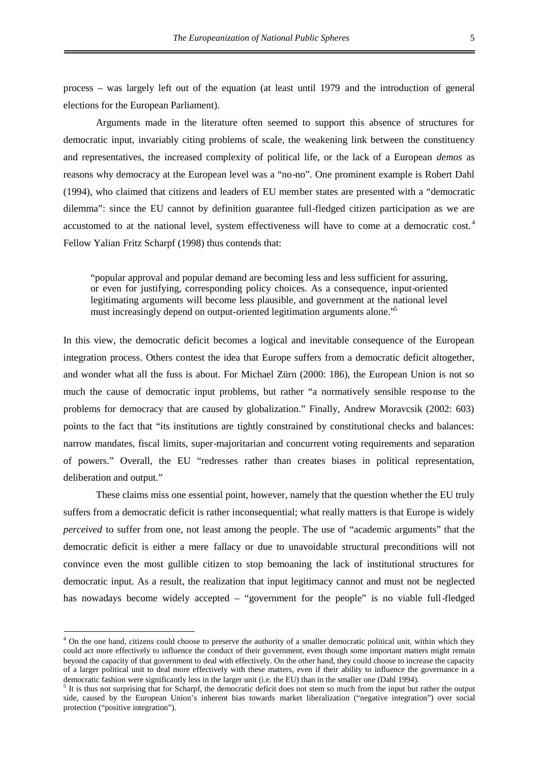process – was largely left out of the equation (at least until 1979 and the introduction of general elections for the European Parliament).

Arguments made in the literature often seemed to support this absence of structures for democratic input, invariably citing problems of scale, the weakening link between the constituency and representatives, the increased complexity of political life, or the lack of a European *demos* as reasons why democracy at the European level was a "no-no". One prominent example is Robert Dahl (1994), who claimed that citizens and leaders of EU member states are presented with a "democratic dilemma": since the EU cannot by definition guarantee full-fledged citizen participation as we are accustomed to at the national level, system effectiveness will have to come at a democraticcost. <sup>4</sup> Fellow Yalian Fritz Scharpf (1998) thus contends that:

"popular approval and popular demand are becoming less and less sufficient for assuring, or even for justifying, corresponding policy choices. As a consequence, input-oriented legitimating arguments will become less plausible, and government at the national level must increasingly depend on output-oriented legitimation arguments alone."[5](#page-11-1)

In this view, the democratic deficit becomes a logical and inevitable consequence of the European integration process. Others contest the idea that Europe suffers from a democratic deficit altogether, and wonder what all the fuss is about. For Michael Zürn (2000: 186), the European Union is not so much the cause of democratic input problems, but rather "a normatively sensible response to the problems for democracy that are caused by globalization." Finally, Andrew Moravcsik (2002: 603) points to the fact that "its institutions are tightly constrained by constitutional checks and balances: narrow mandates, fiscal limits, super-majoritarian and concurrent voting requirements and separation of powers." Overall, the EU "redresses rather than creates biases in political representation, deliberation and output."

These claims miss one essential point, however, namely that the question whether the EU truly suffers from a democratic deficit is rather inconsequential; what really matters is that Europe is widely *perceived* to suffer from one, not least among the people. The use of "academic arguments" that the democratic deficit is either a mere fallacy or due to unavoidable structural preconditions will not convince even the most gullible citizen to stop bemoaning the lack of institutional structures for democratic input. As a result, the realization that input legitimacy cannot and must not be neglected has nowadays become widely accepted – "government for the people" is no viable full-fledged

<span id="page-11-0"></span><sup>&</sup>lt;sup>4</sup> On the one hand, citizens could choose to preserve the authority of a smaller democratic political unit, within which they could act more effectively to influence the conduct of their government, even though some important matters might remain beyond the capacity of that government to deal with effectively. On the other hand, they could choose to increase the capacity of a larger political unit to deal more effectively with these matters, even if their ability to influence the governance in a democratic fashion were significantly less in the larger unit (i.e. the EU) than in the smaller one (Dahl 1994).

<span id="page-11-1"></span><sup>&</sup>lt;sup>5</sup> It is thus not surprising that for Scharpf, the democratic deficit does not stem so much from the input but rather the output side, caused by the European Union's inherent bias towards market liberalization ("negative integration") over social protection ("positive integration").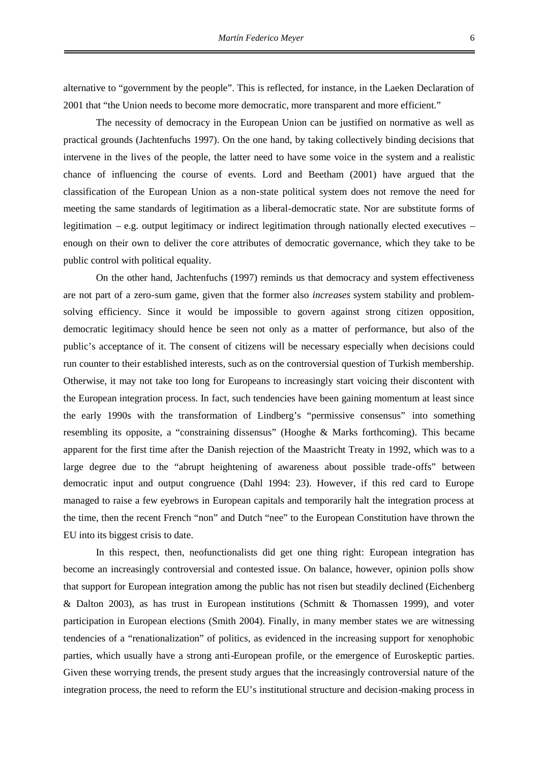alternative to "government by the people". This is reflected, for instance, in the Laeken Declaration of 2001 that "the Union needs to become more democratic, more transparent and more efficient."

The necessity of democracy in the European Union can be justified on normative as well as practical grounds (Jachtenfuchs 1997). On the one hand, by taking collectively binding decisions that intervene in the lives of the people, the latter need to have some voice in the system and a realistic chance of influencing the course of events. Lord and Beetham (2001) have argued that the classification of the European Union as a non-state political system does not remove the need for meeting the same standards of legitimation as a liberal-democratic state. Nor are substitute forms of legitimation – e.g. output legitimacy or indirect legitimation through nationally elected executives – enough on their own to deliver the core attributes of democratic governance, which they take to be public control with political equality.

On the other hand, Jachtenfuchs (1997) reminds us that democracy and system effectiveness are not part of a zero-sum game, given that the former also *increases* system stability and problemsolving efficiency. Since it would be impossible to govern against strong citizen opposition, democratic legitimacy should hence be seen not only as a matter of performance, but also of the public's acceptance of it. The consent of citizens will be necessary especially when decisions could run counter to their established interests, such as on the controversial question of Turkish membership. Otherwise, it may not take too long for Europeans to increasingly start voicing their discontent with the European integration process. In fact, such tendencies have been gaining momentum at least since the early 1990s with the transformation of Lindberg's "permissive consensus" into something resembling its opposite, a "constraining dissensus" (Hooghe & Marks forthcoming). This became apparent for the first time after the Danish rejection of the Maastricht Treaty in 1992, which was to a large degree due to the "abrupt heightening of awareness about possible trade-offs" between democratic input and output congruence (Dahl 1994: 23). However, if this red card to Europe managed to raise a few eyebrows in European capitals and temporarily halt the integration process at the time, then the recent French "non" and Dutch "nee" to the European Constitution have thrown the EU into its biggest crisis to date.

In this respect, then, neofunctionalists did get one thing right: European integration has become an increasingly controversial and contested issue. On balance, however, opinion polls show that support for European integration among the public has not risen but steadily declined (Eichenberg & Dalton 2003), as has trust in European institutions (Schmitt & Thomassen 1999), and voter participation in European elections (Smith 2004). Finally, in many member states we are witnessing tendencies of a "renationalization" of politics, as evidenced in the increasing support for xenophobic parties, which usually have a strong anti-European profile, or the emergence of Euroskeptic parties. Given these worrying trends, the present study argues that the increasingly controversial nature of the integration process, the need to reform the EU's institutional structure and decision-making process in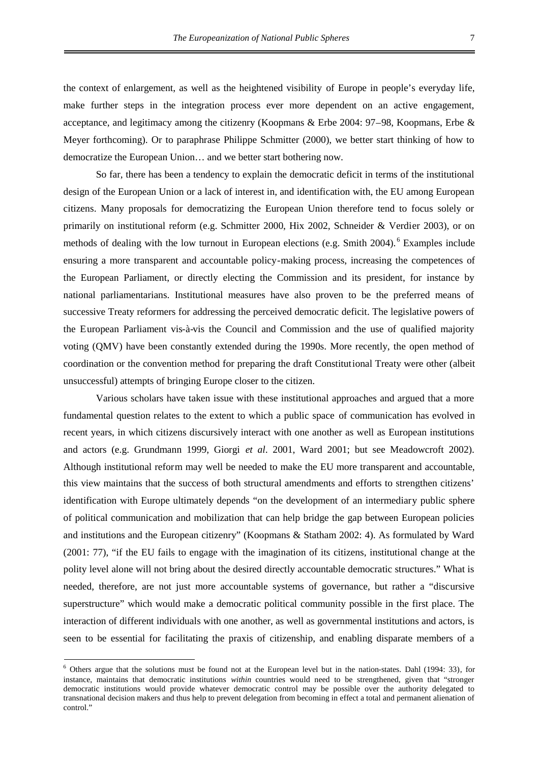the context of enlargement, as well as the heightened visibility of Europe in people's everyday life, make further steps in the integration process ever more dependent on an active engagement, acceptance, and legitimacy among the citizenry (Koopmans & Erbe 2004: 97–98, Koopmans, Erbe & Meyer forthcoming). Or to paraphrase Philippe Schmitter (2000), we better start thinking of how to democratize the European Union… and we better start bothering now.

So far, there has been a tendency to explain the democratic deficit in terms of the institutional design of the European Union or a lack of interest in, and identification with, the EU among European citizens. Many proposals for democratizing the European Union therefore tend to focus solely or primarily on institutional reform (e.g. Schmitter 2000, Hix 2002, Schneider & Verdier 2003), or on methods of dealing with the low turnout in European elections (e.g. Smith 2004). [6](#page-13-0) Examples include ensuring a more transparent and accountable policy-making process, increasing the competences of the European Parliament, or directly electing the Commission and its president, for instance by national parliamentarians. Institutional measures have also proven to be the preferred means of successive Treaty reformers for addressing the perceived democratic deficit. The legislative powers of the European Parliament vis-à-vis the Council and Commission and the use of qualified majority voting (QMV) have been constantly extended during the 1990s. More recently, the open method of coordination or the convention method for preparing the draft Constitutional Treaty were other (albeit unsuccessful) attempts of bringing Europe closer to the citizen.

Various scholars have taken issue with these institutional approaches and argued that a more fundamental question relates to the extent to which a public space of communication has evolved in recent years, in which citizens discursively interact with one another as well as European institutions and actors (e.g. Grundmann 1999, Giorgi *et al*. 2001, Ward 2001; but see Meadowcroft 2002). Although institutional reform may well be needed to make the EU more transparent and accountable, this view maintains that the success of both structural amendments and efforts to strengthen citizens' identification with Europe ultimately depends "on the development of an intermediary public sphere of political communication and mobilization that can help bridge the gap between European policies and institutions and the European citizenry" (Koopmans & Statham 2002: 4). As formulated by Ward (2001: 77), "if the EU fails to engage with the imagination of its citizens, institutional change at the polity level alone will not bring about the desired directly accountable democratic structures." What is needed, therefore, are not just more accountable systems of governance, but rather a "discursive superstructure" which would make a democratic political community possible in the first place. The interaction of different individuals with one another, as well as governmental institutions and actors, is seen to be essential for facilitating the praxis of citizenship, and enabling disparate members of a

<span id="page-13-0"></span> $6$  Others argue that the solutions must be found not at the European level but in the nation-states. Dahl (1994: 33), for instance, maintains that democratic institutions *within* countries would need to be strengthened, given that "stronger democratic institutions would provide whatever democratic control may be possible over the authority delegated to transnational decision makers and thus help to prevent delegation from becoming in effect a total and permanent alienation of control."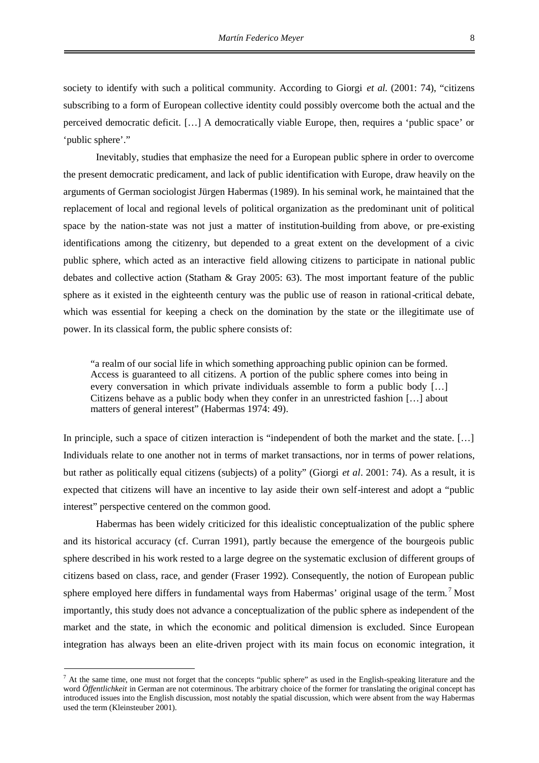society to identify with such a political community. According to Giorgi *et al*. (2001: 74), "citizens subscribing to a form of European collective identity could possibly overcome both the actual and the perceived democratic deficit. […] A democratically viable Europe, then, requires a 'public space' or 'public sphere'."

Inevitably, studies that emphasize the need for a European public sphere in order to overcome the present democratic predicament, and lack of public identification with Europe, draw heavily on the arguments of German sociologist Jürgen Habermas (1989). In his seminal work, he maintained that the replacement of local and regional levels of political organization as the predominant unit of political space by the nation-state was not just a matter of institution-building from above, or pre-existing identifications among the citizenry, but depended to a great extent on the development of a civic public sphere, which acted as an interactive field allowing citizens to participate in national public debates and collective action (Statham & Gray 2005: 63). The most important feature of the public sphere as it existed in the eighteenth century was the public use of reason in rational-critical debate, which was essential for keeping a check on the domination by the state or the illegitimate use of power. In its classical form, the public sphere consists of:

"a realm of our social life in which something approaching public opinion can be formed. Access is guaranteed to all citizens. A portion of the public sphere comes into being in every conversation in which private individuals assemble to form a public body […] Citizens behave as a public body when they confer in an unrestricted fashion […] about matters of general interest" (Habermas 1974: 49).

In principle, such a space of citizen interaction is "independent of both the market and the state. […] Individuals relate to one another not in terms of market transactions, nor in terms of power relations, but rather as politically equal citizens (subjects) of a polity" (Giorgi *et al*. 2001: 74). As a result, it is expected that citizens will have an incentive to lay aside their own self-interest and adopt a "public interest" perspective centered on the common good.

Habermas has been widely criticized for this idealistic conceptualization of the public sphere and its historical accuracy (cf. Curran 1991), partly because the emergence of the bourgeois public sphere described in his work rested to a large degree on the systematic exclusion of different groups of citizens based on class, race, and gender (Fraser 1992). Consequently, the notion of European public sphereemployed here differs in fundamental ways from Habermas' original usage of the term.<sup>7</sup> Most importantly, this study does not advance a conceptualization of the public sphere as independent of the market and the state, in which the economic and political dimension is excluded. Since European integration has always been an elite-driven project with its main focus on economic integration, it

<span id="page-14-0"></span> $<sup>7</sup>$  At the same time, one must not forget that the concepts "public sphere" as used in the English-speaking literature and the</sup> word *Öffentlichkeit* in German are not coterminous. The arbitrary choice of the former for translating the original concept has introduced issues into the English discussion, most notably the spatial discussion, which were absent from the way Habermas used the term (Kleinsteuber 2001).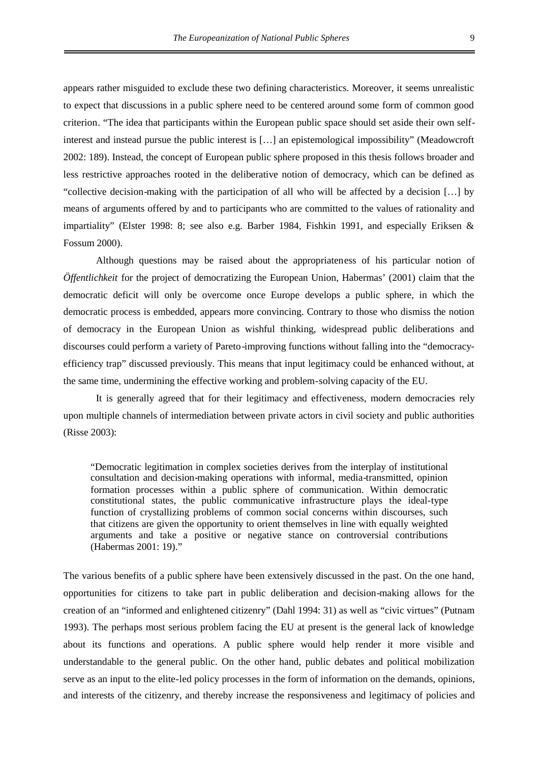appears rather misguided to exclude these two defining characteristics. Moreover, it seems unrealistic to expect that discussions in a public sphere need to be centered around some form of common good criterion. "The idea that participants within the European public space should set aside their own selfinterest and instead pursue the public interest is […] an epistemological impossibility" (Meadowcroft 2002: 189). Instead, the concept of European public sphere proposed in this thesis follows broader and less restrictive approaches rooted in the deliberative notion of democracy, which can be defined as "collective decision-making with the participation of all who will be affected by a decision […] by means of arguments offered by and to participants who are committed to the values of rationality and impartiality" (Elster 1998: 8; see also e.g. Barber 1984, Fishkin 1991, and especially Eriksen & Fossum 2000).

Although questions may be raised about the appropriateness of his particular notion of *Öffentlichkeit* for the project of democratizing the European Union, Habermas' (2001) claim that the democratic deficit will only be overcome once Europe develops a public sphere, in which the democratic process is embedded, appears more convincing. Contrary to those who dismiss the notion of democracy in the European Union as wishful thinking, widespread public deliberations and discourses could perform a variety of Pareto-improving functions without falling into the "democracyefficiency trap" discussed previously. This means that input legitimacy could be enhanced without, at the same time, undermining the effective working and problem-solving capacity of the EU.

It is generally agreed that for their legitimacy and effectiveness, modern democracies rely upon multiple channels of intermediation between private actors in civil society and public authorities (Risse 2003):

"Democratic legitimation in complex societies derives from the interplay of institutional consultation and decision-making operations with informal, media-transmitted, opinion formation processes within a public sphere of communication. Within democratic constitutional states, the public communicative infrastructure plays the ideal-type function of crystallizing problems of common social concerns within discourses, such that citizens are given the opportunity to orient themselves in line with equally weighted arguments and take a positive or negative stance on controversial contributions (Habermas 2001: 19)."

The various benefits of a public sphere have been extensively discussed in the past. On the one hand, opportunities for citizens to take part in public deliberation and decision-making allows for the creation of an "informed and enlightened citizenry" (Dahl 1994: 31) as well as "civic virtues" (Putnam 1993). The perhaps most serious problem facing the EU at present is the general lack of knowledge about its functions and operations. A public sphere would help render it more visible and understandable to the general public. On the other hand, public debates and political mobilization serve as an input to the elite-led policy processes in the form of information on the demands, opinions, and interests of the citizenry, and thereby increase the responsiveness and legitimacy of policies and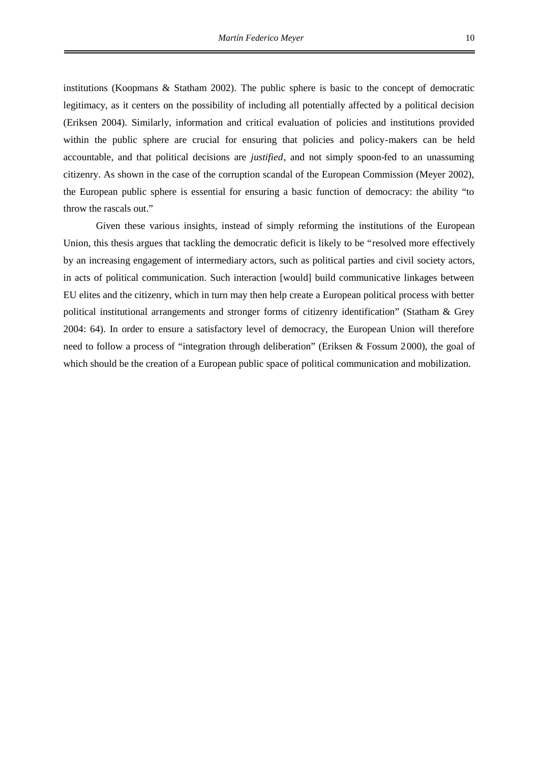institutions (Koopmans & Statham 2002). The public sphere is basic to the concept of democratic legitimacy, as it centers on the possibility of including all potentially affected by a political decision (Eriksen 2004). Similarly, information and critical evaluation of policies and institutions provided within the public sphere are crucial for ensuring that policies and policy-makers can be held accountable, and that political decisions are *justified*, and not simply spoon-fed to an unassuming citizenry. As shown in the case of the corruption scandal of the European Commission (Meyer 2002), the European public sphere is essential for ensuring a basic function of democracy: the ability "to throw the rascals out."

Given these various insights, instead of simply reforming the institutions of the European Union, this thesis argues that tackling the democratic deficit is likely to be "resolved more effectively by an increasing engagement of intermediary actors, such as political parties and civil society actors, in acts of political communication. Such interaction [would] build communicative linkages between EU elites and the citizenry, which in turn may then help create a European political process with better political institutional arrangements and stronger forms of citizenry identification" (Statham & Grey 2004: 64). In order to ensure a satisfactory level of democracy, the European Union will therefore need to follow a process of "integration through deliberation" (Eriksen & Fossum 2000), the goal of which should be the creation of a European public space of political communication and mobilization.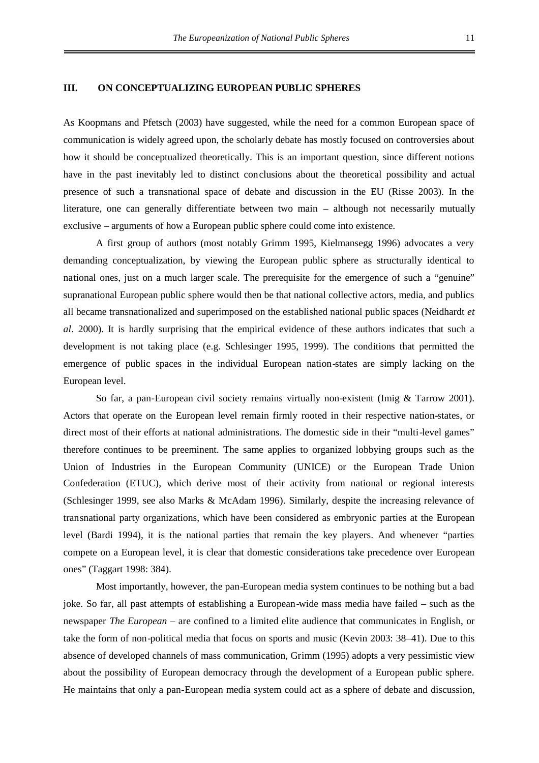#### **III. ON CONCEPTUALIZING EUROPEAN PUBLIC SPHERES**

As Koopmans and Pfetsch (2003) have suggested, while the need for a common European space of communication is widely agreed upon, the scholarly debate has mostly focused on controversies about how it should be conceptualized theoretically. This is an important question, since different notions have in the past inevitably led to distinct conclusions about the theoretical possibility and actual presence of such a transnational space of debate and discussion in the EU (Risse 2003). In the literature, one can generally differentiate between two main – although not necessarily mutually exclusive – arguments of how a European public sphere could come into existence.

A first group of authors (most notably Grimm 1995, Kielmansegg 1996) advocates a very demanding conceptualization, by viewing the European public sphere as structurally identical to national ones, just on a much larger scale. The prerequisite for the emergence of such a "genuine" supranational European public sphere would then be that national collective actors, media, and publics all became transnationalized and superimposed on the established national public spaces (Neidhardt *et al*. 2000). It is hardly surprising that the empirical evidence of these authors indicates that such a development is not taking place (e.g. Schlesinger 1995, 1999). The conditions that permitted the emergence of public spaces in the individual European nation-states are simply lacking on the European level.

So far, a pan-European civil society remains virtually non-existent (Imig & Tarrow 2001). Actors that operate on the European level remain firmly rooted in their respective nation-states, or direct most of their efforts at national administrations. The domestic side in their "multi-level games" therefore continues to be preeminent. The same applies to organized lobbying groups such as the Union of Industries in the European Community (UNICE) or the European Trade Union Confederation (ETUC), which derive most of their activity from national or regional interests (Schlesinger 1999, see also Marks & McAdam 1996). Similarly, despite the increasing relevance of transnational party organizations, which have been considered as embryonic parties at the European level (Bardi 1994), it is the national parties that remain the key players. And whenever "parties compete on a European level, it is clear that domestic considerations take precedence over European ones" (Taggart 1998: 384).

Most importantly, however, the pan-European media system continues to be nothing but a bad joke. So far, all past attempts of establishing a European-wide mass media have failed – such as the newspaper *The European* – are confined to a limited elite audience that communicates in English, or take the form of non-political media that focus on sports and music (Kevin 2003: 38–41). Due to this absence of developed channels of mass communication, Grimm (1995) adopts a very pessimistic view about the possibility of European democracy through the development of a European public sphere. He maintains that only a pan-European media system could act as a sphere of debate and discussion,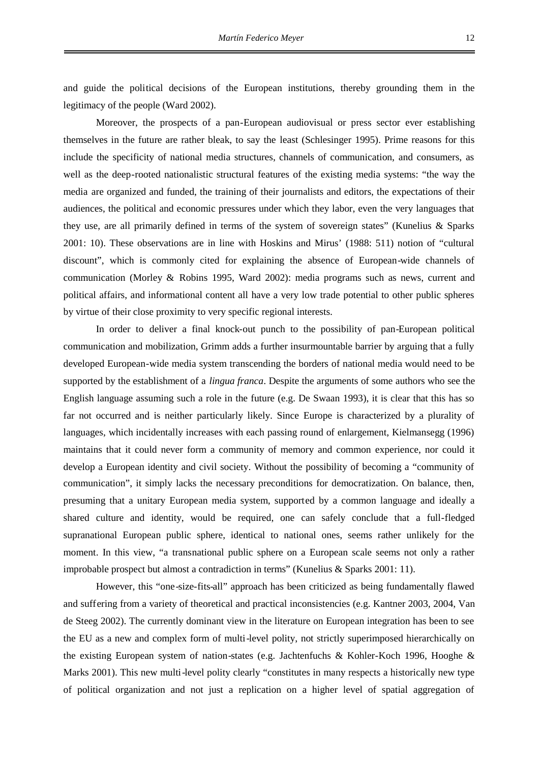and guide the political decisions of the European institutions, thereby grounding them in the legitimacy of the people (Ward 2002).

Moreover, the prospects of a pan-European audiovisual or press sector ever establishing themselves in the future are rather bleak, to say the least (Schlesinger 1995). Prime reasons for this include the specificity of national media structures, channels of communication, and consumers, as well as the deep-rooted nationalistic structural features of the existing media systems: "the way the media are organized and funded, the training of their journalists and editors, the expectations of their audiences, the political and economic pressures under which they labor, even the very languages that they use, are all primarily defined in terms of the system of sovereign states" (Kunelius & Sparks 2001: 10). These observations are in line with Hoskins and Mirus' (1988: 511) notion of "cultural discount", which is commonly cited for explaining the absence of European-wide channels of communication (Morley & Robins 1995, Ward 2002): media programs such as news, current and political affairs, and informational content all have a very low trade potential to other public spheres by virtue of their close proximity to very specific regional interests.

In order to deliver a final knock-out punch to the possibility of pan-European political communication and mobilization, Grimm adds a further insurmountable barrier by arguing that a fully developed European-wide media system transcending the borders of national media would need to be supported by the establishment of a *lingua franca*. Despite the arguments of some authors who see the English language assuming such a role in the future (e.g. De Swaan 1993), it is clear that this has so far not occurred and is neither particularly likely. Since Europe is characterized by a plurality of languages, which incidentally increases with each passing round of enlargement, Kielmansegg (1996) maintains that it could never form a community of memory and common experience, nor could it develop a European identity and civil society. Without the possibility of becoming a "community of communication", it simply lacks the necessary preconditions for democratization. On balance, then, presuming that a unitary European media system, supported by a common language and ideally a shared culture and identity, would be required, one can safely conclude that a full-fledged supranational European public sphere, identical to national ones, seems rather unlikely for the moment. In this view, "a transnational public sphere on a European scale seems not only a rather improbable prospect but almost a contradiction in terms" (Kunelius & Sparks 2001: 11).

However, this "one-size-fits-all" approach has been criticized as being fundamentally flawed and suffering from a variety of theoretical and practical inconsistencies (e.g. Kantner 2003, 2004, Van de Steeg 2002). The currently dominant view in the literature on European integration has been to see the EU as a new and complex form of multi-level polity, not strictly superimposed hierarchically on the existing European system of nation-states (e.g. Jachtenfuchs & Kohler-Koch 1996, Hooghe & Marks 2001). This new multi-level polity clearly "constitutes in many respects a historically new type of political organization and not just a replication on a higher level of spatial aggregation of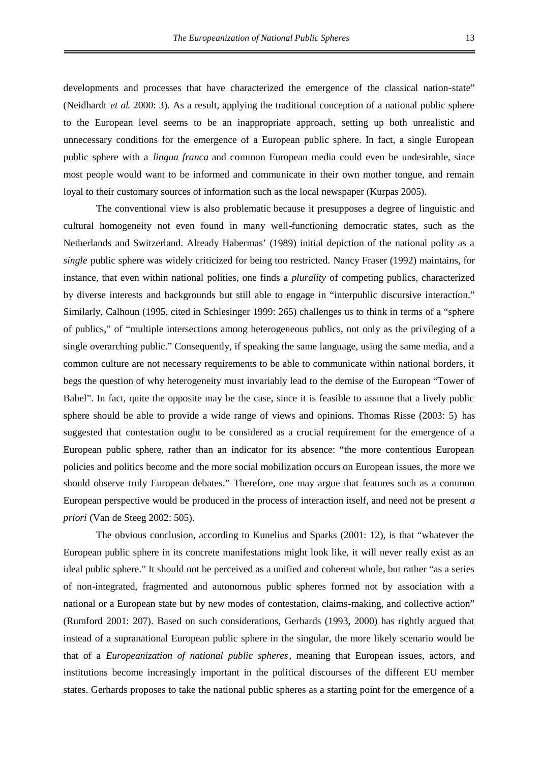developments and processes that have characterized the emergence of the classical nation-state" (Neidhardt *et al*. 2000: 3). As a result, applying the traditional conception of a national public sphere to the European level seems to be an inappropriate approach, setting up both unrealistic and unnecessary conditions for the emergence of a European public sphere. In fact, a single European public sphere with a *lingua franca* and common European media could even be undesirable, since most people would want to be informed and communicate in their own mother tongue, and remain loyal to their customary sources of information such as the local newspaper (Kurpas 2005).

The conventional view is also problematic because it presupposes a degree of linguistic and cultural homogeneity not even found in many well-functioning democratic states, such as the Netherlands and Switzerland. Already Habermas' (1989) initial depiction of the national polity as a *single* public sphere was widely criticized for being too restricted. Nancy Fraser (1992) maintains, for instance, that even within national polities, one finds a *plurality* of competing publics, characterized by diverse interests and backgrounds but still able to engage in "interpublic discursive interaction." Similarly, Calhoun (1995, cited in Schlesinger 1999: 265) challenges us to think in terms of a "sphere of publics," of "multiple intersections among heterogeneous publics, not only as the privileging of a single overarching public." Consequently, if speaking the same language, using the same media, and a common culture are not necessary requirements to be able to communicate within national borders, it begs the question of why heterogeneity must invariably lead to the demise of the European "Tower of Babel". In fact, quite the opposite may be the case, since it is feasible to assume that a lively public sphere should be able to provide a wide range of views and opinions. Thomas Risse (2003: 5) has suggested that contestation ought to be considered as a crucial requirement for the emergence of a European public sphere, rather than an indicator for its absence: "the more contentious European policies and politics become and the more social mobilization occurs on European issues, the more we should observe truly European debates." Therefore, one may argue that features such as a common European perspective would be produced in the process of interaction itself, and need not be present *a priori* (Van de Steeg 2002: 505).

The obvious conclusion, according to Kunelius and Sparks (2001: 12), is that "whatever the European public sphere in its concrete manifestations might look like, it will never really exist as an ideal public sphere." It should not be perceived as a unified and coherent whole, but rather "as a series of non-integrated, fragmented and autonomous public spheres formed not by association with a national or a European state but by new modes of contestation, claims-making, and collective action" (Rumford 2001: 207). Based on such considerations, Gerhards (1993, 2000) has rightly argued that instead of a supranational European public sphere in the singular, the more likely scenario would be that of a *Europeanization of national public spheres*, meaning that European issues, actors, and institutions become increasingly important in the political discourses of the different EU member states. Gerhards proposes to take the national public spheres as a starting point for the emergence of a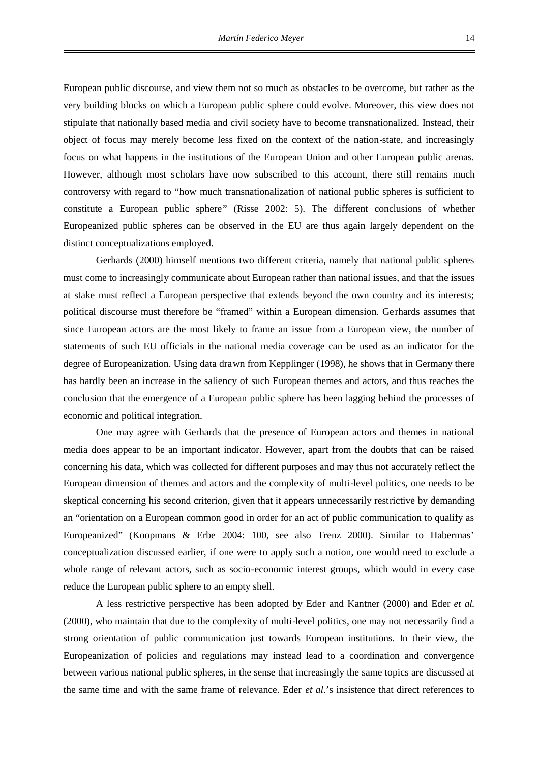European public discourse, and view them not so much as obstacles to be overcome, but rather as the very building blocks on which a European public sphere could evolve. Moreover, this view does not stipulate that nationally based media and civil society have to become transnationalized. Instead, their object of focus may merely become less fixed on the context of the nation-state, and increasingly focus on what happens in the institutions of the European Union and other European public arenas. However, although most scholars have now subscribed to this account, there still remains much controversy with regard to "how much transnationalization of national public spheres is sufficient to constitute a European public sphere" (Risse 2002: 5). The different conclusions of whether Europeanized public spheres can be observed in the EU are thus again largely dependent on the

Gerhards (2000) himself mentions two different criteria, namely that national public spheres must come to increasingly communicate about European rather than national issues, and that the issues at stake must reflect a European perspective that extends beyond the own country and its interests; political discourse must therefore be "framed" within a European dimension. Gerhards assumes that since European actors are the most likely to frame an issue from a European view, the number of statements of such EU officials in the national media coverage can be used as an indicator for the degree of Europeanization. Using data drawn from Kepplinger (1998), he shows that in Germany there has hardly been an increase in the saliency of such European themes and actors, and thus reaches the conclusion that the emergence of a European public sphere has been lagging behind the processes of economic and political integration.

distinct conceptualizations employed.

One may agree with Gerhards that the presence of European actors and themes in national media does appear to be an important indicator. However, apart from the doubts that can be raised concerning his data, which was collected for different purposes and may thus not accurately reflect the European dimension of themes and actors and the complexity of multi-level politics, one needs to be skeptical concerning his second criterion, given that it appears unnecessarily restrictive by demanding an "orientation on a European common good in order for an act of public communication to qualify as Europeanized" (Koopmans & Erbe 2004: 100, see also Trenz 2000). Similar to Habermas' conceptualization discussed earlier, if one were to apply such a notion, one would need to exclude a whole range of relevant actors, such as socio-economic interest groups, which would in every case reduce the European public sphere to an empty shell.

A less restrictive perspective has been adopted by Eder and Kantner (2000) and Eder *et al*. (2000), who maintain that due to the complexity of multi-level politics, one may not necessarily find a strong orientation of public communication just towards European institutions. In their view, the Europeanization of policies and regulations may instead lead to a coordination and convergence between various national public spheres, in the sense that increasingly the same topics are discussed at the same time and with the same frame of relevance. Eder *et al*.'s insistence that direct references to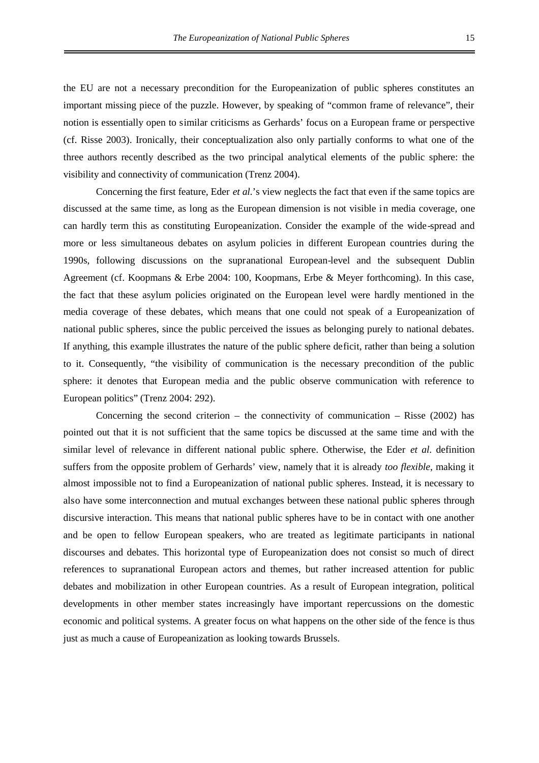the EU are not a necessary precondition for the Europeanization of public spheres constitutes an important missing piece of the puzzle. However, by speaking of "common frame of relevance", their notion is essentially open to similar criticisms as Gerhards' focus on a European frame or perspective (cf. Risse 2003). Ironically, their conceptualization also only partially conforms to what one of the three authors recently described as the two principal analytical elements of the public sphere: the visibility and connectivity of communication (Trenz 2004).

Concerning the first feature, Eder *et al*.'s view neglects the fact that even if the same topics are discussed at the same time, as long as the European dimension is not visible in media coverage, one can hardly term this as constituting Europeanization. Consider the example of the wide-spread and more or less simultaneous debates on asylum policies in different European countries during the 1990s, following discussions on the supranational European-level and the subsequent Dublin Agreement (cf. Koopmans & Erbe 2004: 100, Koopmans, Erbe & Meyer forthcoming). In this case, the fact that these asylum policies originated on the European level were hardly mentioned in the media coverage of these debates, which means that one could not speak of a Europeanization of national public spheres, since the public perceived the issues as belonging purely to national debates. If anything, this example illustrates the nature of the public sphere deficit, rather than being a solution to it. Consequently, "the visibility of communication is the necessary precondition of the public sphere: it denotes that European media and the public observe communication with reference to European politics" (Trenz 2004: 292).

Concerning the second criterion – the connectivity of communication – Risse  $(2002)$  has pointed out that it is not sufficient that the same topics be discussed at the same time and with the similar level of relevance in different national public sphere. Otherwise, the Eder *et al*. definition suffers from the opposite problem of Gerhards' view, namely that it is already *too flexible*, making it almost impossible not to find a Europeanization of national public spheres. Instead, it is necessary to also have some interconnection and mutual exchanges between these national public spheres through discursive interaction. This means that national public spheres have to be in contact with one another and be open to fellow European speakers, who are treated as legitimate participants in national discourses and debates. This horizontal type of Europeanization does not consist so much of direct references to supranational European actors and themes, but rather increased attention for public debates and mobilization in other European countries. As a result of European integration, political developments in other member states increasingly have important repercussions on the domestic economic and political systems. A greater focus on what happens on the other side of the fence is thus just as much a cause of Europeanization as looking towards Brussels.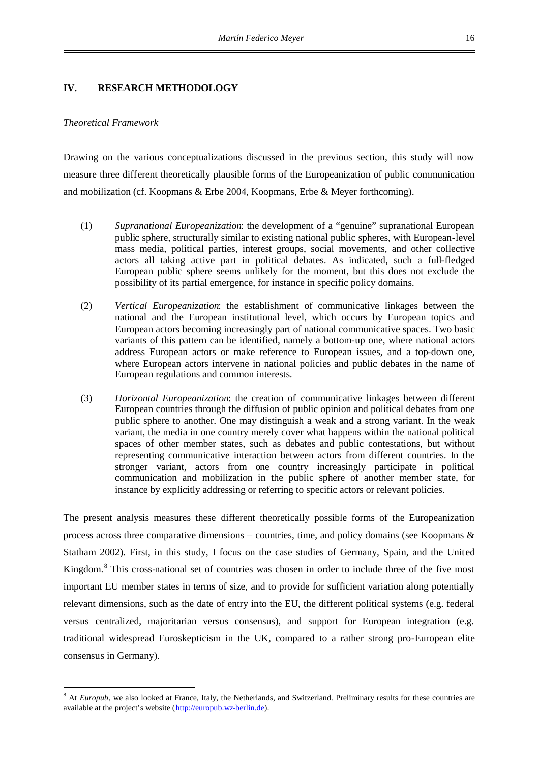#### **IV. RESEARCH METHODOLOGY**

#### *Theoretical Framework*

Drawing on the various conceptualizations discussed in the previous section, this study will now measure three different theoretically plausible forms of the Europeanization of public communication and mobilization (cf. Koopmans & Erbe 2004, Koopmans, Erbe & Meyer forthcoming).

- (1) *Supranational Europeanization*: the development of a "genuine" supranational European public sphere, structurally similar to existing national public spheres, with European-level mass media, political parties, interest groups, social movements, and other collective actors all taking active part in political debates. As indicated, such a full-fledged European public sphere seems unlikely for the moment, but this does not exclude the possibility of its partial emergence, for instance in specific policy domains.
- (2) *Vertical Europeanization*: the establishment of communicative linkages between the national and the European institutional level, which occurs by European topics and European actors becoming increasingly part of national communicative spaces. Two basic variants of this pattern can be identified, namely a bottom-up one, where national actors address European actors or make reference to European issues, and a top-down one, where European actors intervene in national policies and public debates in the name of European regulations and common interests.
- (3) *Horizontal Europeanization*: the creation of communicative linkages between different European countries through the diffusion of public opinion and political debates from one public sphere to another. One may distinguish a weak and a strong variant. In the weak variant, the media in one country merely cover what happens within the national political spaces of other member states, such as debates and public contestations, but without representing communicative interaction between actors from different countries. In the stronger variant, actors from one country increasingly participate in political communication and mobilization in the public sphere of another member state, for instance by explicitly addressing or referring to specific actors or relevant policies.

The present analysis measures these different theoretically possible forms of the Europeanization process across three comparative dimensions – countries, time, and policy domains (see Koopmans  $\&$ Statham 2002). First, in this study, I focus on the case studies of Germany, Spain, and the United Kingdom.<sup>[8](#page-22-0)</sup> This cross-national set of countries was chosen in order to include three of the five most important EU member states in terms of size, and to provide for sufficient variation along potentially relevant dimensions, such as the date of entry into the EU, the different political systems (e.g. federal versus centralized, majoritarian versus consensus), and support for European integration (e.g. traditional widespread Euroskepticism in the UK, compared to a rather strong pro-European elite consensus in Germany).

<span id="page-22-0"></span><sup>&</sup>lt;sup>8</sup> At *Europub*, we also looked at France, Italy, the Netherlands, and Switzerland. Preliminary results for these countries are available at the project's website (http://europub.wz-berlin.de).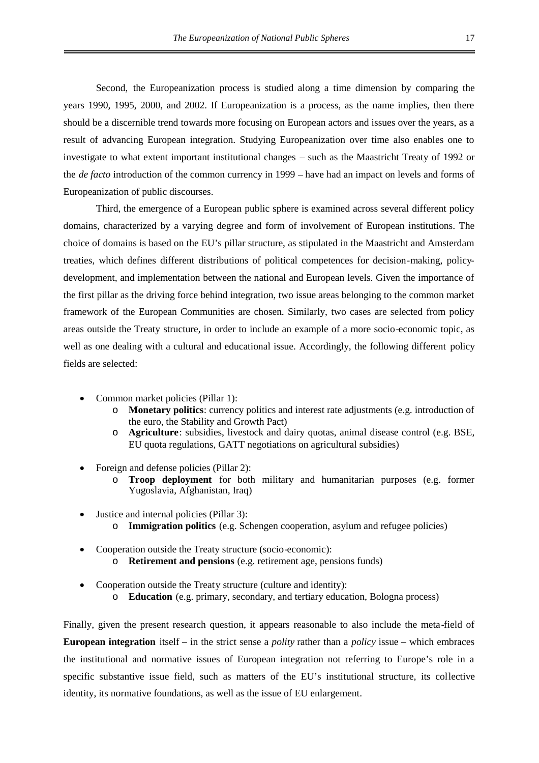Second, the Europeanization process is studied along a time dimension by comparing the years 1990, 1995, 2000, and 2002. If Europeanization is a process, as the name implies, then there should be a discernible trend towards more focusing on European actors and issues over the years, as a result of advancing European integration. Studying Europeanization over time also enables one to investigate to what extent important institutional changes – such as the Maastricht Treaty of 1992 or the *de facto* introduction of the common currency in 1999 – have had an impact on levels and forms of Europeanization of public discourses.

Third, the emergence of a European public sphere is examined across several different policy domains, characterized by a varying degree and form of involvement of European institutions. The choice of domains is based on the EU's pillar structure, as stipulated in the Maastricht and Amsterdam treaties, which defines different distributions of political competences for decision-making, policydevelopment, and implementation between the national and European levels. Given the importance of the first pillar as the driving force behind integration, two issue areas belonging to the common market framework of the European Communities are chosen. Similarly, two cases are selected from policy areas outside the Treaty structure, in order to include an example of a more socio-economic topic, as well as one dealing with a cultural and educational issue. Accordingly, the following different policy fields are selected:

- Common market policies (Pillar 1):
	- o **Monetary politics**: currency politics and interest rate adjustments (e.g. introduction of the euro, the Stability and Growth Pact)
	- o **Agriculture**: subsidies, livestock and dairy quotas, animal disease control (e.g. BSE, EU quota regulations, GATT negotiations on agricultural subsidies)
- Foreign and defense policies (Pillar 2):
	- o **Troop deployment** for both military and humanitarian purposes (e.g. former Yugoslavia, Afghanistan, Iraq)
- Justice and internal policies (Pillar 3):
	- o **Immigration politics** (e.g. Schengen cooperation, asylum and refugee policies)
- Cooperation outside the Treaty structure (socio-economic):
	- o **Retirement and pensions** (e.g. retirement age, pensions funds)
- Cooperation outside the Treaty structure (culture and identity): o **Education** (e.g. primary, secondary, and tertiary education, Bologna process)

Finally, given the present research question, it appears reasonable to also include the meta-field of **European integration** itself – in the strict sense a *polity* rather than a *policy* issue – which embraces the institutional and normative issues of European integration not referring to Europe's role in a specific substantive issue field, such as matters of the EU's institutional structure, its collective identity, its normative foundations, as well as the issue of EU enlargement.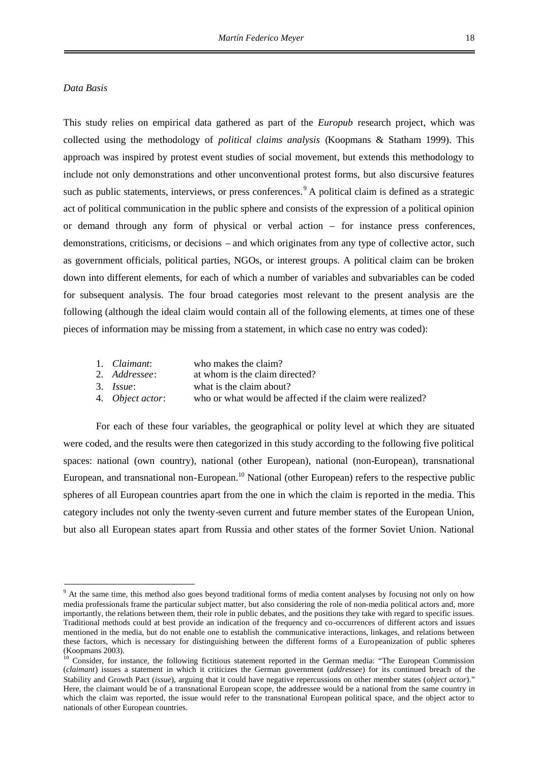#### *Data Basis*

This study relies on empirical data gathered as part of the *Europub* research project, which was collected using the methodology of *political claims analysis* (Koopmans & Statham 1999). This approach was inspired by protest event studies of social movement, but extends this methodology to include not only demonstrations and other unconventional protest forms, but also discursive features such as public statements, interviews, or press conferences.<sup>[9](#page-24-0)</sup> A political claim is defined as a strategic act of political communication in the public sphere and consists of the expression of a political opinion or demand through any form of physical or verbal action – for instance press conferences, demonstrations, criticisms, or decisions – and which originates from any type of collective actor, such as government officials, political parties, NGOs, or interest groups. A political claim can be broken down into different elements, for each of which a number of variables and subvariables can be coded for subsequent analysis. The four broad categories most relevant to the present analysis are the following (although the ideal claim would contain all of the following elements, at times one of these pieces of information may be missing from a statement, in which case no entry was coded):

- 1. *Claimant*: who makes the claim?
- 2. *Addressee*: at whom is the claim directed?
- 3. *Issue*: what is the claim about?
- 4. *Object actor*: who or what would be affected if the claim were realized?

For each of these four variables, the geographical or polity level at which they are situated were coded, and the results were then categorized in this study according to the following five political spaces: national (own country), national (other European), national (non-European), transnational European, and transnational non-European.<sup>[10](#page-24-1)</sup> National (other European) refers to the respective public spheres of all European countries apart from the one in which the claim is reported in the media. This category includes not only the twenty-seven current and future member states of the European Union, but also all European states apart from Russia and other states of the former Soviet Union. National

<span id="page-24-0"></span><sup>&</sup>lt;sup>9</sup> At the same time, this method also goes beyond traditional forms of media content analyses by focusing not only on how media professionals frame the particular subject matter, but also considering the role of non-media political actors and, more importantly, the relations between them, their role in public debates, and the positions they take with regard to specific issues. Traditional methods could at best provide an indication of the frequency and co-occurrences of different actors and issues mentioned in the media, but do not enable one to establish the communicative interactions, linkages, and relations between these factors, which is necessary for distinguishing between the different forms of a Europeanization of public spheres (Koopmans 2003).

<span id="page-24-1"></span><sup>&</sup>lt;sup>10</sup> Consider, for instance, the following fictitious statement reported in the German media: "The European Commission (*claimant*) issues a statement in which it criticizes the German government (*addressee*) for its continued breach of the Stability and Growth Pact (*issue*), arguing that it could have negative repercussions on other member states (*object actor*)." Here, the claimant would be of a transnational European scope, the addressee would be a national from the same country in which the claim was reported, the issue would refer to the transnational European political space, and the object actor to nationals of other European countries.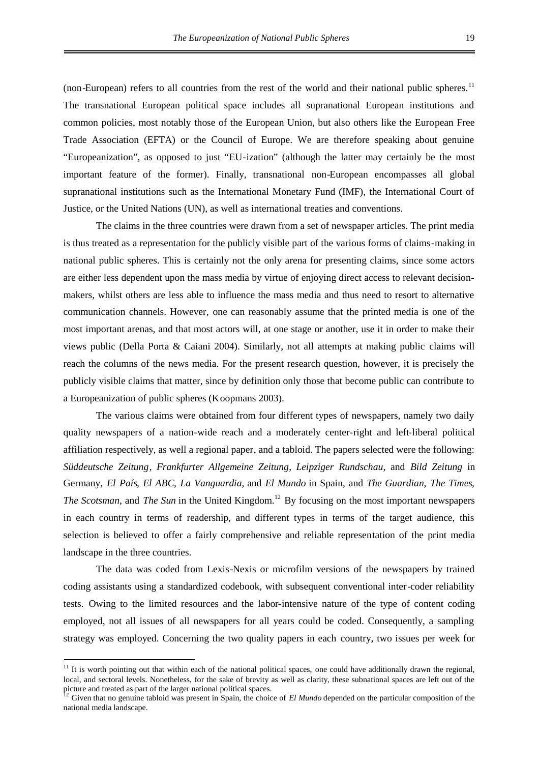(non-European) refers to all countries from the rest of the world and their national public spheres.<sup>[11](#page-25-0)</sup> The transnational European political space includes all supranational European institutions and common policies, most notably those of the European Union, but also others like the European Free Trade Association (EFTA) or the Council of Europe. We are therefore speaking about genuine "Europeanization", as opposed to just "EU-ization" (although the latter may certainly be the most important feature of the former). Finally, transnational non-European encompasses all global supranational institutions such as the International Monetary Fund (IMF), the International Court of Justice, or the United Nations (UN), as well as international treaties and conventions.

The claims in the three countries were drawn from a set of newspaper articles. The print media is thus treated as a representation for the publicly visible part of the various forms of claims-making in national public spheres. This is certainly not the only arena for presenting claims, since some actors are either less dependent upon the mass media by virtue of enjoying direct access to relevant decisionmakers, whilst others are less able to influence the mass media and thus need to resort to alternative communication channels. However, one can reasonably assume that the printed media is one of the most important arenas, and that most actors will, at one stage or another, use it in order to make their views public (Della Porta & Caiani 2004). Similarly, not all attempts at making public claims will reach the columns of the news media. For the present research question, however, it is precisely the publicly visible claims that matter, since by definition only those that become public can contribute to a Europeanization of public spheres (Koopmans 2003).

The various claims were obtained from four different types of newspapers, namely two daily quality newspapers of a nation-wide reach and a moderately center-right and left-liberal political affiliation respectively, as well a regional paper, and a tabloid. The papers selected were the following: *Süddeutsche Zeitung*, *Frankfurter Allgemeine Zeitung*, *Leipziger Rundschau*, and *Bild Zeitung* in Germany, *El País*, *El ABC*, *La Vanguardia*, and *El Mundo* in Spain, and *The Guardian*, *The Times*, *The Scotsman*, and *The Sun* in the United Kingdom.<sup>[12](#page-25-1)</sup> By focusing on the most important newspapers in each country in terms of readership, and different types in terms of the target audience, this selection is believed to offer a fairly comprehensive and reliable representation of the print media landscape in the three countries.

The data was coded from Lexis-Nexis or microfilm versions of the newspapers by trained coding assistants using a standardized codebook, with subsequent conventional inter-coder reliability tests. Owing to the limited resources and the labor-intensive nature of the type of content coding employed, not all issues of all newspapers for all years could be coded. Consequently, a sampling strategy was employed. Concerning the two quality papers in each country, two issues per week for

<span id="page-25-0"></span> $11$  It is worth pointing out that within each of the national political spaces, one could have additionally drawn the regional, local, and sectoral levels. Nonetheless, for the sake of brevity as well as clarity, these subnational spaces are left out of the picture and treated as part of the larger national political spaces.

<span id="page-25-1"></span><sup>&</sup>lt;sup>12</sup> Given that no genuine tabloid was present in Spain, the choice of *El Mundo* depended on the particular composition of the national media landscape.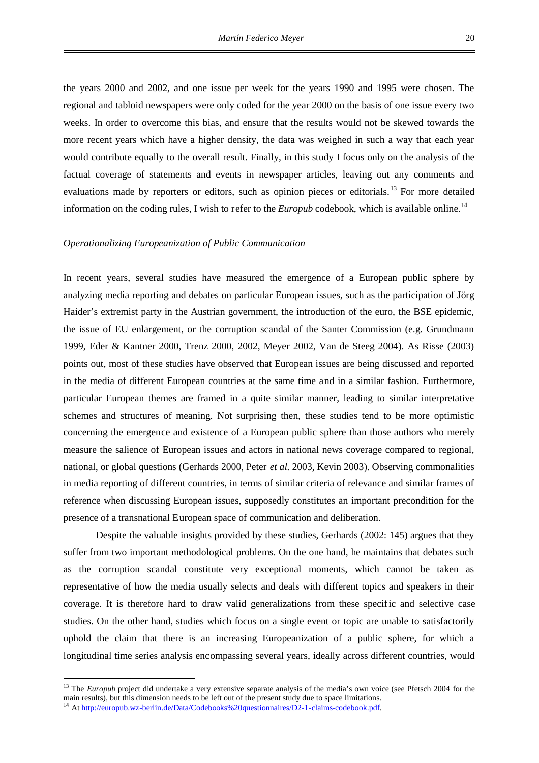the years 2000 and 2002, and one issue per week for the years 1990 and 1995 were chosen. The regional and tabloid newspapers were only coded for the year 2000 on the basis of one issue every two weeks. In order to overcome this bias, and ensure that the results would not be skewed towards the more recent years which have a higher density, the data was weighed in such a way that each year would contribute equally to the overall result. Finally, in this study I focus only on the analysis of the factual coverage of statements and events in newspaper articles, leaving out any comments and evaluations made by reporters or editors, such as opinion pieces or editorials.<sup>[13](#page-26-0)</sup> For more detailed information on the coding rules, I wish to refer to the *Europub* codebook, which is available online.<sup>[14](#page-26-1)</sup>

#### *Operationalizing Europeanization of Public Communication*

In recent years, several studies have measured the emergence of a European public sphere by analyzing media reporting and debates on particular European issues, such as the participation of Jörg Haider's extremist party in the Austrian government, the introduction of the euro, the BSE epidemic, the issue of EU enlargement, or the corruption scandal of the Santer Commission (e.g. Grundmann 1999, Eder & Kantner 2000, Trenz 2000, 2002, Meyer 2002, Van de Steeg 2004). As Risse (2003) points out, most of these studies have observed that European issues are being discussed and reported in the media of different European countries at the same time and in a similar fashion. Furthermore, particular European themes are framed in a quite similar manner, leading to similar interpretative schemes and structures of meaning. Not surprising then, these studies tend to be more optimistic concerning the emergence and existence of a European public sphere than those authors who merely measure the salience of European issues and actors in national news coverage compared to regional, national, or global questions (Gerhards 2000, Peter *et al*. 2003, Kevin 2003). Observing commonalities in media reporting of different countries, in terms of similar criteria of relevance and similar frames of reference when discussing European issues, supposedly constitutes an important precondition for the presence of a transnational European space of communication and deliberation.

Despite the valuable insights provided by these studies, Gerhards (2002: 145) argues that they suffer from two important methodological problems. On the one hand, he maintains that debates such as the corruption scandal constitute very exceptional moments, which cannot be taken as representative of how the media usually selects and deals with different topics and speakers in their coverage. It is therefore hard to draw valid generalizations from these specific and selective case studies. On the other hand, studies which focus on a single event or topic are unable to satisfactorily uphold the claim that there is an increasing Europeanization of a public sphere, for which a longitudinal time series analysis encompassing several years, ideally across different countries, would

<span id="page-26-0"></span><sup>&</sup>lt;sup>13</sup> The *Europub* project did undertake a very extensive separate analysis of the media's own voice (see Pfetsch 2004 for the main results), but this dimension needs to be left out of the present study due to space limitations.

<span id="page-26-1"></span><sup>&</sup>lt;sup>14</sup> At http://europub.wz-berlin.de/Data/Codebooks%20questionnaires/D2-1-claims-codebook.pdf.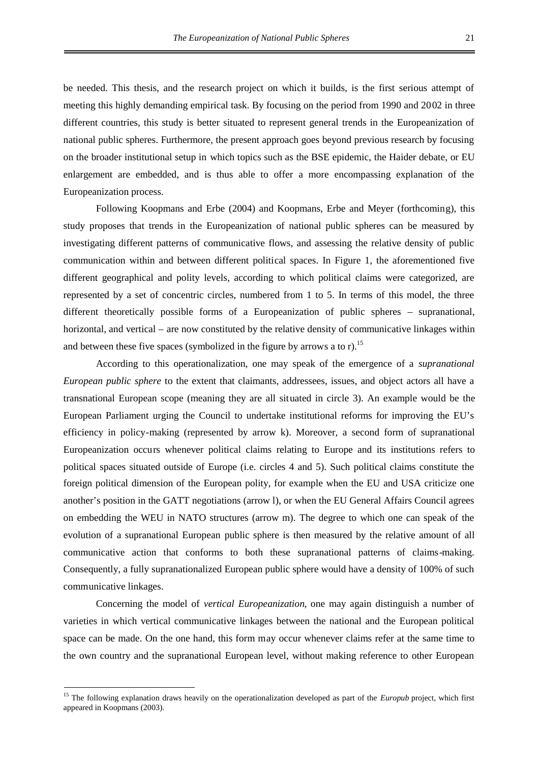be needed. This thesis, and the research project on which it builds, is the first serious attempt of meeting this highly demanding empirical task. By focusing on the period from 1990 and 2002 in three different countries, this study is better situated to represent general trends in the Europeanization of national public spheres. Furthermore, the present approach goes beyond previous research by focusing on the broader institutional setup in which topics such as the BSE epidemic, the Haider debate, or EU enlargement are embedded, and is thus able to offer a more encompassing explanation of the Europeanization process.

Following Koopmans and Erbe (2004) and Koopmans, Erbe and Meyer (forthcoming), this study proposes that trends in the Europeanization of national public spheres can be measured by investigating different patterns of communicative flows, and assessing the relative density of public communication within and between different political spaces. In Figure 1, the aforementioned five different geographical and polity levels, according to which political claims were categorized, are represented by a set of concentric circles, numbered from 1 to 5. In terms of this model, the three different theoretically possible forms of a Europeanization of public spheres – supranational, horizontal, and vertical – are now constituted by the relative density of communicative linkages within andbetween these five spaces (symbolized in the figure by arrows a to r).<sup>15</sup>

According to this operationalization, one may speak of the emergence of a *supranational European public sphere* to the extent that claimants, addressees, issues, and object actors all have a transnational European scope (meaning they are all situated in circle 3). An example would be the European Parliament urging the Council to undertake institutional reforms for improving the EU's efficiency in policy-making (represented by arrow k). Moreover, a second form of supranational Europeanization occurs whenever political claims relating to Europe and its institutions refers to political spaces situated outside of Europe (i.e. circles 4 and 5). Such political claims constitute the foreign political dimension of the European polity, for example when the EU and USA criticize one another's position in the GATT negotiations (arrow l), or when the EU General Affairs Council agrees on embedding the WEU in NATO structures (arrow m). The degree to which one can speak of the evolution of a supranational European public sphere is then measured by the relative amount of all communicative action that conforms to both these supranational patterns of claims-making. Consequently, a fully supranationalized European public sphere would have a density of 100% of such communicative linkages.

Concerning the model of *vertical Europeanization*, one may again distinguish a number of varieties in which vertical communicative linkages between the national and the European political space can be made. On the one hand, this form may occur whenever claims refer at the same time to the own country and the supranational European level, without making reference to other European

<span id="page-27-0"></span><sup>&</sup>lt;sup>15</sup> The following explanation draws heavily on the operationalization developed as part of the *Europub* project, which first appeared in Koopmans (2003).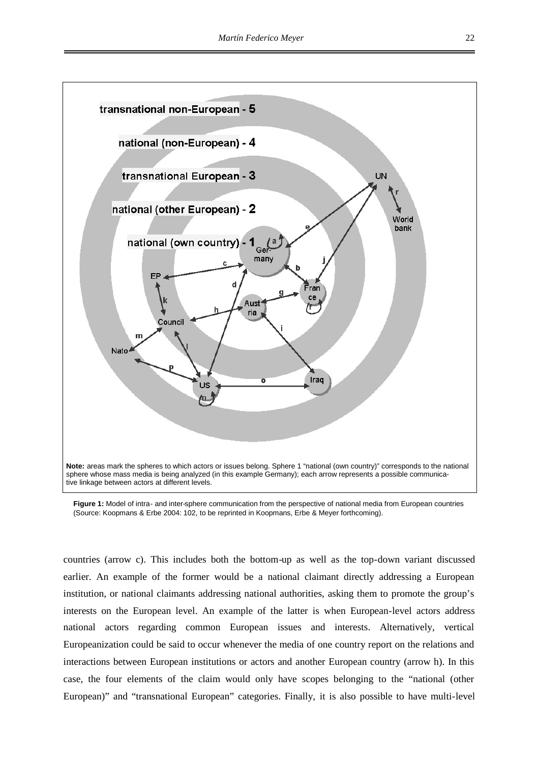

**Figure 1:** Model of intra- and inter-sphere communication from the perspective of national media from European countries (Source: Koopmans & Erbe 2004: 102, to be reprinted in Koopmans, Erbe & Meyer forthcoming).

countries (arrow c). This includes both the bottom-up as well as the top-down variant discussed earlier. An example of the former would be a national claimant directly addressing a European institution, or national claimants addressing national authorities, asking them to promote the group's interests on the European level. An example of the latter is when European-level actors address national actors regarding common European issues and interests. Alternatively, vertical Europeanization could be said to occur whenever the media of one country report on the relations and interactions between European institutions or actors and another European country (arrow h). In this case, the four elements of the claim would only have scopes belonging to the "national (other European)" and "transnational European" categories. Finally, it is also possible to have multi-level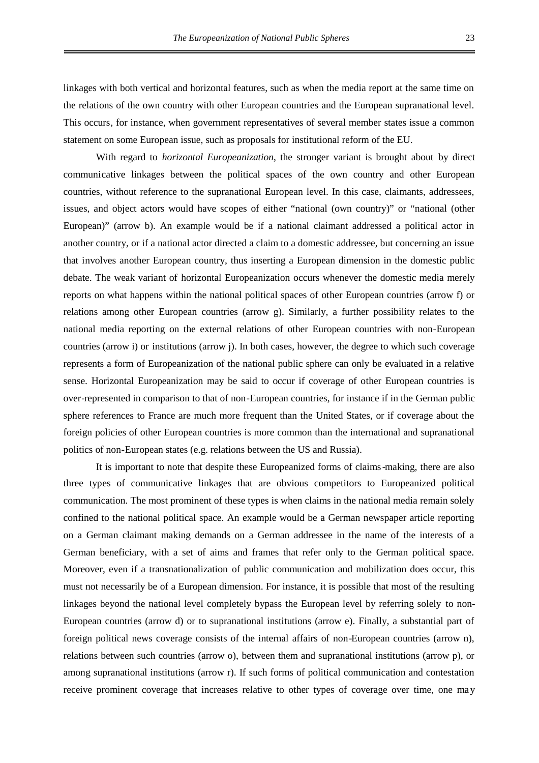linkages with both vertical and horizontal features, such as when the media report at the same time on the relations of the own country with other European countries and the European supranational level. This occurs, for instance, when government representatives of several member states issue a common statement on some European issue, such as proposals for institutional reform of the EU.

With regard to *horizontal Europeanization*, the stronger variant is brought about by direct communicative linkages between the political spaces of the own country and other European countries, without reference to the supranational European level. In this case, claimants, addressees, issues, and object actors would have scopes of either "national (own country)" or "national (other European)" (arrow b). An example would be if a national claimant addressed a political actor in another country, or if a national actor directed a claim to a domestic addressee, but concerning an issue that involves another European country, thus inserting a European dimension in the domestic public debate. The weak variant of horizontal Europeanization occurs whenever the domestic media merely reports on what happens within the national political spaces of other European countries (arrow f) or relations among other European countries (arrow g). Similarly, a further possibility relates to the national media reporting on the external relations of other European countries with non-European countries (arrow i) or institutions (arrow j). In both cases, however, the degree to which such coverage represents a form of Europeanization of the national public sphere can only be evaluated in a relative sense. Horizontal Europeanization may be said to occur if coverage of other European countries is over-represented in comparison to that of non-European countries, for instance if in the German public sphere references to France are much more frequent than the United States, or if coverage about the foreign policies of other European countries is more common than the international and supranational politics of non-European states (e.g. relations between the US and Russia).

It is important to note that despite these Europeanized forms of claims-making, there are also three types of communicative linkages that are obvious competitors to Europeanized political communication. The most prominent of these types is when claims in the national media remain solely confined to the national political space. An example would be a German newspaper article reporting on a German claimant making demands on a German addressee in the name of the interests of a German beneficiary, with a set of aims and frames that refer only to the German political space. Moreover, even if a transnationalization of public communication and mobilization does occur, this must not necessarily be of a European dimension. For instance, it is possible that most of the resulting linkages beyond the national level completely bypass the European level by referring solely to non-European countries (arrow d) or to supranational institutions (arrow e). Finally, a substantial part of foreign political news coverage consists of the internal affairs of non-European countries (arrow n), relations between such countries (arrow o), between them and supranational institutions (arrow p), or among supranational institutions (arrow r). If such forms of political communication and contestation receive prominent coverage that increases relative to other types of coverage over time, one may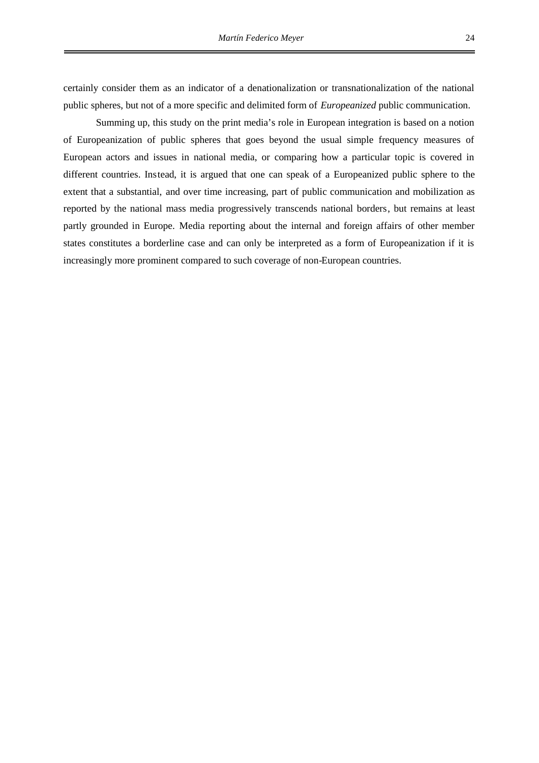certainly consider them as an indicator of a denationalization or transnationalization of the national public spheres, but not of a more specific and delimited form of *Europeanized* public communication.

Summing up, this study on the print media's role in European integration is based on a notion of Europeanization of public spheres that goes beyond the usual simple frequency measures of European actors and issues in national media, or comparing how a particular topic is covered in different countries. Instead, it is argued that one can speak of a Europeanized public sphere to the extent that a substantial, and over time increasing, part of public communication and mobilization as reported by the national mass media progressively transcends national borders, but remains at least partly grounded in Europe. Media reporting about the internal and foreign affairs of other member states constitutes a borderline case and can only be interpreted as a form of Europeanization if it is increasingly more prominent compared to such coverage of non-European countries.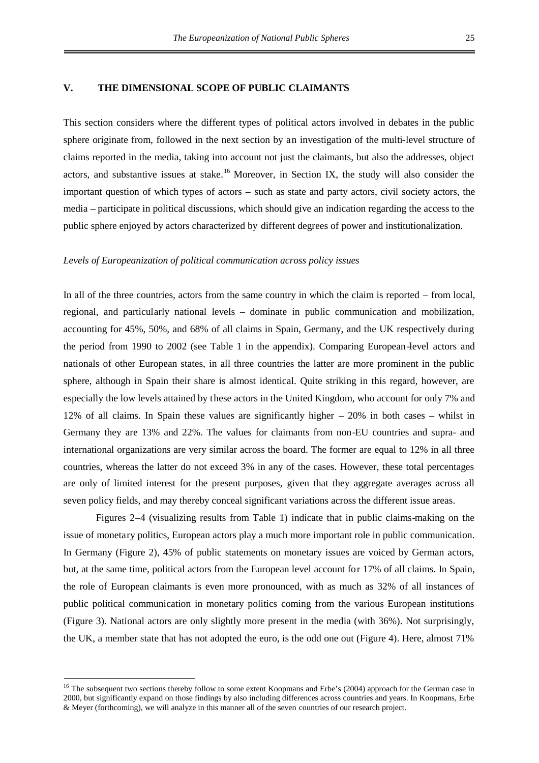#### **V. THE DIMENSIONAL SCOPE OF PUBLIC CLAIMANTS**

This section considers where the different types of political actors involved in debates in the public sphere originate from, followed in the next section by an investigation of the multi-level structure of claims reported in the media, taking into account not just the claimants, but also the addresses, object actors, and substantive issues at stake.<sup>[16](#page-31-0)</sup> Moreover, in Section IX, the study will also consider the important question of which types of actors – such as state and party actors, civil society actors, the media – participate in political discussions, which should give an indication regarding the access to the public sphere enjoyed by actors characterized by different degrees of power and institutionalization.

#### *Levels of Europeanization of political communication across policy issues*

In all of the three countries, actors from the same country in which the claim is reported – from local, regional, and particularly national levels – dominate in public communication and mobilization, accounting for 45%, 50%, and 68% of all claims in Spain, Germany, and the UK respectively during the period from 1990 to 2002 (see Table 1 in the appendix). Comparing European-level actors and nationals of other European states, in all three countries the latter are more prominent in the public sphere, although in Spain their share is almost identical. Quite striking in this regard, however, are especially the low levels attained by these actors in the United Kingdom, who account for only 7% and 12% of all claims. In Spain these values are significantly higher – 20% in both cases – whilst in Germany they are 13% and 22%. The values for claimants from non-EU countries and supra- and international organizations are very similar across the board. The former are equal to 12% in all three countries, whereas the latter do not exceed 3% in any of the cases. However, these total percentages are only of limited interest for the present purposes, given that they aggregate averages across all seven policy fields, and may thereby conceal significant variations across the different issue areas.

Figures 2–4 (visualizing results from Table 1) indicate that in public claims-making on the issue of monetary politics, European actors play a much more important role in public communication. In Germany (Figure 2), 45% of public statements on monetary issues are voiced by German actors, but, at the same time, political actors from the European level account for 17% of all claims. In Spain, the role of European claimants is even more pronounced, with as much as 32% of all instances of public political communication in monetary politics coming from the various European institutions (Figure 3). National actors are only slightly more present in the media (with 36%). Not surprisingly, the UK, a member state that has not adopted the euro, is the odd one out (Figure 4). Here, almost 71%

<span id="page-31-0"></span><sup>&</sup>lt;sup>16</sup> The subsequent two sections thereby follow to some extent Koopmans and Erbe's (2004) approach for the German case in 2000, but significantly expand on those findings by also including differences across countries and years. In Koopmans, Erbe & Meyer (forthcoming), we will analyze in this manner all of the seven countries of our research project.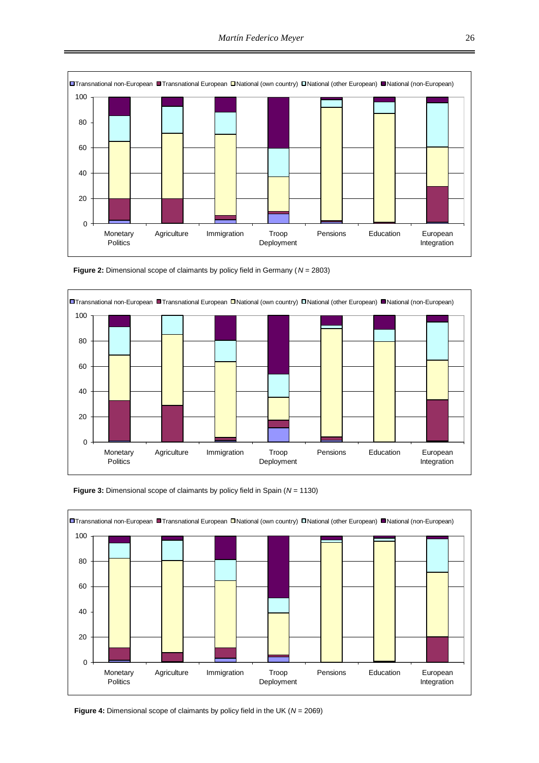

**Figure 2:** Dimensional scope of claimants by policy field in Germany (*N* = 2803)





**Figure 3:** Dimensional scope of claimants by policy field in Spain (*N* = 1130)

**Figure 4:** Dimensional scope of claimants by policy field in the UK (*N* = 2069)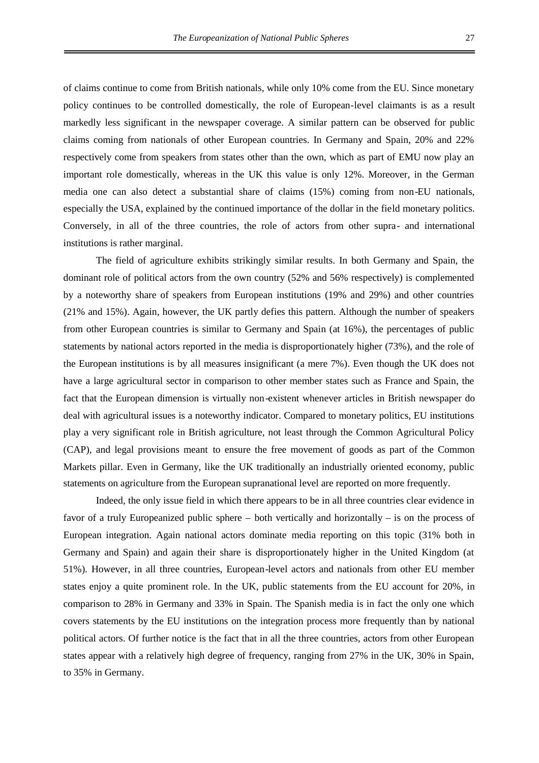of claims continue to come from British nationals, while only 10% come from the EU. Since monetary policy continues to be controlled domestically, the role of European-level claimants is as a result markedly less significant in the newspaper coverage. A similar pattern can be observed for public claims coming from nationals of other European countries. In Germany and Spain, 20% and 22% respectively come from speakers from states other than the own, which as part of EMU now play an important role domestically, whereas in the UK this value is only 12%. Moreover, in the German media one can also detect a substantial share of claims (15%) coming from non-EU nationals, especially the USA, explained by the continued importance of the dollar in the field monetary politics. Conversely, in all of the three countries, the role of actors from other supra- and international institutions is rather marginal.

The field of agriculture exhibits strikingly similar results. In both Germany and Spain, the dominant role of political actors from the own country (52% and 56% respectively) is complemented by a noteworthy share of speakers from European institutions (19% and 29%) and other countries (21% and 15%). Again, however, the UK partly defies this pattern. Although the number of speakers from other European countries is similar to Germany and Spain (at 16%), the percentages of public statements by national actors reported in the media is disproportionately higher (73%), and the role of the European institutions is by all measures insignificant (a mere 7%). Even though the UK does not have a large agricultural sector in comparison to other member states such as France and Spain, the fact that the European dimension is virtually non-existent whenever articles in British newspaper do deal with agricultural issues is a noteworthy indicator. Compared to monetary politics, EU institutions play a very significant role in British agriculture, not least through the Common Agricultural Policy (CAP), and legal provisions meant to ensure the free movement of goods as part of the Common Markets pillar. Even in Germany, like the UK traditionally an industrially oriented economy, public statements on agriculture from the European supranational level are reported on more frequently.

Indeed, the only issue field in which there appears to be in all three countries clear evidence in favor of a truly Europeanized public sphere – both vertically and horizontally – is on the process of European integration. Again national actors dominate media reporting on this topic (31% both in Germany and Spain) and again their share is disproportionately higher in the United Kingdom (at 51%). However, in all three countries, European-level actors and nationals from other EU member states enjoy a quite prominent role. In the UK, public statements from the EU account for 20%, in comparison to 28% in Germany and 33% in Spain. The Spanish media is in fact the only one which covers statements by the EU institutions on the integration process more frequently than by national political actors. Of further notice is the fact that in all the three countries, actors from other European states appear with a relatively high degree of frequency, ranging from 27% in the UK, 30% in Spain, to 35% in Germany.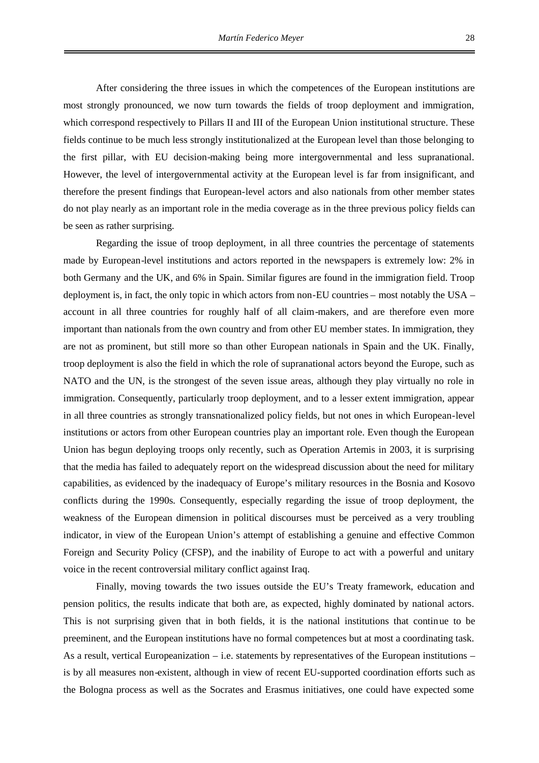After considering the three issues in which the competences of the European institutions are most strongly pronounced, we now turn towards the fields of troop deployment and immigration, which correspond respectively to Pillars II and III of the European Union institutional structure. These fields continue to be much less strongly institutionalized at the European level than those belonging to the first pillar, with EU decision-making being more intergovernmental and less supranational. However, the level of intergovernmental activity at the European level is far from insignificant, and therefore the present findings that European-level actors and also nationals from other member states do not play nearly as an important role in the media coverage as in the three previous policy fields can be seen as rather surprising.

Regarding the issue of troop deployment, in all three countries the percentage of statements made by European-level institutions and actors reported in the newspapers is extremely low: 2% in both Germany and the UK, and 6% in Spain. Similar figures are found in the immigration field. Troop deployment is, in fact, the only topic in which actors from non-EU countries – most notably the USA – account in all three countries for roughly half of all claim-makers, and are therefore even more important than nationals from the own country and from other EU member states. In immigration, they are not as prominent, but still more so than other European nationals in Spain and the UK. Finally, troop deployment is also the field in which the role of supranational actors beyond the Europe, such as NATO and the UN, is the strongest of the seven issue areas, although they play virtually no role in immigration. Consequently, particularly troop deployment, and to a lesser extent immigration, appear in all three countries as strongly transnationalized policy fields, but not ones in which European-level institutions or actors from other European countries play an important role. Even though the European Union has begun deploying troops only recently, such as Operation Artemis in 2003, it is surprising that the media has failed to adequately report on the widespread discussion about the need for military capabilities, as evidenced by the inadequacy of Europe's military resources in the Bosnia and Kosovo conflicts during the 1990s. Consequently, especially regarding the issue of troop deployment, the weakness of the European dimension in political discourses must be perceived as a very troubling indicator, in view of the European Union's attempt of establishing a genuine and effective Common Foreign and Security Policy (CFSP), and the inability of Europe to act with a powerful and unitary voice in the recent controversial military conflict against Iraq.

Finally, moving towards the two issues outside the EU's Treaty framework, education and pension politics, the results indicate that both are, as expected, highly dominated by national actors. This is not surprising given that in both fields, it is the national institutions that continue to be preeminent, and the European institutions have no formal competences but at most a coordinating task. As a result, vertical Europeanization – i.e. statements by representatives of the European institutions – is by all measures non-existent, although in view of recent EU-supported coordination efforts such as the Bologna process as well as the Socrates and Erasmus initiatives, one could have expected some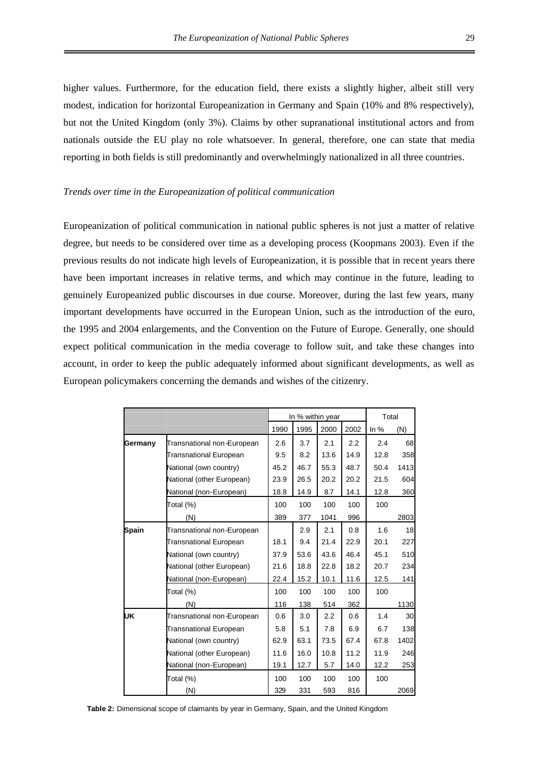higher values. Furthermore, for the education field, there exists a slightly higher, albeit still very modest, indication for horizontal Europeanization in Germany and Spain (10% and 8% respectively), but not the United Kingdom (only 3%). Claims by other supranational institutional actors and from nationals outside the EU play no role whatsoever. In general, therefore, one can state that media reporting in both fields is still predominantly and overwhelmingly nationalized in all three countries.

#### *Trends over time in the Europeanization of political communication*

Europeanization of political communication in national public spheres is not just a matter of relative degree, but needs to be considered over time as a developing process (Koopmans 2003). Even if the previous results do not indicate high levels of Europeanization, it is possible that in recent years there have been important increases in relative terms, and which may continue in the future, leading to genuinely Europeanized public discourses in due course. Moreover, during the last few years, many important developments have occurred in the European Union, such as the introduction of the euro, the 1995 and 2004 enlargements, and the Convention on the Future of Europe. Generally, one should expect political communication in the media coverage to follow suit, and take these changes into account, in order to keep the public adequately informed about significant developments, as well as European policymakers concerning the demands and wishes of the citizenry.

|         |                               | In % within year |      |      | Total |        |      |
|---------|-------------------------------|------------------|------|------|-------|--------|------|
|         |                               | 1990             | 1995 | 2000 | 2002  | In $%$ | (N)  |
| Germany | Transnational non-European    | 2.6              | 3.7  | 2.1  | 2.2   | 2.4    | 68   |
|         | Transnational European        | 9.5              | 8.2  | 13.6 | 14.9  | 12.8   | 358  |
|         | National (own country)        | 45.2             | 46.7 | 55.3 | 48.7  | 50.4   | 1413 |
|         | National (other European)     | 23.9             | 26.5 | 20.2 | 20.2  | 21.5   | 604  |
|         | National (non-European)       | 18.8             | 14.9 | 8.7  | 14.1  | 12.8   | 360  |
|         | Total (%)                     | 100              | 100  | 100  | 100   | 100    |      |
|         | (N)                           | 389              | 377  | 1041 | 996   |        | 2803 |
| Spain   | Transnational non-European    |                  | 2.9  | 2.1  | 0.8   | 1.6    | 18   |
|         | Transnational European        | 18.1             | 9.4  | 21.4 | 22.9  | 20.1   | 227  |
|         | National (own country)        | 37.9             | 53.6 | 43.6 | 46.4  | 45.1   | 510  |
|         | National (other European)     | 21.6             | 18.8 | 22.8 | 18.2  | 20.7   | 234  |
|         | National (non-European)       | 22.4             | 15.2 | 10.1 | 11.6  | 12.5   | 141  |
|         | Total (%)                     | 100              | 100  | 100  | 100   | 100    |      |
|         | (N)                           | 116              | 138  | 514  | 362   |        | 1130 |
| UK      | Transnational non-European    | 0.6              | 3.0  | 2.2  | 0.6   | 1.4    | 30   |
|         | <b>Transnational European</b> | 5.8              | 5.1  | 7.8  | 6.9   | 6.7    | 138  |
|         | National (own country)        | 62.9             | 63.1 | 73.5 | 67.4  | 67.8   | 1402 |
|         | National (other European)     | 11.6             | 16.0 | 10.8 | 11.2  | 11.9   | 246  |
|         | National (non-European)       | 19.1             | 12.7 | 5.7  | 14.0  | 12.2   | 253  |
|         | Total (%)                     | 100              | 100  | 100  | 100   | 100    |      |
|         | (N)                           | 329              | 331  | 593  | 816   |        | 2069 |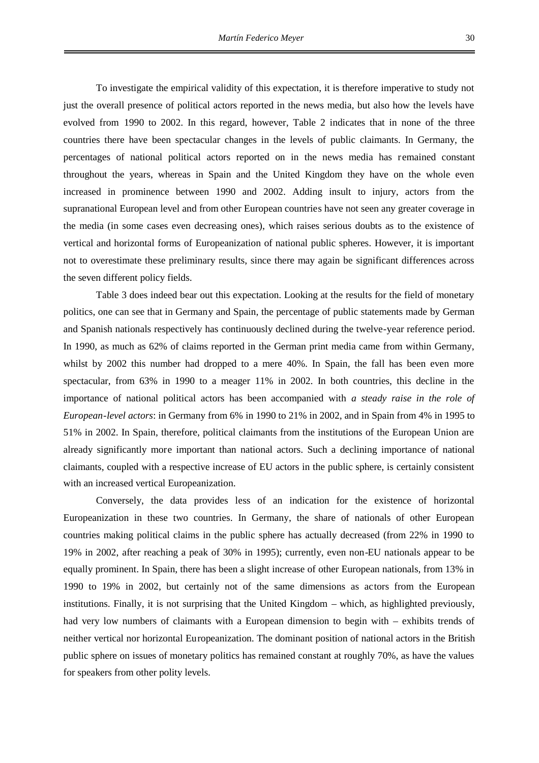To investigate the empirical validity of this expectation, it is therefore imperative to study not just the overall presence of political actors reported in the news media, but also how the levels have evolved from 1990 to 2002. In this regard, however, Table 2 indicates that in none of the three countries there have been spectacular changes in the levels of public claimants. In Germany, the percentages of national political actors reported on in the news media has remained constant throughout the years, whereas in Spain and the United Kingdom they have on the whole even increased in prominence between 1990 and 2002. Adding insult to injury, actors from the supranational European level and from other European countries have not seen any greater coverage in the media (in some cases even decreasing ones), which raises serious doubts as to the existence of vertical and horizontal forms of Europeanization of national public spheres. However, it is important not to overestimate these preliminary results, since there may again be significant differences across the seven different policy fields.

Table 3 does indeed bear out this expectation. Looking at the results for the field of monetary politics, one can see that in Germany and Spain, the percentage of public statements made by German and Spanish nationals respectively has continuously declined during the twelve-year reference period. In 1990, as much as 62% of claims reported in the German print media came from within Germany, whilst by 2002 this number had dropped to a mere 40%. In Spain, the fall has been even more spectacular, from 63% in 1990 to a meager 11% in 2002. In both countries, this decline in the importance of national political actors has been accompanied with *a steady raise in the role of European-level actors*: in Germany from 6% in 1990 to 21% in 2002, and in Spain from 4% in 1995 to 51% in 2002. In Spain, therefore, political claimants from the institutions of the European Union are already significantly more important than national actors. Such a declining importance of national claimants, coupled with a respective increase of EU actors in the public sphere, is certainly consistent with an increased vertical Europeanization.

Conversely, the data provides less of an indication for the existence of horizontal Europeanization in these two countries. In Germany, the share of nationals of other European countries making political claims in the public sphere has actually decreased (from 22% in 1990 to 19% in 2002, after reaching a peak of 30% in 1995); currently, even non-EU nationals appear to be equally prominent. In Spain, there has been a slight increase of other European nationals, from 13% in 1990 to 19% in 2002, but certainly not of the same dimensions as actors from the European institutions. Finally, it is not surprising that the United Kingdom – which, as highlighted previously, had very low numbers of claimants with a European dimension to begin with – exhibits trends of neither vertical nor horizontal Europeanization. The dominant position of national actors in the British public sphere on issues of monetary politics has remained constant at roughly 70%, as have the values for speakers from other polity levels.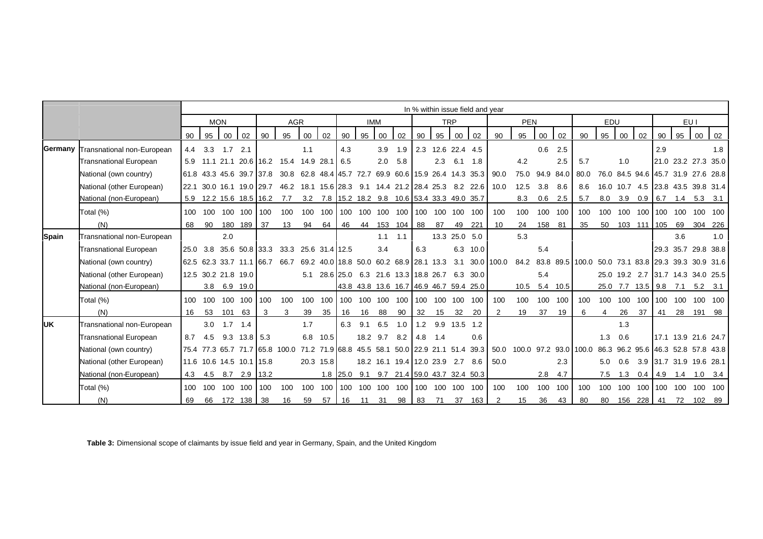|              |                               |     | In % within issue field and year |            |                          |              |                                                                                  |     |           |            |          |     |                                         |     |                   |               |                                                |                |                       |        |               |                                                         |     |           |                                    |     |              |               |                         |
|--------------|-------------------------------|-----|----------------------------------|------------|--------------------------|--------------|----------------------------------------------------------------------------------|-----|-----------|------------|----------|-----|-----------------------------------------|-----|-------------------|---------------|------------------------------------------------|----------------|-----------------------|--------|---------------|---------------------------------------------------------|-----|-----------|------------------------------------|-----|--------------|---------------|-------------------------|
|              |                               |     |                                  | <b>MON</b> |                          |              | <b>AGR</b>                                                                       |     |           |            |          | IMM |                                         |     |                   | <b>TRP</b>    |                                                |                | <b>PEN</b>            |        |               |                                                         | EDU |           |                                    |     |              | EU I          |                         |
|              |                               | 90  | 95                               | $00\,$     | 02                       | 90           | 95                                                                               | 00  | 02        | 90         | 95       | 00  | 02                                      | 90  | 95                | 00            | 02                                             | 90             | 95                    | 00     | 02            | 90                                                      | 95  | 00        | 02                                 | 90  | 95           | 00            | 02                      |
| Germany      | Transnational non-European    |     | $4.4$ 3.3                        | 1.7        | 2.1                      |              |                                                                                  | 1.1 |           | 4.3        |          | 3.9 | 1.9                                     |     | 2.3 12.6 22.4 4.5 |               |                                                |                |                       | 0.6    | 2.5           |                                                         |     |           |                                    | 2.9 |              |               | 1.8                     |
|              | Transnational European        |     |                                  |            |                          |              | 5.9 11.1 21.1 20.6 16.2 15.4 14.9 28.1 6.5                                       |     |           |            |          | 2.0 | 5.8                                     |     | 2.3               | 6.1           | 1.8                                            |                | 4.2                   |        | 2.5           | 5.7                                                     |     | 1.0       |                                    |     |              |               | 21.0 23.2 27.3 35.0     |
|              | National (own country)        |     |                                  |            |                          |              | 61.8 43.3 45.6 39.7 37.8 30.8 62.8 48.4 45.7 72.7                                |     |           |            |          |     |                                         |     |                   |               | 69.9 60.6 15.9 26.4 14.3 35.3                  | 90.0           | 75.0                  |        | 94.9 84.0     | 80.0                                                    |     |           | 76.0 84.5 94.6 45.7 31.9 27.6 28.8 |     |              |               |                         |
|              | National (other European)     |     |                                  |            |                          |              | 22.1 30.0 16.1 19.0 29.7 46.2 18.1 15.6 28.3 9.1 14.4 21.2 28.4 25.3 8.2 22.6    |     |           |            |          |     |                                         |     |                   |               |                                                | 10.0           | 12.5                  | 3.8    | 8.6           | 8.6                                                     |     |           | 16.0 10.7 4.5 23.8 43.5 39.8 31.4  |     |              |               |                         |
|              | National (non-European)       |     |                                  |            | 5.9 12.2 15.6 18.5 16.2  |              | 7.7                                                                              |     |           |            |          |     |                                         |     |                   |               | 3.2 7.8 15.2 18.2 9.8 10.6 53.4 33.3 49.0 35.7 |                | 8.3                   | 0.6    | 2.5           | 5.7                                                     |     |           | $8.0$ $3.9$ $0.9$ 6.7              |     |              | $1.4$ 5.3 3.1 |                         |
|              | Total (%)                     |     | 100 100                          |            | 100 100 100 100          |              |                                                                                  | 100 |           |            |          |     |                                         |     |                   |               |                                                | 100            | 100                   |        | 100 100       | 100                                                     |     |           | 100 100 100 100 100                |     |              |               | 100 100                 |
|              | (N)                           | 68  | - 90                             |            | 180 189 37               |              | 13                                                                               | 94  | 64        | 46         |          |     | 44 153 104 88                           |     | 87                | 49            | 221                                            | 10             | 24                    | 158 81 |               | 35                                                      |     |           | 50  103  111  105  69  304  226    |     |              |               |                         |
| <b>Spain</b> | Transnational non-European    |     |                                  | 2.0        |                          |              |                                                                                  |     |           |            |          | 1.1 | 1.1                                     |     |                   | 13.3 25.0 5.0 |                                                |                | 5.3                   |        |               |                                                         |     |           |                                    |     | 3.6          |               | 1.0                     |
|              | <b>Transnational European</b> |     |                                  |            |                          |              | 25.0 3.8 35.6 50.8 33.3 33.3 25.6 31.4 12.5                                      |     |           |            |          | 3.4 |                                         | 6.3 |                   | 6.3           | 10.0                                           |                |                       | 5.4    |               |                                                         |     |           |                                    |     |              |               | 29.3 35.7 29.8 38.8     |
|              | National (own country)        |     |                                  |            |                          |              | 62.5 62.3 33.7 11.1 66.7 66.7                                                    |     |           |            |          |     | 69.2 40.0 18.8 50.0 60.2 68.9 28.1 13.3 |     |                   |               |                                                | 3.1 30.0 100.0 |                       |        |               | 84.2 83.8 89.5 100.0 50.0 73.1 83.8 29.3 39.3 30.9 31.6 |     |           |                                    |     |              |               |                         |
|              | National (other European)     |     |                                  |            | 12.5 30.2 21.8 19.0      |              |                                                                                  |     |           |            |          |     | 5.1 28.6 25.0 6.3 21.6 13.3 18.8 26.7   |     |                   |               | 6.3 30.0                                       |                |                       | 5.4    |               |                                                         |     |           | 25.0 19.2 2.7 31.7 14.3 34.0 25.5  |     |              |               |                         |
|              | National (non-European)       |     |                                  |            | 3.8 6.9 19.0             |              |                                                                                  |     |           |            |          |     |                                         |     |                   |               | 43.8 43.8 13.6 16.7 46.9 46.7 59.4 25.0        |                |                       |        | 10.5 5.4 10.5 |                                                         |     |           | 25.0 7.7 13.5 9.8 7.1              |     |              |               | $5.2$ $3.1$             |
|              | Total (%)                     | 100 | 100                              |            | 100 100 100              |              | 100                                                                              | 100 |           | 100 100    |          |     | 100 100 100 100 100 100                 |     |                   |               | 100                                            | 100            | 100                   |        | 100 100       | 100                                                     |     | 100 100   |                                    |     | 100 100 100  |               | 100 100                 |
|              | (N)                           | 16  | 53                               | 101        | 63                       | $\mathbf{3}$ | 3                                                                                | 39  | 35        | 16         | 16       | 88  | 90                                      | 32  | 15                | 32            | 20                                             | 2              | 19                    | 37     | 19            | 6                                                       | 4   | 26        | 37                                 | 41  | 28           |               | 191 98                  |
| <b>IUK</b>   | Transnational non-European    |     | 3.0                              | 1.7        | 1.4                      |              |                                                                                  | 1.7 |           | 6.3        | 9.1      | 6.5 | 1.0                                     | 1.2 |                   | 9.9 13.5 1.2  |                                                |                |                       |        |               |                                                         |     | 1.3       |                                    |     |              |               |                         |
|              | <b>Transnational European</b> | 8.7 | 4.5                              | 9.3        | $13.8 \quad 5.3$         |              |                                                                                  | 6.8 | 10.5      |            | 18.2 9.7 |     | 8.2                                     | 4.8 | 1.4               |               | 0.6                                            |                |                       |        |               |                                                         | 1.3 | 0.6       |                                    |     |              |               | 17.1 13.9 21.6 24.7     |
|              | National (own country)        |     |                                  |            |                          |              | 75.4 77.3 65.7 71.7 65.8 100.0 71.2 71.9 68.8 45.5 58.1 50.0 22.9 21.1 51.4 39.3 |     |           |            |          |     |                                         |     |                   |               |                                                | 50.0           | 100.0 97.2 93.0 100.0 |        |               |                                                         |     |           | 86.3 96.2 95.6 46.3 52.8 57.8 43.8 |     |              |               |                         |
|              | National (other European)     |     |                                  |            | 11.6 10.6 14.5 10.1 15.8 |              |                                                                                  |     | 20.3 15.8 |            |          |     | 18.2 16.1 19.4 12.0 23.9 2.7            |     |                   |               | 8.6                                            | 50.0           |                       |        | 2.3           |                                                         | 5.0 | 0.6       |                                    |     |              |               | 3.9 31.7 31.9 19.6 28.1 |
|              | National (non-European)       | 4.3 | 4.5                              |            | 8.7 2.9 13.2             |              |                                                                                  |     |           | $1.8$ 25.0 |          |     |                                         |     |                   |               | 9.1 9.7 21.4 59.0 43.7 32.4 50.3               |                |                       | 2.8    | 4.7           |                                                         |     | $7.5$ 1.3 | $0.4$ 4.9                          |     | 1.4          |               | $1.0$ $3.4$             |
|              | Total (%)                     | 100 | 100                              |            | 100 100 100              |              | 100                                                                              | 100 |           | 100 100    |          |     |                                         |     |                   |               | 100 100 100 100 100 100 100                    | 100            | 100                   |        | 100 100       | 100                                                     |     |           | 100 100 100 100 100                |     |              |               | 100 100                 |
|              | (N)                           | 69  |                                  |            | 66 172 138 38            |              | 16                                                                               | 59  | 57        | 16         |          |     | 11 31 98                                | 83  | 71                | 37            | 163                                            |                | 15                    | 36     | 43            | 80                                                      |     |           | 80 156 228                         |     | 41 72 102 89 |               |                         |

**Table 3:** Dimensional scope of claimants by issue field and year in Germany, Spain, and the United Kingdom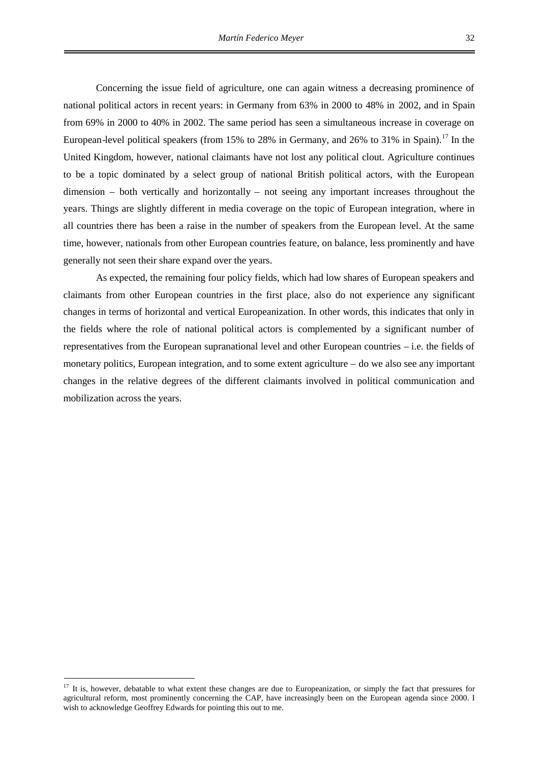Concerning the issue field of agriculture, one can again witness a decreasing prominence of national political actors in recent years: in Germany from 63% in 2000 to 48% in 2002, and in Spain from 69% in 2000 to 40% in 2002. The same period has seen a simultaneous increase in coverage on European-level political speakers (from 15% to 28% in Germany, and 26% to 31% in Spain).<sup>[17](#page-38-0)</sup> In the United Kingdom, however, national claimants have not lost any political clout. Agriculture continues to be a topic dominated by a select group of national British political actors, with the European dimension – both vertically and horizontally – not seeing any important increases throughout the years. Things are slightly different in media coverage on the topic of European integration, where in all countries there has been a raise in the number of speakers from the European level. At the same time, however, nationals from other European countries feature, on balance, less prominently and have generally not seen their share expand over the years.

As expected, the remaining four policy fields, which had low shares of European speakers and claimants from other European countries in the first place, also do not experience any significant changes in terms of horizontal and vertical Europeanization. In other words, this indicates that only in the fields where the role of national political actors is complemented by a significant number of representatives from the European supranational level and other European countries – i.e. the fields of monetary politics, European integration, and to some extent agriculture – do we also see any important changes in the relative degrees of the different claimants involved in political communication and mobilization across the years.

<span id="page-38-0"></span><sup>17</sup> It is, however, debatable to what extent these changes are due to Europeanization, or simply the fact that pressures for agricultural reform, most prominently concerning the CAP, have increasingly been on the European agenda since 2000. I wish to acknowledge Geoffrey Edwards for pointing this out to me.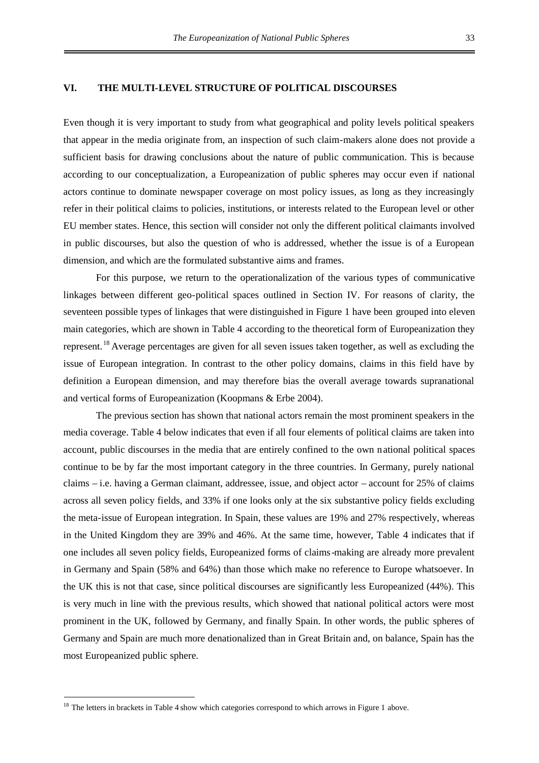#### **VI. THE MULTI-LEVEL STRUCTURE OF POLITICAL DISCOURSES**

Even though it is very important to study from what geographical and polity levels political speakers that appear in the media originate from, an inspection of such claim-makers alone does not provide a sufficient basis for drawing conclusions about the nature of public communication. This is because according to our conceptualization, a Europeanization of public spheres may occur even if national actors continue to dominate newspaper coverage on most policy issues, as long as they increasingly refer in their political claims to policies, institutions, or interests related to the European level or other EU member states. Hence, this section will consider not only the different political claimants involved in public discourses, but also the question of who is addressed, whether the issue is of a European dimension, and which are the formulated substantive aims and frames.

For this purpose, we return to the operationalization of the various types of communicative linkages between different geo-political spaces outlined in Section IV. For reasons of clarity, the seventeen possible types of linkages that were distinguished in Figure 1 have been grouped into eleven main categories, which are shown in Table 4 according to the theoretical form of Europeanization they represent.<sup>[18](#page-39-0)</sup> Average percentages are given for all seven issues taken together, as well as excluding the issue of European integration. In contrast to the other policy domains, claims in this field have by definition a European dimension, and may therefore bias the overall average towards supranational and vertical forms of Europeanization (Koopmans & Erbe 2004).

The previous section has shown that national actors remain the most prominent speakers in the media coverage. Table 4 below indicates that even if all four elements of political claims are taken into account, public discourses in the media that are entirely confined to the own national political spaces continue to be by far the most important category in the three countries. In Germany, purely national claims – i.e. having a German claimant, addressee, issue, and object actor – account for 25% of claims across all seven policy fields, and 33% if one looks only at the six substantive policy fields excluding the meta-issue of European integration. In Spain, these values are 19% and 27% respectively, whereas in the United Kingdom they are 39% and 46%. At the same time, however, Table 4 indicates that if one includes all seven policy fields, Europeanized forms of claims-making are already more prevalent in Germany and Spain (58% and 64%) than those which make no reference to Europe whatsoever. In the UK this is not that case, since political discourses are significantly less Europeanized (44%). This is very much in line with the previous results, which showed that national political actors were most prominent in the UK, followed by Germany, and finally Spain. In other words, the public spheres of Germany and Spain are much more denationalized than in Great Britain and, on balance, Spain has the most Europeanized public sphere.

<span id="page-39-0"></span><sup>&</sup>lt;sup>18</sup> The letters in brackets in Table 4 show which categories correspond to which arrows in Figure 1 above.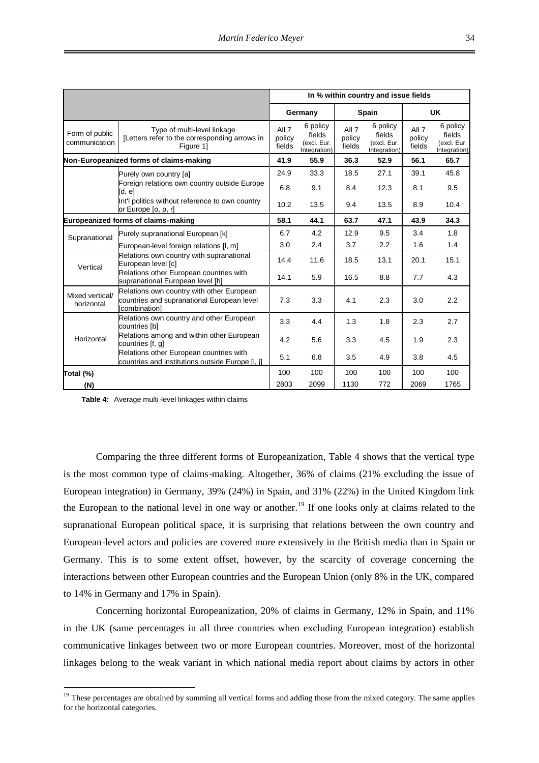|                                 |                                                                                                                 |                           |                                                   |                           | In % within country and issue fields              |                           |                                                   |
|---------------------------------|-----------------------------------------------------------------------------------------------------------------|---------------------------|---------------------------------------------------|---------------------------|---------------------------------------------------|---------------------------|---------------------------------------------------|
|                                 |                                                                                                                 |                           | Germany                                           |                           | Spain                                             |                           | <b>UK</b>                                         |
| Form of public<br>communication | Type of multi-level linkage<br>[Letters refer to the corresponding arrows in<br>Figure 1]                       | All 7<br>policy<br>fields | 6 policy<br>fields<br>(excl. Eur.<br>Integration) | All 7<br>policy<br>fields | 6 policy<br>fields<br>(excl. Eur.<br>Integration) | All 7<br>policy<br>fields | 6 policy<br>fields<br>(excl. Eur.<br>Integration) |
|                                 | Non-Europeanized forms of claims-making                                                                         | 41.9                      | 55.9                                              | 36.3                      | 52.9                                              | 56.1                      | 65.7                                              |
|                                 | Purely own country [a]                                                                                          | 24.9                      | 33.3                                              | 18.5                      | 27.1                                              | 39.1                      | 45.8                                              |
|                                 | Foreign relations own country outside Europe<br>[d, e]                                                          | 6.8                       | 9.1                                               | 8.4                       | 12.3                                              | 8.1                       | 9.5                                               |
|                                 | Int'l politics without reference to own country<br>or Europe [o, p, r]                                          | 10.2                      | 13.5                                              | 9.4                       | 13.5                                              | 8.9                       | 10.4                                              |
|                                 | Europeanized forms of claims-making                                                                             | 58.1                      | 44.1                                              | 63.7                      | 47.1                                              | 43.9                      | 34.3                                              |
| Supranational                   | Purely supranational European [k]                                                                               | 6.7                       | 4.2                                               | 12.9                      | 9.5                                               | 3.4                       | 1.8                                               |
|                                 | European-level foreign relations [I, m]                                                                         | 3.0                       | 2.4                                               | 3.7                       | 2.2                                               | 1.6                       | 1.4                                               |
| Vertical                        | Relations own country with supranational<br>European level [c]                                                  | 14.4                      | 11.6                                              | 18.5                      | 13.1                                              | 20.1                      | 15.1                                              |
|                                 | Relations other European countries with<br>supranational European level [h]                                     | 14.1                      | 5.9                                               | 16.5                      | 8.8                                               | 7.7                       | 4.3                                               |
| Mixed vertical/<br>horizontal   | Relations own country with other European<br>countries and supranational European level<br><b>Icombination1</b> | 7.3                       | 3.3                                               | 4.1                       | 2.3                                               | 3.0                       | 2.2                                               |
|                                 | Relations own country and other European<br>countries [b]                                                       | 3.3                       | 4.4                                               | 1.3                       | 1.8                                               | 2.3                       | 2.7                                               |
| Horizontal                      | Relations among and within other European<br>countries [f, g]                                                   | 4.2                       | 5.6                                               | 3.3                       | 4.5                                               | 1.9                       | 2.3                                               |
|                                 | Relations other European countries with<br>countries and institutions outside Europe [i, i]                     | 5.1                       | 6.8                                               | 3.5                       | 4.9                                               | 3.8                       | 4.5                                               |
| Total (%)                       |                                                                                                                 | 100                       | 100                                               | 100                       | 100                                               | 100                       | 100                                               |
| (N)                             |                                                                                                                 | 2803                      | 2099                                              | 1130                      | 772                                               | 2069                      | 1765                                              |

**Table 4:** Average multi-level linkages within claims

Comparing the three different forms of Europeanization, Table 4 shows that the vertical type is the most common type of claims-making. Altogether, 36% of claims (21% excluding the issue of European integration) in Germany, 39% (24%) in Spain, and 31% (22%) in the United Kingdom link the European to the national level in one way or another.<sup>[19](#page-40-0)</sup> If one looks only at claims related to the supranational European political space, it is surprising that relations between the own country and European-level actors and policies are covered more extensively in the British media than in Spain or Germany. This is to some extent offset, however, by the scarcity of coverage concerning the interactions between other European countries and the European Union (only 8% in the UK, compared to 14% in Germany and 17% in Spain).

Concerning horizontal Europeanization, 20% of claims in Germany, 12% in Spain, and 11% in the UK (same percentages in all three countries when excluding European integration) establish communicative linkages between two or more European countries. Moreover, most of the horizontal linkages belong to the weak variant in which national media report about claims by actors in other

<span id="page-40-0"></span><sup>&</sup>lt;sup>19</sup> These percentages are obtained by summing all vertical forms and adding those from the mixed category. The same applies for the horizontal categories.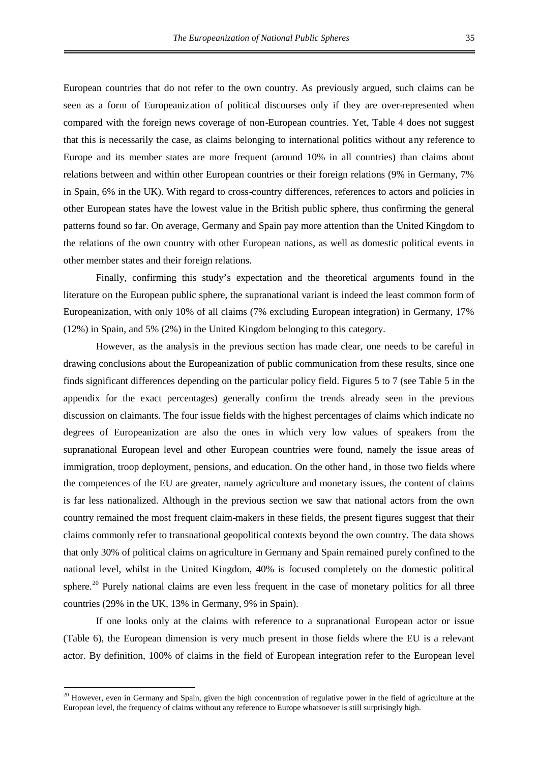European countries that do not refer to the own country. As previously argued, such claims can be seen as a form of Europeanization of political discourses only if they are over-represented when compared with the foreign news coverage of non-European countries. Yet, Table 4 does not suggest that this is necessarily the case, as claims belonging to international politics without any reference to Europe and its member states are more frequent (around 10% in all countries) than claims about relations between and within other European countries or their foreign relations (9% in Germany, 7% in Spain, 6% in the UK). With regard to cross-country differences, references to actors and policies in other European states have the lowest value in the British public sphere, thus confirming the general patterns found so far. On average, Germany and Spain pay more attention than the United Kingdom to the relations of the own country with other European nations, as well as domestic political events in other member states and their foreign relations.

Finally, confirming this study's expectation and the theoretical arguments found in the literature on the European public sphere, the supranational variant is indeed the least common form of Europeanization, with only 10% of all claims (7% excluding European integration) in Germany, 17% (12%) in Spain, and 5% (2%) in the United Kingdom belonging to this category.

However, as the analysis in the previous section has made clear, one needs to be careful in drawing conclusions about the Europeanization of public communication from these results, since one finds significant differences depending on the particular policy field. Figures 5 to 7 (see Table 5 in the appendix for the exact percentages) generally confirm the trends already seen in the previous discussion on claimants. The four issue fields with the highest percentages of claims which indicate no degrees of Europeanization are also the ones in which very low values of speakers from the supranational European level and other European countries were found, namely the issue areas of immigration, troop deployment, pensions, and education. On the other hand, in those two fields where the competences of the EU are greater, namely agriculture and monetary issues, the content of claims is far less nationalized. Although in the previous section we saw that national actors from the own country remained the most frequent claim-makers in these fields, the present figures suggest that their claims commonly refer to transnational geopolitical contexts beyond the own country. The data shows that only 30% of political claims on agriculture in Germany and Spain remained purely confined to the national level, whilst in the United Kingdom, 40% is focused completely on the domestic political sphere.<sup>[20](#page-41-0)</sup> Purely national claims are even less frequent in the case of monetary politics for all three countries (29% in the UK, 13% in Germany, 9% in Spain).

If one looks only at the claims with reference to a supranational European actor or issue (Table 6), the European dimension is very much present in those fields where the EU is a relevant actor. By definition, 100% of claims in the field of European integration refer to the European level

<span id="page-41-0"></span><sup>&</sup>lt;sup>20</sup> However, even in Germany and Spain, given the high concentration of regulative power in the field of agriculture at the European level, the frequency of claims without any reference to Europe whatsoever is still surprisingly high.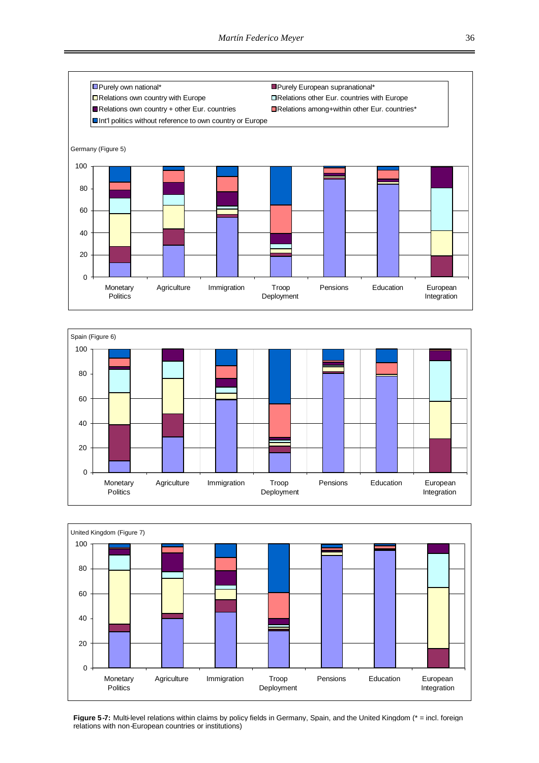





**Figure 5-7:** Multi-level relations within claims by policy fields in Germany, Spain, and the United Kingdom (\* = incl. foreign relations with non-European countries or institutions)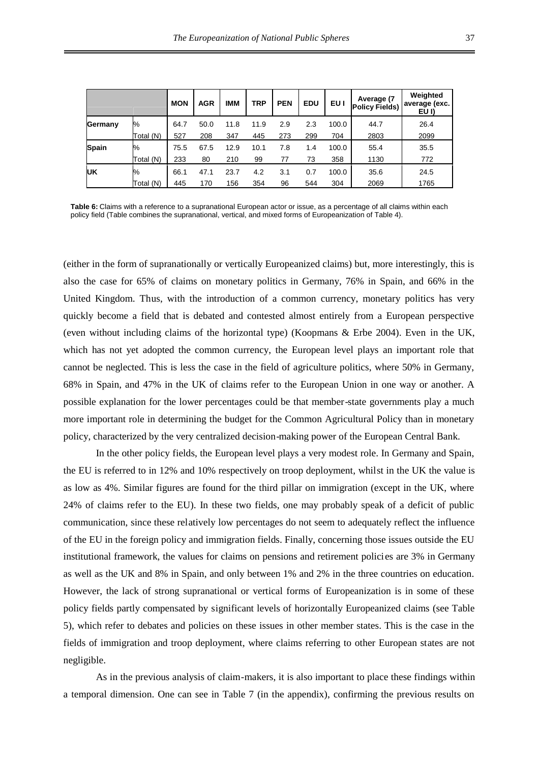|              |           | <b>MON</b> | <b>AGR</b> | <b>IMM</b> | TRP  | <b>PEN</b> | <b>EDU</b> | EU I  | Average (7<br><b>Policy Fields)</b> | Weighted<br>average (exc.)<br>EU I) |
|--------------|-----------|------------|------------|------------|------|------------|------------|-------|-------------------------------------|-------------------------------------|
| Germany      | $\%$      | 64.7       | 50.0       | 11.8       | 11.9 | 2.9        | 2.3        | 100.0 | 44.7                                | 26.4                                |
|              | Total (N) | 527        | 208        | 347        | 445  | 273        | 299        | 704   | 2803                                | 2099                                |
| <b>Spain</b> | $\%$      | 75.5       | 67.5       | 12.9       | 10.1 | 7.8        | 1.4        | 100.0 | 55.4                                | 35.5                                |
|              | Total (N) | 233        | 80         | 210        | 99   | 77         | 73         | 358   | 1130                                | 772                                 |
| IJΚ          | $\%$      | 66.1       | 47.1       | 23.7       | 4.2  | 3.1        | 0.7        | 100.0 | 35.6                                | 24.5                                |
|              | Total (N) | 445        | 170        | 156        | 354  | 96         | 544        | 304   | 2069                                | 1765                                |

**Table 6:** Claims with a reference to a supranational European actor or issue, as a percentage of all claims within each policy field (Table combines the supranational, vertical, and mixed forms of Europeanization of Table 4).

(either in the form of supranationally or vertically Europeanized claims) but, more interestingly, this is also the case for 65% of claims on monetary politics in Germany, 76% in Spain, and 66% in the United Kingdom. Thus, with the introduction of a common currency, monetary politics has very quickly become a field that is debated and contested almost entirely from a European perspective (even without including claims of the horizontal type) (Koopmans & Erbe 2004). Even in the UK, which has not yet adopted the common currency, the European level plays an important role that cannot be neglected. This is less the case in the field of agriculture politics, where 50% in Germany, 68% in Spain, and 47% in the UK of claims refer to the European Union in one way or another. A possible explanation for the lower percentages could be that member-state governments play a much more important role in determining the budget for the Common Agricultural Policy than in monetary policy, characterized by the very centralized decision-making power of the European Central Bank.

In the other policy fields, the European level plays a very modest role. In Germany and Spain, the EU is referred to in 12% and 10% respectively on troop deployment, whilst in the UK the value is as low as 4%. Similar figures are found for the third pillar on immigration (except in the UK, where 24% of claims refer to the EU). In these two fields, one may probably speak of a deficit of public communication, since these relatively low percentages do not seem to adequately reflect the influence of the EU in the foreign policy and immigration fields. Finally, concerning those issues outside the EU institutional framework, the values for claims on pensions and retirement policies are 3% in Germany as well as the UK and 8% in Spain, and only between 1% and 2% in the three countries on education. However, the lack of strong supranational or vertical forms of Europeanization is in some of these policy fields partly compensated by significant levels of horizontally Europeanized claims (see Table 5), which refer to debates and policies on these issues in other member states. This is the case in the fields of immigration and troop deployment, where claims referring to other European states are not negligible.

As in the previous analysis of claim-makers, it is also important to place these findings within a temporal dimension. One can see in Table 7 (in the appendix), confirming the previous results on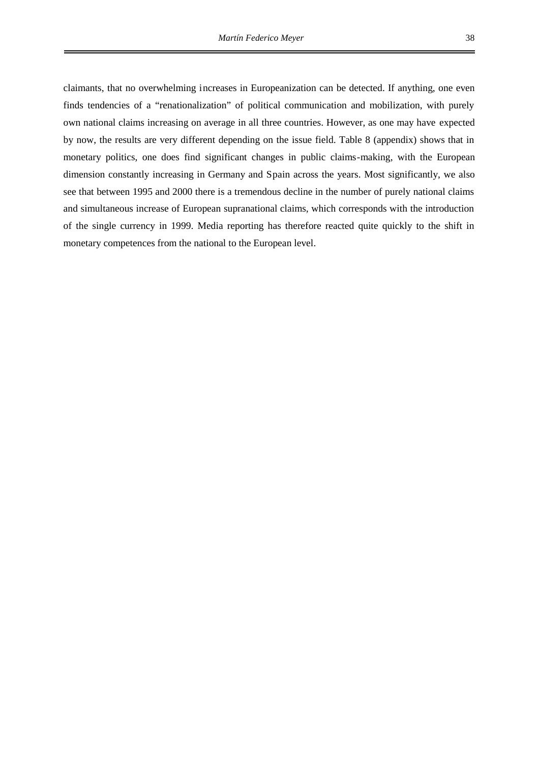claimants, that no overwhelming increases in Europeanization can be detected. If anything, one even finds tendencies of a "renationalization" of political communication and mobilization, with purely own national claims increasing on average in all three countries. However, as one may have expected by now, the results are very different depending on the issue field. Table 8 (appendix) shows that in monetary politics, one does find significant changes in public claims-making, with the European dimension constantly increasing in Germany and Spain across the years. Most significantly, we also see that between 1995 and 2000 there is a tremendous decline in the number of purely national claims and simultaneous increase of European supranational claims, which corresponds with the introduction of the single currency in 1999. Media reporting has therefore reacted quite quickly to the shift in monetary competences from the national to the European level.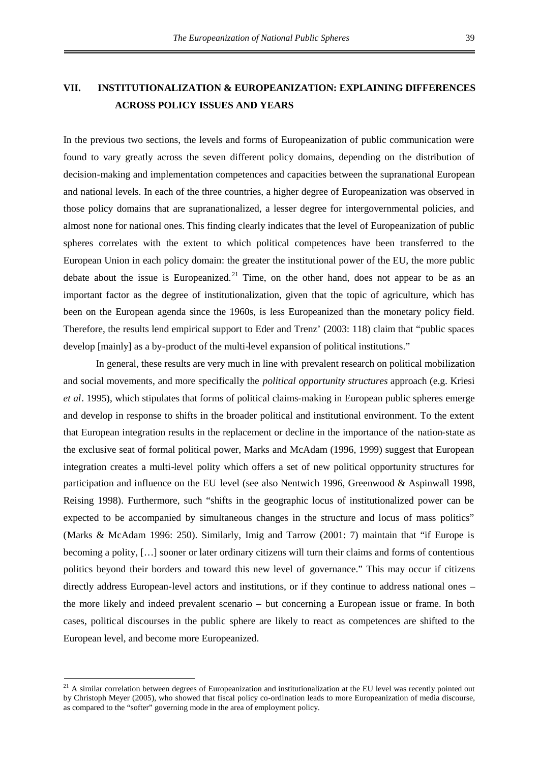# **VII. INSTITUTIONALIZATION & EUROPEANIZATION: EXPLAINING DIFFERENCES ACROSS POLICY ISSUES AND YEARS**

In the previous two sections, the levels and forms of Europeanization of public communication were found to vary greatly across the seven different policy domains, depending on the distribution of decision-making and implementation competences and capacities between the supranational European and national levels. In each of the three countries, a higher degree of Europeanization was observed in those policy domains that are supranationalized, a lesser degree for intergovernmental policies, and almost none for national ones. This finding clearly indicates that the level of Europeanization of public spheres correlates with the extent to which political competences have been transferred to the European Union in each policy domain: the greater the institutional power of the EU, the more public debate about the issue is Europeanized.<sup>[21](#page-45-0)</sup> Time, on the other hand, does not appear to be as an important factor as the degree of institutionalization, given that the topic of agriculture, which has been on the European agenda since the 1960s, is less Europeanized than the monetary policy field. Therefore, the results lend empirical support to Eder and Trenz' (2003: 118) claim that "public spaces develop [mainly] as a by-product of the multi-level expansion of political institutions."

In general, these results are very much in line with prevalent research on political mobilization and social movements, and more specifically the *political opportunity structures* approach (e.g. Kriesi *et al*. 1995), which stipulates that forms of political claims-making in European public spheres emerge and develop in response to shifts in the broader political and institutional environment. To the extent that European integration results in the replacement or decline in the importance of the nation-state as the exclusive seat of formal political power, Marks and McAdam (1996, 1999) suggest that European integration creates a multi-level polity which offers a set of new political opportunity structures for participation and influence on the EU level (see also Nentwich 1996, Greenwood & Aspinwall 1998, Reising 1998). Furthermore, such "shifts in the geographic locus of institutionalized power can be expected to be accompanied by simultaneous changes in the structure and locus of mass politics" (Marks & McAdam 1996: 250). Similarly, Imig and Tarrow (2001: 7) maintain that "if Europe is becoming a polity, […] sooner or later ordinary citizens will turn their claims and forms of contentious politics beyond their borders and toward this new level of governance." This may occur if citizens directly address European-level actors and institutions, or if they continue to address national ones – the more likely and indeed prevalent scenario – but concerning a European issue or frame. In both cases, political discourses in the public sphere are likely to react as competences are shifted to the European level, and become more Europeanized.

<span id="page-45-0"></span> $21$  A similar correlation between degrees of Europeanization and institutionalization at the EU level was recently pointed out by Christoph Meyer (2005), who showed that fiscal policy co-ordination leads to more Europeanization of media discourse, as compared to the "softer" governing mode in the area of employment policy.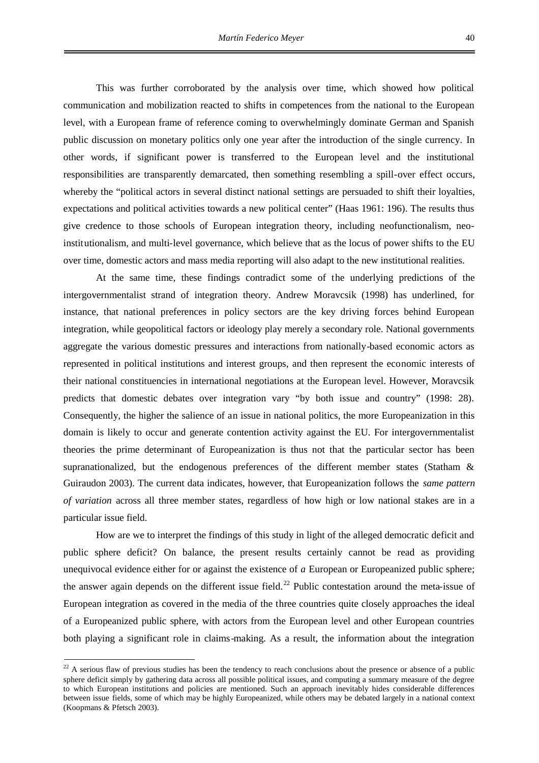This was further corroborated by the analysis over time, which showed how political communication and mobilization reacted to shifts in competences from the national to the European level, with a European frame of reference coming to overwhelmingly dominate German and Spanish public discussion on monetary politics only one year after the introduction of the single currency. In other words, if significant power is transferred to the European level and the institutional responsibilities are transparently demarcated, then something resembling a spill-over effect occurs, whereby the "political actors in several distinct national settings are persuaded to shift their loyalties, expectations and political activities towards a new political center" (Haas 1961: 196). The results thus give credence to those schools of European integration theory, including neofunctionalism, neoinstitutionalism, and multi-level governance, which believe that as the locus of power shifts to the EU

over time, domestic actors and mass media reporting will also adapt to the new institutional realities.

At the same time, these findings contradict some of the underlying predictions of the intergovernmentalist strand of integration theory. Andrew Moravcsik (1998) has underlined, for instance, that national preferences in policy sectors are the key driving forces behind European integration, while geopolitical factors or ideology play merely a secondary role. National governments aggregate the various domestic pressures and interactions from nationally-based economic actors as represented in political institutions and interest groups, and then represent the economic interests of their national constituencies in international negotiations at the European level. However, Moravcsik predicts that domestic debates over integration vary "by both issue and country" (1998: 28). Consequently, the higher the salience of an issue in national politics, the more Europeanization in this domain is likely to occur and generate contention activity against the EU. For intergovernmentalist theories the prime determinant of Europeanization is thus not that the particular sector has been supranationalized, but the endogenous preferences of the different member states (Statham & Guiraudon 2003). The current data indicates, however, that Europeanization follows the *same pattern of variation* across all three member states, regardless of how high or low national stakes are in a particular issue field.

How are we to interpret the findings of this study in light of the alleged democratic deficit and public sphere deficit? On balance, the present results certainly cannot be read as providing unequivocal evidence either for or against the existence of *a* European or Europeanized public sphere; theanswer again depends on the different issue field.<sup>22</sup> Public contestation around the meta-issue of European integration as covered in the media of the three countries quite closely approaches the ideal of a Europeanized public sphere, with actors from the European level and other European countries both playing a significant role in claims-making. As a result, the information about the integration

<span id="page-46-0"></span> $22$  A serious flaw of previous studies has been the tendency to reach conclusions about the presence or absence of a public sphere deficit simply by gathering data across all possible political issues, and computing a summary measure of the degree to which European institutions and policies are mentioned. Such an approach inevitably hides considerable differences between issue fields, some of which may be highly Europeanized, while others may be debated largely in a national context (Koopmans & Pfetsch 2003).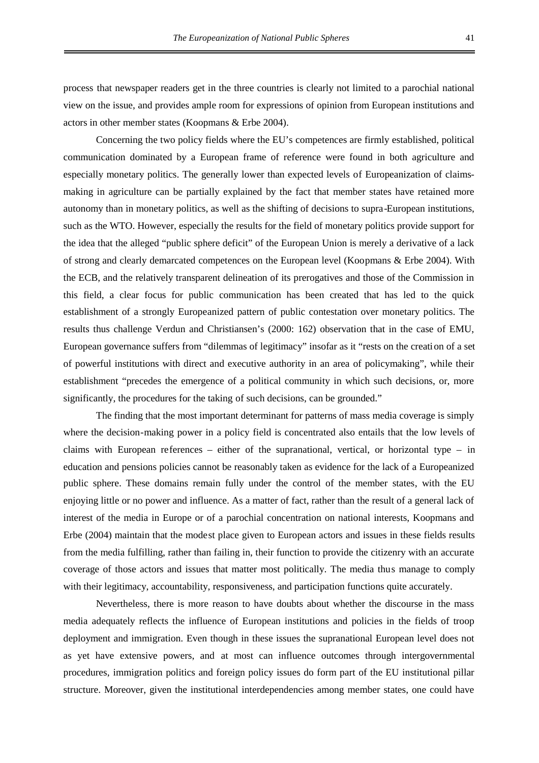process that newspaper readers get in the three countries is clearly not limited to a parochial national view on the issue, and provides ample room for expressions of opinion from European institutions and actors in other member states (Koopmans & Erbe 2004).

Concerning the two policy fields where the EU's competences are firmly established, political communication dominated by a European frame of reference were found in both agriculture and especially monetary politics. The generally lower than expected levels of Europeanization of claimsmaking in agriculture can be partially explained by the fact that member states have retained more autonomy than in monetary politics, as well as the shifting of decisions to supra-European institutions, such as the WTO. However, especially the results for the field of monetary politics provide support for the idea that the alleged "public sphere deficit" of the European Union is merely a derivative of a lack of strong and clearly demarcated competences on the European level (Koopmans & Erbe 2004). With the ECB, and the relatively transparent delineation of its prerogatives and those of the Commission in this field, a clear focus for public communication has been created that has led to the quick establishment of a strongly Europeanized pattern of public contestation over monetary politics. The results thus challenge Verdun and Christiansen's (2000: 162) observation that in the case of EMU, European governance suffers from "dilemmas of legitimacy" insofar as it "rests on the creation of a set of powerful institutions with direct and executive authority in an area of policymaking", while their establishment "precedes the emergence of a political community in which such decisions, or, more significantly, the procedures for the taking of such decisions, can be grounded."

The finding that the most important determinant for patterns of mass media coverage is simply where the decision-making power in a policy field is concentrated also entails that the low levels of claims with European references – either of the supranational, vertical, or horizontal type – in education and pensions policies cannot be reasonably taken as evidence for the lack of a Europeanized public sphere. These domains remain fully under the control of the member states, with the EU enjoying little or no power and influence. As a matter of fact, rather than the result of a general lack of interest of the media in Europe or of a parochial concentration on national interests, Koopmans and Erbe (2004) maintain that the modest place given to European actors and issues in these fields results from the media fulfilling, rather than failing in, their function to provide the citizenry with an accurate coverage of those actors and issues that matter most politically. The media thus manage to comply with their legitimacy, accountability, responsiveness, and participation functions quite accurately.

Nevertheless, there is more reason to have doubts about whether the discourse in the mass media adequately reflects the influence of European institutions and policies in the fields of troop deployment and immigration. Even though in these issues the supranational European level does not as yet have extensive powers, and at most can influence outcomes through intergovernmental procedures, immigration politics and foreign policy issues do form part of the EU institutional pillar structure. Moreover, given the institutional interdependencies among member states, one could have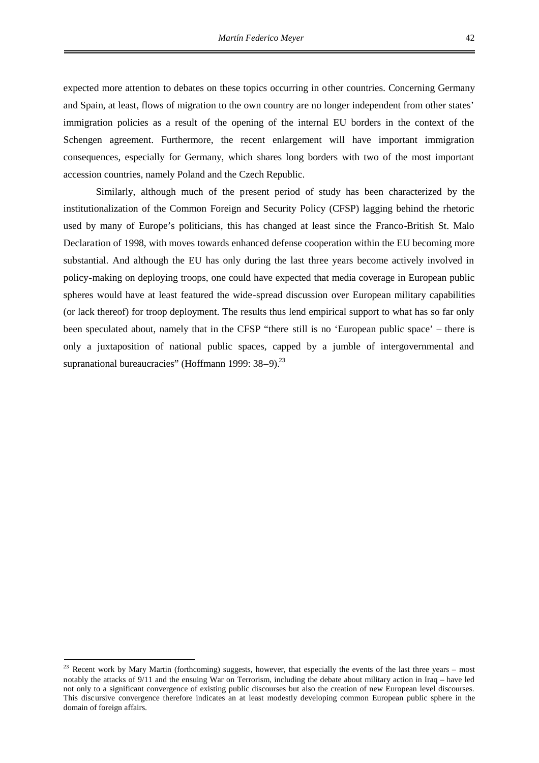expected more attention to debates on these topics occurring in other countries. Concerning Germany and Spain, at least, flows of migration to the own country are no longer independent from other states' immigration policies as a result of the opening of the internal EU borders in the context of the Schengen agreement. Furthermore, the recent enlargement will have important immigration consequences, especially for Germany, which shares long borders with two of the most important accession countries, namely Poland and the Czech Republic.

Similarly, although much of the present period of study has been characterized by the institutionalization of the Common Foreign and Security Policy (CFSP) lagging behind the rhetoric used by many of Europe's politicians, this has changed at least since the Franco-British St. Malo Declaration of 1998, with moves towards enhanced defense cooperation within the EU becoming more substantial. And although the EU has only during the last three years become actively involved in policy-making on deploying troops, one could have expected that media coverage in European public spheres would have at least featured the wide-spread discussion over European military capabilities (or lack thereof) for troop deployment. The results thus lend empirical support to what has so far only been speculated about, namely that in the CFSP "there still is no 'European public space' – there is only a juxtaposition of national public spaces, capped by a jumble of intergovernmental and supranational bureaucracies" (Hoffmann 1999: 38-9).<sup>[23](#page-48-0)</sup>

<span id="page-48-0"></span><sup>&</sup>lt;sup>23</sup> Recent work by Mary Martin (forthcoming) suggests, however, that especially the events of the last three years – most notably the attacks of 9/11 and the ensuing War on Terrorism, including the debate about military action in Iraq – have led not only to a significant convergence of existing public discourses but also the creation of new European level discourses. This discursive convergence therefore indicates an at least modestly developing common European public sphere in the domain of foreign affairs.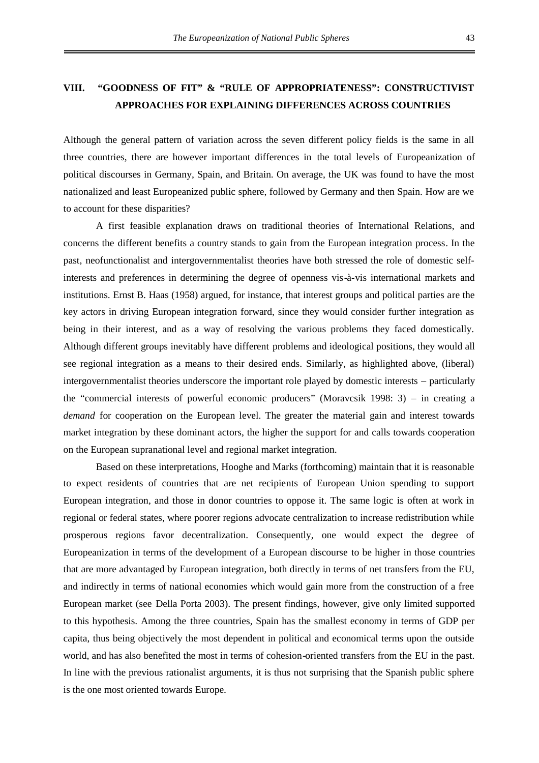Although the general pattern of variation across the seven different policy fields is the same in all three countries, there are however important differences in the total levels of Europeanization of political discourses in Germany, Spain, and Britain. On average, the UK was found to have the most nationalized and least Europeanized public sphere, followed by Germany and then Spain. How are we to account for these disparities?

A first feasible explanation draws on traditional theories of International Relations, and concerns the different benefits a country stands to gain from the European integration process. In the past, neofunctionalist and intergovernmentalist theories have both stressed the role of domestic selfinterests and preferences in determining the degree of openness vis-à-vis international markets and institutions. Ernst B. Haas (1958) argued, for instance, that interest groups and political parties are the key actors in driving European integration forward, since they would consider further integration as being in their interest, and as a way of resolving the various problems they faced domestically. Although different groups inevitably have different problems and ideological positions, they would all see regional integration as a means to their desired ends. Similarly, as highlighted above, (liberal) intergovernmentalist theories underscore the important role played by domestic interests – particularly the "commercial interests of powerful economic producers" (Moravcsik 1998: 3) – in creating a *demand* for cooperation on the European level. The greater the material gain and interest towards market integration by these dominant actors, the higher the support for and calls towards cooperation on the European supranational level and regional market integration.

Based on these interpretations, Hooghe and Marks (forthcoming) maintain that it is reasonable to expect residents of countries that are net recipients of European Union spending to support European integration, and those in donor countries to oppose it. The same logic is often at work in regional or federal states, where poorer regions advocate centralization to increase redistribution while prosperous regions favor decentralization. Consequently, one would expect the degree of Europeanization in terms of the development of a European discourse to be higher in those countries that are more advantaged by European integration, both directly in terms of net transfers from the EU, and indirectly in terms of national economies which would gain more from the construction of a free European market (see Della Porta 2003). The present findings, however, give only limited supported to this hypothesis. Among the three countries, Spain has the smallest economy in terms of GDP per capita, thus being objectively the most dependent in political and economical terms upon the outside world, and has also benefited the most in terms of cohesion-oriented transfers from the EU in the past. In line with the previous rationalist arguments, it is thus not surprising that the Spanish public sphere is the one most oriented towards Europe.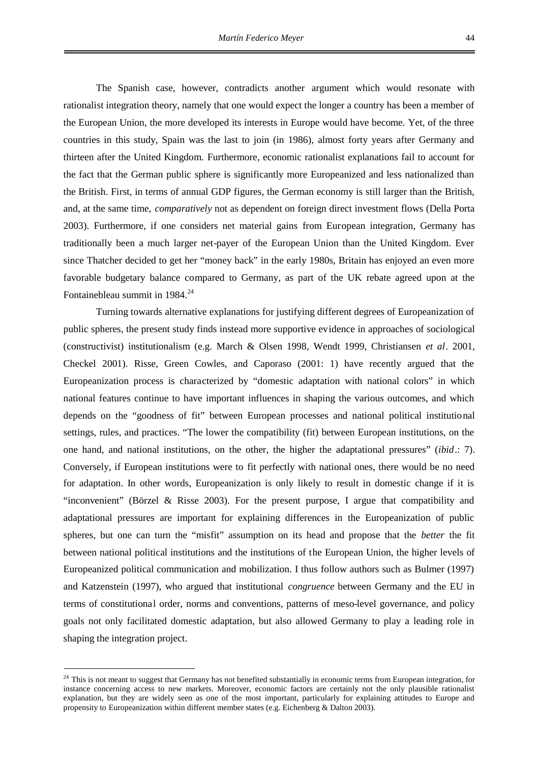The Spanish case, however, contradicts another argument which would resonate with rationalist integration theory, namely that one would expect the longer a country has been a member of the European Union, the more developed its interests in Europe would have become. Yet, of the three countries in this study, Spain was the last to join (in 1986), almost forty years after Germany and thirteen after the United Kingdom. Furthermore, economic rationalist explanations fail to account for the fact that the German public sphere is significantly more Europeanized and less nationalized than the British. First, in terms of annual GDP figures, the German economy is still larger than the British, and, at the same time, *comparatively* not as dependent on foreign direct investment flows (Della Porta 2003). Furthermore, if one considers net material gains from European integration, Germany has traditionally been a much larger net-payer of the European Union than the United Kingdom. Ever since Thatcher decided to get her "money back" in the early 1980s, Britain has enjoyed an even more favorable budgetary balance compared to Germany, as part of the UK rebate agreed upon at the Fontainebleau summit in  $1984.<sup>24</sup>$  $1984.<sup>24</sup>$  $1984.<sup>24</sup>$ 

Turning towards alternative explanations for justifying different degrees of Europeanization of public spheres, the present study finds instead more supportive evidence in approaches of sociological (constructivist) institutionalism (e.g. March & Olsen 1998, Wendt 1999, Christiansen *et al*. 2001, Checkel 2001). Risse, Green Cowles, and Caporaso (2001: 1) have recently argued that the Europeanization process is characterized by "domestic adaptation with national colors" in which national features continue to have important influences in shaping the various outcomes, and which depends on the "goodness of fit" between European processes and national political institutional settings, rules, and practices. "The lower the compatibility (fit) between European institutions, on the one hand, and national institutions, on the other, the higher the adaptational pressures" (*ibid*.: 7). Conversely, if European institutions were to fit perfectly with national ones, there would be no need for adaptation. In other words, Europeanization is only likely to result in domestic change if it is "inconvenient" (Börzel & Risse 2003). For the present purpose, I argue that compatibility and adaptational pressures are important for explaining differences in the Europeanization of public spheres, but one can turn the "misfit" assumption on its head and propose that the *better* the fit between national political institutions and the institutions of the European Union, the higher levels of Europeanized political communication and mobilization. I thus follow authors such as Bulmer (1997) and Katzenstein (1997), who argued that institutional *congruence* between Germany and the EU in terms of constitutional order, norms and conventions, patterns of meso-level governance, and policy goals not only facilitated domestic adaptation, but also allowed Germany to play a leading role in shaping the integration project.

<span id="page-50-0"></span><sup>&</sup>lt;sup>24</sup> This is not meant to suggest that Germany has not benefited substantially in economic terms from European integration, for instance concerning access to new markets. Moreover, economic factors are certainly not the only plausible rationalist explanation, but they are widely seen as one of the most important, particularly for explaining attitudes to Europe and propensity to Europeanization within different member states (e.g. Eichenberg & Dalton 2003).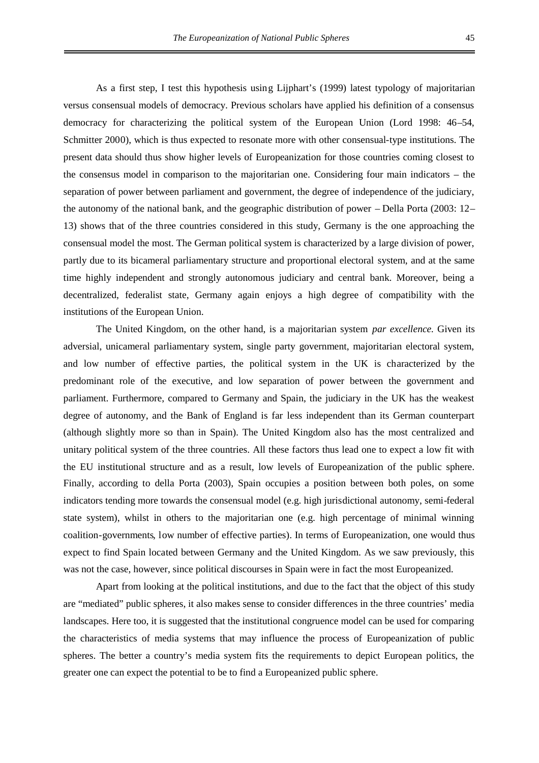As a first step, I test this hypothesis using Lijphart's (1999) latest typology of majoritarian versus consensual models of democracy. Previous scholars have applied his definition of a consensus democracy for characterizing the political system of the European Union (Lord 1998: 46–54, Schmitter 2000), which is thus expected to resonate more with other consensual-type institutions. The present data should thus show higher levels of Europeanization for those countries coming closest to the consensus model in comparison to the majoritarian one. Considering four main indicators – the separation of power between parliament and government, the degree of independence of the judiciary, the autonomy of the national bank, and the geographic distribution of power – Della Porta (2003: 12– 13) shows that of the three countries considered in this study, Germany is the one approaching the consensual model the most. The German political system is characterized by a large division of power, partly due to its bicameral parliamentary structure and proportional electoral system, and at the same time highly independent and strongly autonomous judiciary and central bank. Moreover, being a decentralized, federalist state, Germany again enjoys a high degree of compatibility with the institutions of the European Union.

The United Kingdom, on the other hand, is a majoritarian system *par excellence*. Given its adversial, unicameral parliamentary system, single party government, majoritarian electoral system, and low number of effective parties, the political system in the UK is characterized by the predominant role of the executive, and low separation of power between the government and parliament. Furthermore, compared to Germany and Spain, the judiciary in the UK has the weakest degree of autonomy, and the Bank of England is far less independent than its German counterpart (although slightly more so than in Spain). The United Kingdom also has the most centralized and unitary political system of the three countries. All these factors thus lead one to expect a low fit with the EU institutional structure and as a result, low levels of Europeanization of the public sphere. Finally, according to della Porta (2003), Spain occupies a position between both poles, on some indicators tending more towards the consensual model (e.g. high jurisdictional autonomy, semi-federal state system), whilst in others to the majoritarian one (e.g. high percentage of minimal winning coalition-governments, low number of effective parties). In terms of Europeanization, one would thus expect to find Spain located between Germany and the United Kingdom. As we saw previously, this was not the case, however, since political discourses in Spain were in fact the most Europeanized.

Apart from looking at the political institutions, and due to the fact that the object of this study are "mediated" public spheres, it also makes sense to consider differences in the three countries' media landscapes. Here too, it is suggested that the institutional congruence model can be used for comparing the characteristics of media systems that may influence the process of Europeanization of public spheres. The better a country's media system fits the requirements to depict European politics, the greater one can expect the potential to be to find a Europeanized public sphere.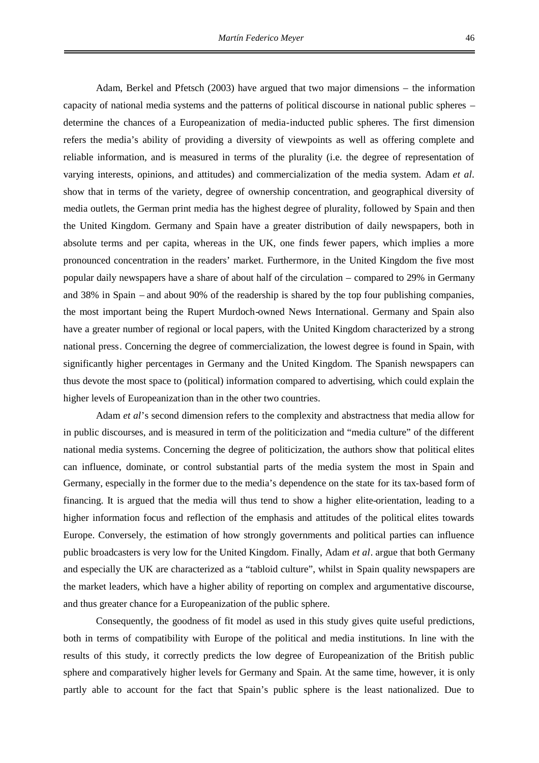Adam, Berkel and Pfetsch (2003) have argued that two major dimensions – the information capacity of national media systems and the patterns of political discourse in national public spheres – determine the chances of a Europeanization of media-inducted public spheres. The first dimension refers the media's ability of providing a diversity of viewpoints as well as offering complete and reliable information, and is measured in terms of the plurality (i.e. the degree of representation of varying interests, opinions, and attitudes) and commercialization of the media system. Adam *et al*. show that in terms of the variety, degree of ownership concentration, and geographical diversity of media outlets, the German print media has the highest degree of plurality, followed by Spain and then the United Kingdom. Germany and Spain have a greater distribution of daily newspapers, both in absolute terms and per capita, whereas in the UK, one finds fewer papers, which implies a more pronounced concentration in the readers' market. Furthermore, in the United Kingdom the five most popular daily newspapers have a share of about half of the circulation – compared to 29% in Germany and 38% in Spain – and about 90% of the readership is shared by the top four publishing companies, the most important being the Rupert Murdoch-owned News International. Germany and Spain also have a greater number of regional or local papers, with the United Kingdom characterized by a strong national press. Concerning the degree of commercialization, the lowest degree is found in Spain, with significantly higher percentages in Germany and the United Kingdom. The Spanish newspapers can thus devote the most space to (political) information compared to advertising, which could explain the higher levels of Europeanization than in the other two countries.

Adam *et al*'s second dimension refers to the complexity and abstractness that media allow for in public discourses, and is measured in term of the politicization and "media culture" of the different national media systems. Concerning the degree of politicization, the authors show that political elites can influence, dominate, or control substantial parts of the media system the most in Spain and Germany, especially in the former due to the media's dependence on the state for its tax-based form of financing. It is argued that the media will thus tend to show a higher elite-orientation, leading to a higher information focus and reflection of the emphasis and attitudes of the political elites towards Europe. Conversely, the estimation of how strongly governments and political parties can influence public broadcasters is very low for the United Kingdom. Finally, Adam *et al*. argue that both Germany and especially the UK are characterized as a "tabloid culture", whilst in Spain quality newspapers are the market leaders, which have a higher ability of reporting on complex and argumentative discourse, and thus greater chance for a Europeanization of the public sphere.

Consequently, the goodness of fit model as used in this study gives quite useful predictions, both in terms of compatibility with Europe of the political and media institutions. In line with the results of this study, it correctly predicts the low degree of Europeanization of the British public sphere and comparatively higher levels for Germany and Spain. At the same time, however, it is only partly able to account for the fact that Spain's public sphere is the least nationalized. Due to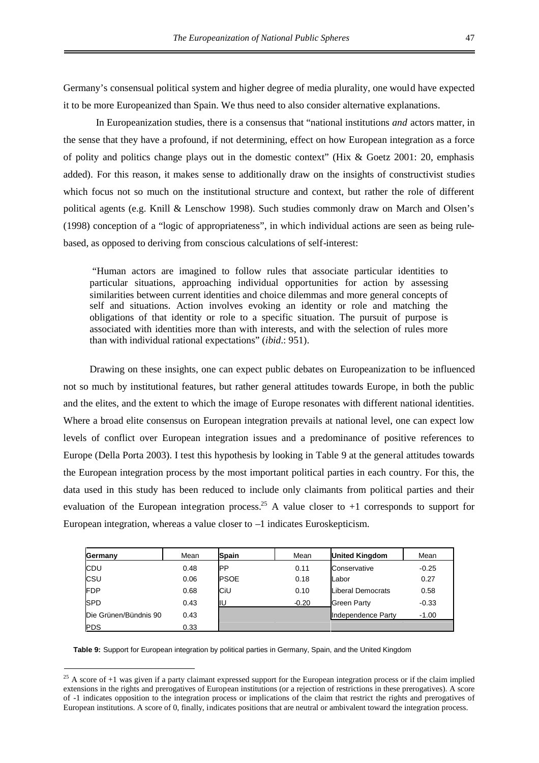Germany's consensual political system and higher degree of media plurality, one would have expected it to be more Europeanized than Spain. We thus need to also consider alternative explanations.

In Europeanization studies, there is a consensus that "national institutions *and* actors matter, in the sense that they have a profound, if not determining, effect on how European integration as a force of polity and politics change plays out in the domestic context" (Hix & Goetz 2001: 20, emphasis added). For this reason, it makes sense to additionally draw on the insights of constructivist studies which focus not so much on the institutional structure and context, but rather the role of different political agents (e.g. Knill & Lenschow 1998). Such studies commonly draw on March and Olsen's (1998) conception of a "logic of appropriateness", in which individual actions are seen as being rulebased, as opposed to deriving from conscious calculations of self-interest:

"Human actors are imagined to follow rules that associate particular identities to particular situations, approaching individual opportunities for action by assessing similarities between current identities and choice dilemmas and more general concepts of self and situations. Action involves evoking an identity or role and matching the obligations of that identity or role to a specific situation. The pursuit of purpose is associated with identities more than with interests, and with the selection of rules more than with individual rational expectations" (*ibid*.: 951).

Drawing on these insights, one can expect public debates on Europeanization to be influenced not so much by institutional features, but rather general attitudes towards Europe, in both the public and the elites, and the extent to which the image of Europe resonates with different national identities. Where a broad elite consensus on European integration prevails at national level, one can expect low levels of conflict over European integration issues and a predominance of positive references to Europe (Della Porta 2003). I test this hypothesis by looking in Table 9 at the general attitudes towards the European integration process by the most important political parties in each country. For this, the data used in this study has been reduced to include only claimants from political parties and their evaluation of the European integration process.<sup>[25](#page-53-0)</sup> A value closer to  $+1$  corresponds to support for European integration, whereas a value closer to –1 indicates Euroskepticism.

| Germany               | Mean | <b>Spain</b> | Mean    | <b>United Kingdom</b> | Mean    |
|-----------------------|------|--------------|---------|-----------------------|---------|
| CDU                   | 0.48 | IPP          | 0.11    | Conservative          | $-0.25$ |
| CSU                   | 0.06 | <b>PSOE</b>  | 0.18    | Labor                 | 0.27    |
| <b>FDP</b>            | 0.68 | CiU          | 0.10    | Liberal Democrats     | 0.58    |
| <b>SPD</b>            | 0.43 | lΙU          | $-0.20$ | <b>Green Party</b>    | $-0.33$ |
| Die Grünen/Bündnis 90 | 0.43 |              |         | Independence Party    | $-1.00$ |
| <b>PDS</b>            | 0.33 |              |         |                       |         |

**Table 9:** Support for European integration by political parties in Germany, Spain, and the United Kingdom

<span id="page-53-0"></span><sup>&</sup>lt;sup>25</sup> A score of  $+1$  was given if a party claimant expressed support for the European integration process or if the claim implied extensions in the rights and prerogatives of European institutions (or a rejection of restrictions in these prerogatives). A score of -1 indicates opposition to the integration process or implications of the claim that restrict the rights and prerogatives of European institutions. A score of 0, finally, indicates positions that are neutral or ambivalent toward the integration process.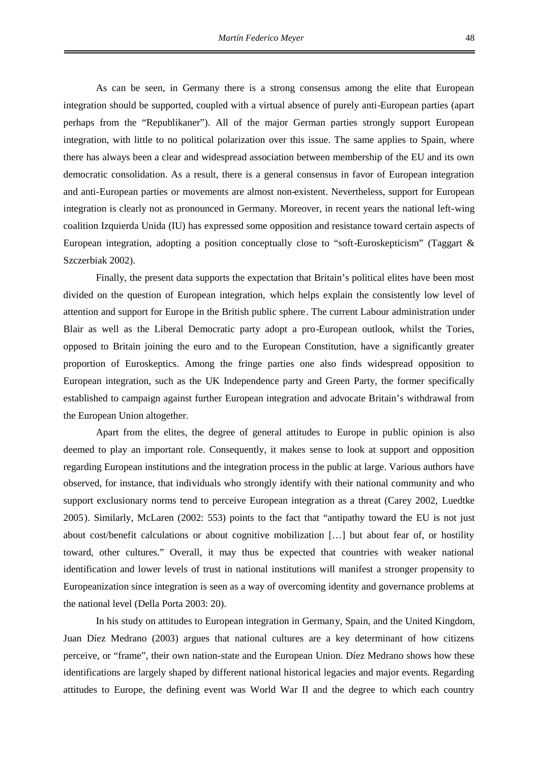As can be seen, in Germany there is a strong consensus among the elite that European integration should be supported, coupled with a virtual absence of purely anti-European parties (apart perhaps from the "Republikaner"). All of the major German parties strongly support European integration, with little to no political polarization over this issue. The same applies to Spain, where there has always been a clear and widespread association between membership of the EU and its own democratic consolidation. As a result, there is a general consensus in favor of European integration and anti-European parties or movements are almost non-existent. Nevertheless, support for European integration is clearly not as pronounced in Germany. Moreover, in recent years the national left-wing coalition Izquierda Unida (IU) has expressed some opposition and resistance toward certain aspects of European integration, adopting a position conceptually close to "soft-Euroskepticism" (Taggart & Szczerbiak 2002).

Finally, the present data supports the expectation that Britain's political elites have been most divided on the question of European integration, which helps explain the consistently low level of attention and support for Europe in the British public sphere. The current Labour administration under Blair as well as the Liberal Democratic party adopt a pro-European outlook, whilst the Tories, opposed to Britain joining the euro and to the European Constitution, have a significantly greater proportion of Euroskeptics. Among the fringe parties one also finds widespread opposition to European integration, such as the UK Independence party and Green Party, the former specifically established to campaign against further European integration and advocate Britain's withdrawal from the European Union altogether.

Apart from the elites, the degree of general attitudes to Europe in public opinion is also deemed to play an important role. Consequently, it makes sense to look at support and opposition regarding European institutions and the integration process in the public at large. Various authors have observed, for instance, that individuals who strongly identify with their national community and who support exclusionary norms tend to perceive European integration as a threat (Carey 2002, Luedtke 2005). Similarly, McLaren (2002: 553) points to the fact that "antipathy toward the EU is not just about cost/benefit calculations or about cognitive mobilization […] but about fear of, or hostility toward, other cultures." Overall, it may thus be expected that countries with weaker national identification and lower levels of trust in national institutions will manifest a stronger propensity to Europeanization since integration is seen as a way of overcoming identity and governance problems at the national level (Della Porta 2003: 20).

In his study on attitudes to European integration in Germany, Spain, and the United Kingdom, Juan Díez Medrano (2003) argues that national cultures are a key determinant of how citizens perceive, or "frame", their own nation-state and the European Union. Díez Medrano shows how these identifications are largely shaped by different national historical legacies and major events. Regarding attitudes to Europe, the defining event was World War II and the degree to which each country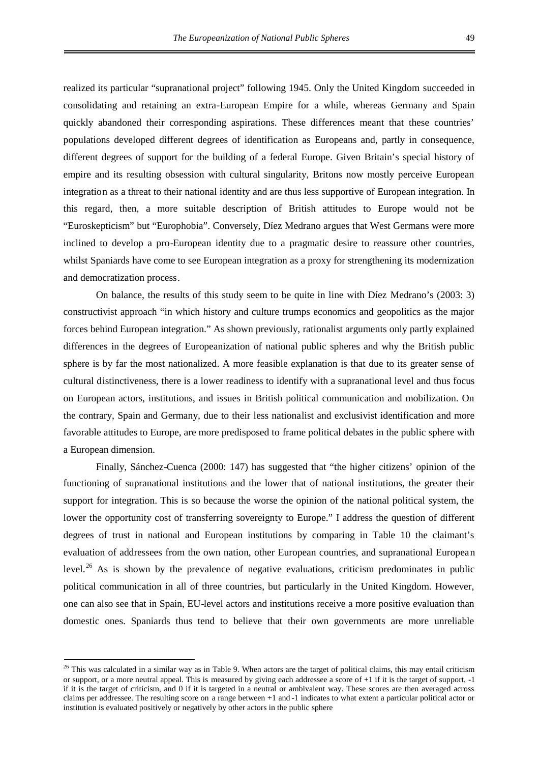realized its particular "supranational project" following 1945. Only the United Kingdom succeeded in consolidating and retaining an extra-European Empire for a while, whereas Germany and Spain quickly abandoned their corresponding aspirations. These differences meant that these countries' populations developed different degrees of identification as Europeans and, partly in consequence, different degrees of support for the building of a federal Europe. Given Britain's special history of empire and its resulting obsession with cultural singularity, Britons now mostly perceive European integration as a threat to their national identity and are thus less supportive of European integration. In this regard, then, a more suitable description of British attitudes to Europe would not be "Euroskepticism" but "Europhobia". Conversely, Díez Medrano argues that West Germans were more inclined to develop a pro-European identity due to a pragmatic desire to reassure other countries, whilst Spaniards have come to see European integration as a proxy for strengthening its modernization and democratization process.

On balance, the results of this study seem to be quite in line with Díez Medrano's (2003: 3) constructivist approach "in which history and culture trumps economics and geopolitics as the major forces behind European integration." As shown previously, rationalist arguments only partly explained differences in the degrees of Europeanization of national public spheres and why the British public sphere is by far the most nationalized. A more feasible explanation is that due to its greater sense of cultural distinctiveness, there is a lower readiness to identify with a supranational level and thus focus on European actors, institutions, and issues in British political communication and mobilization. On the contrary, Spain and Germany, due to their less nationalist and exclusivist identification and more favorable attitudes to Europe, are more predisposed to frame political debates in the public sphere with a European dimension.

Finally, Sánchez-Cuenca (2000: 147) has suggested that "the higher citizens' opinion of the functioning of supranational institutions and the lower that of national institutions, the greater their support for integration. This is so because the worse the opinion of the national political system, the lower the opportunity cost of transferring sovereignty to Europe." I address the question of different degrees of trust in national and European institutions by comparing in Table 10 the claimant's evaluation of addressees from the own nation, other European countries, and supranational European level.<sup>[26](#page-55-0)</sup> As is shown by the prevalence of negative evaluations, criticism predominates in public political communication in all of three countries, but particularly in the United Kingdom. However, one can also see that in Spain, EU-level actors and institutions receive a more positive evaluation than domestic ones. Spaniards thus tend to believe that their own governments are more unreliable

<span id="page-55-0"></span><sup>&</sup>lt;sup>26</sup> This was calculated in a similar way as in Table 9. When actors are the target of political claims, this may entail criticism or support, or a more neutral appeal. This is measured by giving each addressee a score of +1 if it is the target of support, -1 if it is the target of criticism, and 0 if it is targeted in a neutral or ambivalent way. These scores are then averaged across claims per addressee. The resulting score on a range between +1 and -1 indicates to what extent a particular political actor or institution is evaluated positively or negatively by other actors in the public sphere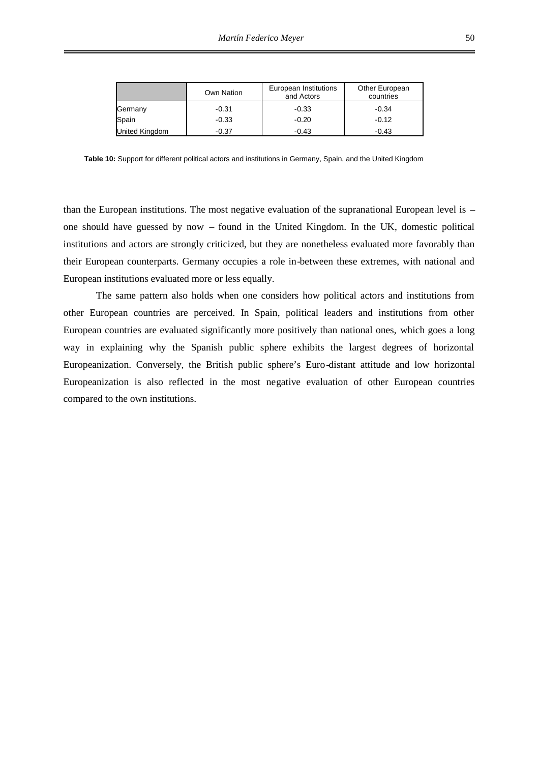|                       | Own Nation | European Institutions<br>and Actors | Other European<br>countries |
|-----------------------|------------|-------------------------------------|-----------------------------|
| Germany               | $-0.31$    | $-0.33$                             | $-0.34$                     |
| Spain                 | $-0.33$    | $-0.20$                             | $-0.12$                     |
| <b>United Kingdom</b> | $-0.37$    | $-0.43$                             | $-0.43$                     |

**Table 10:** Support for different political actors and institutions in Germany, Spain, and the United Kingdom

than the European institutions. The most negative evaluation of the supranational European level is – one should have guessed by now – found in the United Kingdom. In the UK, domestic political institutions and actors are strongly criticized, but they are nonetheless evaluated more favorably than their European counterparts. Germany occupies a role in-between these extremes, with national and European institutions evaluated more or less equally.

The same pattern also holds when one considers how political actors and institutions from other European countries are perceived. In Spain, political leaders and institutions from other European countries are evaluated significantly more positively than national ones, which goes a long way in explaining why the Spanish public sphere exhibits the largest degrees of horizontal Europeanization. Conversely, the British public sphere's Euro-distant attitude and low horizontal Europeanization is also reflected in the most negative evaluation of other European countries compared to the own institutions.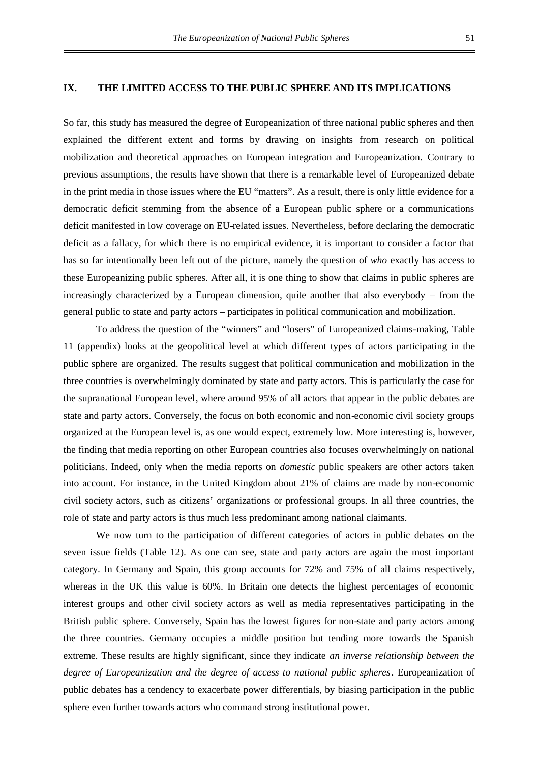### **IX. THE LIMITED ACCESS TO THE PUBLIC SPHERE AND ITS IMPLICATIONS**

So far, this study has measured the degree of Europeanization of three national public spheres and then explained the different extent and forms by drawing on insights from research on political mobilization and theoretical approaches on European integration and Europeanization. Contrary to previous assumptions, the results have shown that there is a remarkable level of Europeanized debate in the print media in those issues where the EU "matters". As a result, there is only little evidence for a democratic deficit stemming from the absence of a European public sphere or a communications deficit manifested in low coverage on EU-related issues. Nevertheless, before declaring the democratic deficit as a fallacy, for which there is no empirical evidence, it is important to consider a factor that has so far intentionally been left out of the picture, namely the question of *who* exactly has access to these Europeanizing public spheres. After all, it is one thing to show that claims in public spheres are increasingly characterized by a European dimension, quite another that also everybody – from the general public to state and party actors – participates in political communication and mobilization.

To address the question of the "winners" and "losers" of Europeanized claims-making, Table 11 (appendix) looks at the geopolitical level at which different types of actors participating in the public sphere are organized. The results suggest that political communication and mobilization in the three countries is overwhelmingly dominated by state and party actors. This is particularly the case for the supranational European level, where around 95% of all actors that appear in the public debates are state and party actors. Conversely, the focus on both economic and non-economic civil society groups organized at the European level is, as one would expect, extremely low. More interesting is, however, the finding that media reporting on other European countries also focuses overwhelmingly on national politicians. Indeed, only when the media reports on *domestic* public speakers are other actors taken into account. For instance, in the United Kingdom about 21% of claims are made by non-economic civil society actors, such as citizens' organizations or professional groups. In all three countries, the role of state and party actors is thus much less predominant among national claimants.

We now turn to the participation of different categories of actors in public debates on the seven issue fields (Table 12). As one can see, state and party actors are again the most important category. In Germany and Spain, this group accounts for 72% and 75% of all claims respectively, whereas in the UK this value is 60%. In Britain one detects the highest percentages of economic interest groups and other civil society actors as well as media representatives participating in the British public sphere. Conversely, Spain has the lowest figures for non-state and party actors among the three countries. Germany occupies a middle position but tending more towards the Spanish extreme. These results are highly significant, since they indicate *an inverse relationship between the degree of Europeanization and the degree of access to national public spheres*. Europeanization of public debates has a tendency to exacerbate power differentials, by biasing participation in the public sphere even further towards actors who command strong institutional power.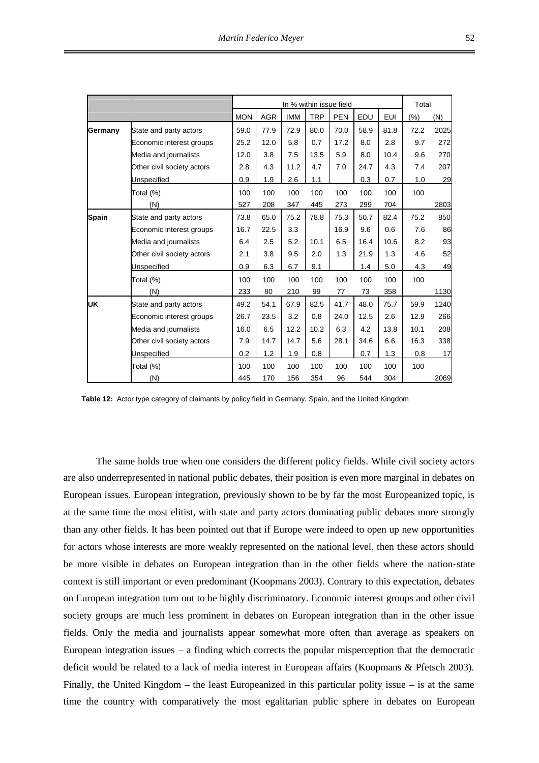|              |                            |            |            |            | In % within issue field |            |      |            | Total   |      |
|--------------|----------------------------|------------|------------|------------|-------------------------|------------|------|------------|---------|------|
|              |                            | <b>MON</b> | <b>AGR</b> | <b>IMM</b> | <b>TRP</b>              | <b>PEN</b> | EDU  | <b>EUI</b> | $(\% )$ | (N)  |
| Germany      | State and party actors     | 59.0       | 77.9       | 72.9       | 80.0                    | 70.0       | 58.9 | 81.8       | 72.2    | 2025 |
|              | Economic interest groups   | 25.2       | 12.0       | 5.8        | 0.7                     | 17.2       | 8.0  | 2.8        | 9.7     | 272  |
|              | Media and journalists      | 12.0       | 3.8        | 7.5        | 13.5                    | 5.9        | 8.0  | 10.4       | 9.6     | 270  |
|              | Other civil society actors | 2.8        | 4.3        | 11.2       | 4.7                     | 7.0        | 24.7 | 4.3        | 7.4     | 207  |
|              | <b>Unspecified</b>         | 0.9        | 1.9        | 2.6        | 1.1                     |            | 0.3  | 0.7        | 1.0     | 29   |
|              | Total (%)                  | 100        | 100        | 100        | 100                     | 100        | 100  | 100        | 100     |      |
|              | (N)                        | 527        | 208        | 347        | 445                     | 273        | 299  | 704        |         | 2803 |
| <b>Spain</b> | State and party actors     | 73.8       | 65.0       | 75.2       | 78.8                    | 75.3       | 50.7 | 82.4       | 75.2    | 850  |
|              | Economic interest groups   | 16.7       | 22.5       | 3.3        |                         | 16.9       | 9.6  | 0.6        | 7.6     | 86   |
|              | Media and journalists      | 6.4        | 2.5        | 5.2        | 10.1                    | 6.5        | 16.4 | 10.6       | 8.2     | 93   |
|              | Other civil society actors | 2.1        | 3.8        | 9.5        | 2.0                     | 1.3        | 21.9 | 1.3        | 4.6     | 52   |
|              | Unspecified                | 0.9        | 6.3        | 6.7        | 9.1                     |            | 1.4  | 5.0        | 4.3     | 49   |
|              | Total (%)                  | 100        | 100        | 100        | 100                     | 100        | 100  | 100        | 100     |      |
|              | (N)                        | 233        | 80         | 210        | 99                      | 77         | 73   | 358        |         | 1130 |
| lυĸ          | State and party actors     | 49.2       | 54.1       | 67.9       | 82.5                    | 41.7       | 48.0 | 75.7       | 59.9    | 1240 |
|              | Economic interest groups   | 26.7       | 23.5       | 3.2        | 0.8                     | 24.0       | 12.5 | 2.6        | 12.9    | 266  |
|              | Media and journalists      | 16.0       | 6.5        | 12.2       | 10.2                    | 6.3        | 4.2  | 13.8       | 10.1    | 208  |
|              | Other civil society actors | 7.9        | 14.7       | 14.7       | 5.6                     | 28.1       | 34.6 | 6.6        | 16.3    | 338  |
|              | Unspecified                | 0.2        | 1.2        | 1.9        | 0.8                     |            | 0.7  | 1.3        | 0.8     | 17   |
|              | Total (%)                  | 100        | 100        | 100        | 100                     | 100        | 100  | 100        | 100     |      |
|              | (N)                        | 445        | 170        | 156        | 354                     | 96         | 544  | 304        |         | 2069 |

**Table 12:** Actor type category of claimants by policy field in Germany, Spain, and the United Kingdom

The same holds true when one considers the different policy fields. While civil society actors are also underrepresented in national public debates, their position is even more marginal in debates on European issues. European integration, previously shown to be by far the most Europeanized topic, is at the same time the most elitist, with state and party actors dominating public debates more strongly than any other fields. It has been pointed out that if Europe were indeed to open up new opportunities for actors whose interests are more weakly represented on the national level, then these actors should be more visible in debates on European integration than in the other fields where the nation-state context is still important or even predominant (Koopmans 2003). Contrary to this expectation, debates on European integration turn out to be highly discriminatory. Economic interest groups and other civil society groups are much less prominent in debates on European integration than in the other issue fields. Only the media and journalists appear somewhat more often than average as speakers on European integration issues – a finding which corrects the popular misperception that the democratic deficit would be related to a lack of media interest in European affairs (Koopmans & Pfetsch 2003). Finally, the United Kingdom – the least Europeanized in this particular polity issue – is at the same time the country with comparatively the most egalitarian public sphere in debates on European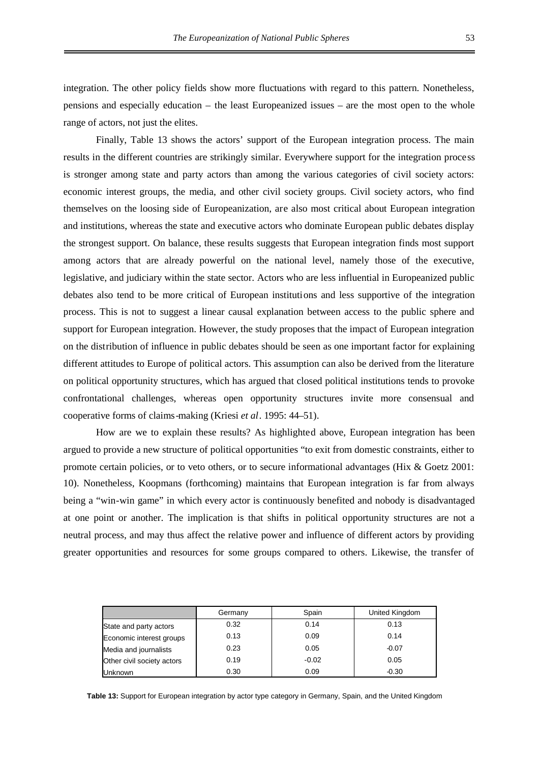integration. The other policy fields show more fluctuations with regard to this pattern. Nonetheless, pensions and especially education – the least Europeanized issues – are the most open to the whole range of actors, not just the elites.

Finally, Table 13 shows the actors' support of the European integration process. The main results in the different countries are strikingly similar. Everywhere support for the integration process is stronger among state and party actors than among the various categories of civil society actors: economic interest groups, the media, and other civil society groups. Civil society actors, who find themselves on the loosing side of Europeanization, are also most critical about European integration and institutions, whereas the state and executive actors who dominate European public debates display the strongest support. On balance, these results suggests that European integration finds most support among actors that are already powerful on the national level, namely those of the executive, legislative, and judiciary within the state sector. Actors who are less influential in Europeanized public debates also tend to be more critical of European institutions and less supportive of the integration process. This is not to suggest a linear causal explanation between access to the public sphere and support for European integration. However, the study proposes that the impact of European integration on the distribution of influence in public debates should be seen as one important factor for explaining different attitudes to Europe of political actors. This assumption can also be derived from the literature on political opportunity structures, which has argued that closed political institutions tends to provoke confrontational challenges, whereas open opportunity structures invite more consensual and cooperative forms of claims-making (Kriesi *et al*. 1995: 44–51).

How are we to explain these results? As highlighted above, European integration has been argued to provide a new structure of political opportunities "to exit from domestic constraints, either to promote certain policies, or to veto others, or to secure informational advantages (Hix & Goetz 2001: 10). Nonetheless, Koopmans (forthcoming) maintains that European integration is far from always being a "win-win game" in which every actor is continuously benefited and nobody is disadvantaged at one point or another. The implication is that shifts in political opportunity structures are not a neutral process, and may thus affect the relative power and influence of different actors by providing greater opportunities and resources for some groups compared to others. Likewise, the transfer of

|                            | Germany | Spain   | United Kingdom |
|----------------------------|---------|---------|----------------|
| State and party actors     | 0.32    | 0.14    | 0.13           |
| Economic interest groups   | 0.13    | 0.09    | 0.14           |
| Media and journalists      | 0.23    | 0.05    | $-0.07$        |
| Other civil society actors | 0.19    | $-0.02$ | 0.05           |
| <b>Unknown</b>             | 0.30    | 0.09    | $-0.30$        |

**Table 13:** Support for European integration by actor type category in Germany, Spain, and the United Kingdom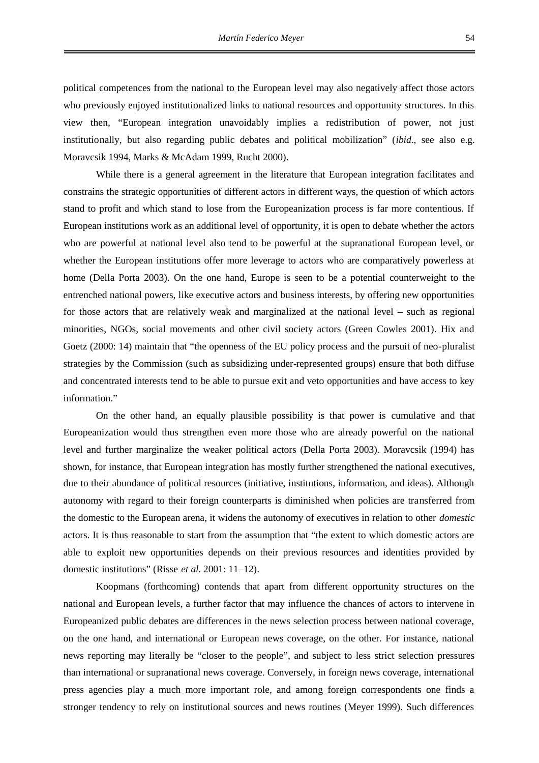political competences from the national to the European level may also negatively affect those actors who previously enjoyed institutionalized links to national resources and opportunity structures. In this view then, "European integration unavoidably implies a redistribution of power, not just institutionally, but also regarding public debates and political mobilization" (*ibid*., see also e.g. Moravcsik 1994, Marks & McAdam 1999, Rucht 2000).

While there is a general agreement in the literature that European integration facilitates and constrains the strategic opportunities of different actors in different ways, the question of which actors stand to profit and which stand to lose from the Europeanization process is far more contentious. If European institutions work as an additional level of opportunity, it is open to debate whether the actors who are powerful at national level also tend to be powerful at the supranational European level, or whether the European institutions offer more leverage to actors who are comparatively powerless at home (Della Porta 2003). On the one hand, Europe is seen to be a potential counterweight to the entrenched national powers, like executive actors and business interests, by offering new opportunities for those actors that are relatively weak and marginalized at the national level – such as regional minorities, NGOs, social movements and other civil society actors (Green Cowles 2001). Hix and Goetz (2000: 14) maintain that "the openness of the EU policy process and the pursuit of neo-pluralist strategies by the Commission (such as subsidizing under-represented groups) ensure that both diffuse and concentrated interests tend to be able to pursue exit and veto opportunities and have access to key information."

On the other hand, an equally plausible possibility is that power is cumulative and that Europeanization would thus strengthen even more those who are already powerful on the national level and further marginalize the weaker political actors (Della Porta 2003). Moravcsik (1994) has shown, for instance, that European integration has mostly further strengthened the national executives, due to their abundance of political resources (initiative, institutions, information, and ideas). Although autonomy with regard to their foreign counterparts is diminished when policies are transferred from the domestic to the European arena, it widens the autonomy of executives in relation to other *domestic* actors. It is thus reasonable to start from the assumption that "the extent to which domestic actors are able to exploit new opportunities depends on their previous resources and identities provided by domestic institutions" (Risse *et al*. 2001: 11–12).

Koopmans (forthcoming) contends that apart from different opportunity structures on the national and European levels, a further factor that may influence the chances of actors to intervene in Europeanized public debates are differences in the news selection process between national coverage, on the one hand, and international or European news coverage, on the other. For instance, national news reporting may literally be "closer to the people", and subject to less strict selection pressures than international or supranational news coverage. Conversely, in foreign news coverage, international press agencies play a much more important role, and among foreign correspondents one finds a stronger tendency to rely on institutional sources and news routines (Meyer 1999). Such differences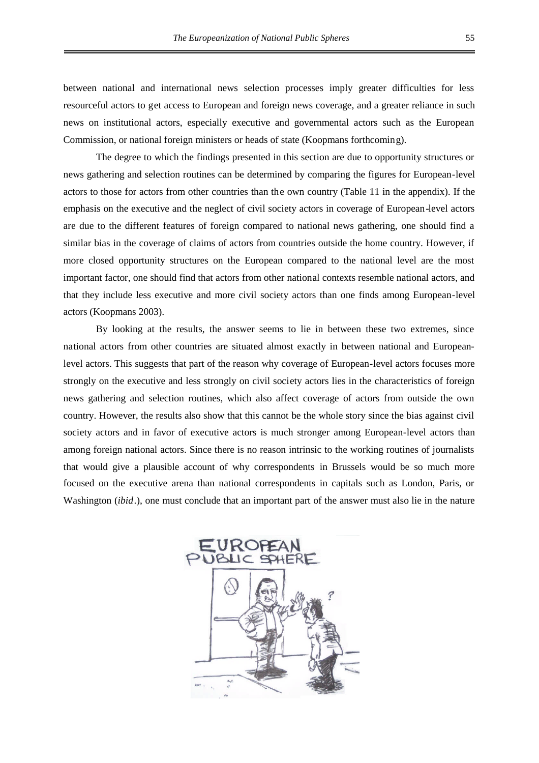between national and international news selection processes imply greater difficulties for less resourceful actors to get access to European and foreign news coverage, and a greater reliance in such news on institutional actors, especially executive and governmental actors such as the European Commission, or national foreign ministers or heads of state (Koopmans forthcoming).

The degree to which the findings presented in this section are due to opportunity structures or news gathering and selection routines can be determined by comparing the figures for European-level actors to those for actors from other countries than the own country (Table 11 in the appendix). If the emphasis on the executive and the neglect of civil society actors in coverage of European-level actors are due to the different features of foreign compared to national news gathering, one should find a similar bias in the coverage of claims of actors from countries outside the home country. However, if more closed opportunity structures on the European compared to the national level are the most important factor, one should find that actors from other national contexts resemble national actors, and that they include less executive and more civil society actors than one finds among European-level actors (Koopmans 2003).

By looking at the results, the answer seems to lie in between these two extremes, since national actors from other countries are situated almost exactly in between national and Europeanlevel actors. This suggests that part of the reason why coverage of European-level actors focuses more strongly on the executive and less strongly on civil society actors lies in the characteristics of foreign news gathering and selection routines, which also affect coverage of actors from outside the own country. However, the results also show that this cannot be the whole story since the bias against civil society actors and in favor of executive actors is much stronger among European-level actors than among foreign national actors. Since there is no reason intrinsic to the working routines of journalists that would give a plausible account of why correspondents in Brussels would be so much more focused on the executive arena than national correspondents in capitals such as London, Paris, or Washington (*ibid*.), one must conclude that an important part of the answer must also lie in the nature

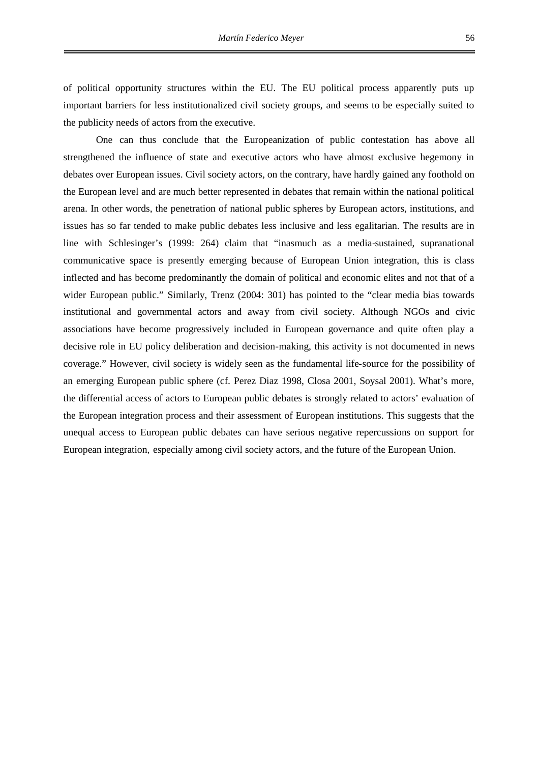of political opportunity structures within the EU. The EU political process apparently puts up important barriers for less institutionalized civil society groups, and seems to be especially suited to the publicity needs of actors from the executive.

One can thus conclude that the Europeanization of public contestation has above all strengthened the influence of state and executive actors who have almost exclusive hegemony in debates over European issues. Civil society actors, on the contrary, have hardly gained any foothold on the European level and are much better represented in debates that remain within the national political arena. In other words, the penetration of national public spheres by European actors, institutions, and issues has so far tended to make public debates less inclusive and less egalitarian. The results are in line with Schlesinger's (1999: 264) claim that "inasmuch as a media-sustained, supranational communicative space is presently emerging because of European Union integration, this is class inflected and has become predominantly the domain of political and economic elites and not that of a wider European public." Similarly, Trenz (2004: 301) has pointed to the "clear media bias towards institutional and governmental actors and away from civil society. Although NGOs and civic associations have become progressively included in European governance and quite often play a decisive role in EU policy deliberation and decision-making, this activity is not documented in news coverage." However, civil society is widely seen as the fundamental life-source for the possibility of an emerging European public sphere (cf. Perez Diaz 1998, Closa 2001, Soysal 2001). What's more, the differential access of actors to European public debates is strongly related to actors' evaluation of the European integration process and their assessment of European institutions. This suggests that the unequal access to European public debates can have serious negative repercussions on support for European integration, especially among civil society actors, and the future of the European Union.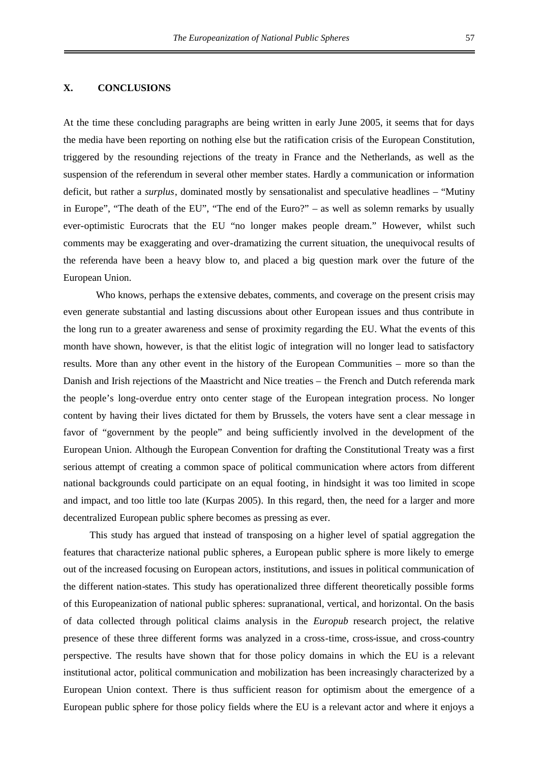## **X. CONCLUSIONS**

At the time these concluding paragraphs are being written in early June 2005, it seems that for days the media have been reporting on nothing else but the ratification crisis of the European Constitution, triggered by the resounding rejections of the treaty in France and the Netherlands, as well as the suspension of the referendum in several other member states. Hardly a communication or information deficit, but rather a *surplus*, dominated mostly by sensationalist and speculative headlines – "Mutiny in Europe", "The death of the EU", "The end of the Euro?" – as well as solemn remarks by usually ever-optimistic Eurocrats that the EU "no longer makes people dream." However, whilst such comments may be exaggerating and over-dramatizing the current situation, the unequivocal results of the referenda have been a heavy blow to, and placed a big question mark over the future of the European Union.

Who knows, perhaps the extensive debates, comments, and coverage on the present crisis may even generate substantial and lasting discussions about other European issues and thus contribute in the long run to a greater awareness and sense of proximity regarding the EU. What the events of this month have shown, however, is that the elitist logic of integration will no longer lead to satisfactory results. More than any other event in the history of the European Communities – more so than the Danish and Irish rejections of the Maastricht and Nice treaties – the French and Dutch referenda mark the people's long-overdue entry onto center stage of the European integration process. No longer content by having their lives dictated for them by Brussels, the voters have sent a clear message in favor of "government by the people" and being sufficiently involved in the development of the European Union. Although the European Convention for drafting the Constitutional Treaty was a first serious attempt of creating a common space of political communication where actors from different national backgrounds could participate on an equal footing, in hindsight it was too limited in scope and impact, and too little too late (Kurpas 2005). In this regard, then, the need for a larger and more decentralized European public sphere becomes as pressing as ever.

This study has argued that instead of transposing on a higher level of spatial aggregation the features that characterize national public spheres, a European public sphere is more likely to emerge out of the increased focusing on European actors, institutions, and issues in political communication of the different nation-states. This study has operationalized three different theoretically possible forms of this Europeanization of national public spheres: supranational, vertical, and horizontal. On the basis of data collected through political claims analysis in the *Europub* research project, the relative presence of these three different forms was analyzed in a cross-time, cross-issue, and cross-country perspective. The results have shown that for those policy domains in which the EU is a relevant institutional actor, political communication and mobilization has been increasingly characterized by a European Union context. There is thus sufficient reason for optimism about the emergence of a European public sphere for those policy fields where the EU is a relevant actor and where it enjoys a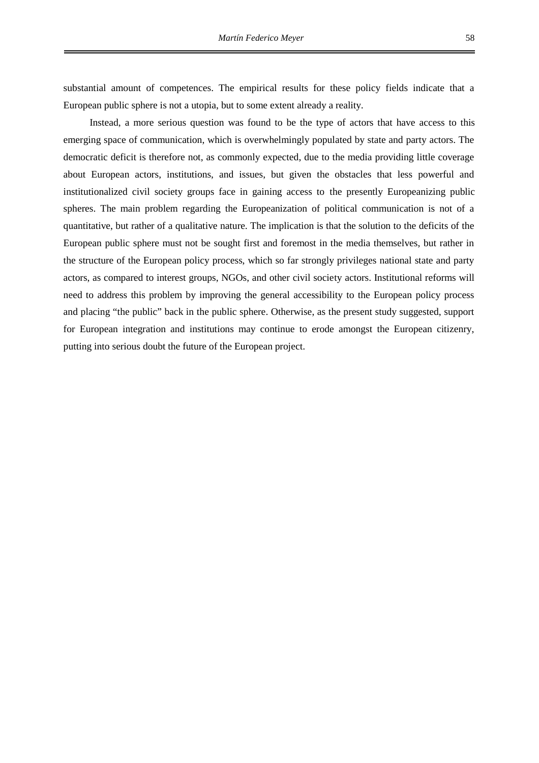substantial amount of competences. The empirical results for these policy fields indicate that a European public sphere is not a utopia, but to some extent already a reality.

Instead, a more serious question was found to be the type of actors that have access to this emerging space of communication, which is overwhelmingly populated by state and party actors. The democratic deficit is therefore not, as commonly expected, due to the media providing little coverage about European actors, institutions, and issues, but given the obstacles that less powerful and institutionalized civil society groups face in gaining access to the presently Europeanizing public spheres. The main problem regarding the Europeanization of political communication is not of a quantitative, but rather of a qualitative nature. The implication is that the solution to the deficits of the European public sphere must not be sought first and foremost in the media themselves, but rather in the structure of the European policy process, which so far strongly privileges national state and party actors, as compared to interest groups, NGOs, and other civil society actors. Institutional reforms will need to address this problem by improving the general accessibility to the European policy process and placing "the public" back in the public sphere. Otherwise, as the present study suggested, support for European integration and institutions may continue to erode amongst the European citizenry, putting into serious doubt the future of the European project.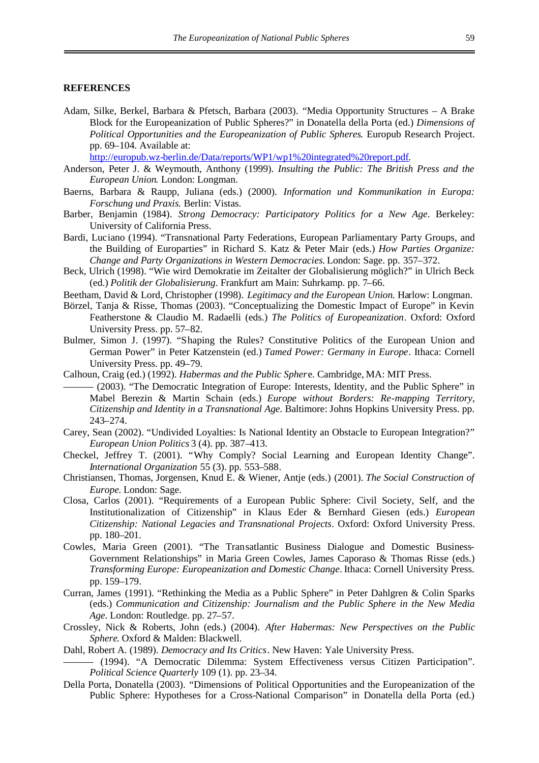#### **REFERENCES**

Adam, Silke, Berkel, Barbara & Pfetsch, Barbara (2003). "Media Opportunity Structures – A Brake Block for the Europeanization of Public Spheres?" in Donatella della Porta (ed.) *Dimensions of Political Opportunities and the Europeanization of Public Spheres*. Europub Research Project. pp. 69–104. Available at:

[http://europub.wz-berlin.de/Data/reports/WP1/wp1%20integrated%20report.pdf.](http://europub.wz-berlin.de/Data/reports/WP1/wp1 integrated report.pdf)

- Anderson, Peter J. & Weymouth, Anthony (1999). *Insulting the Public: The British Press and the European Union*. London: Longman.
- Baerns, Barbara & Raupp, Juliana (eds.) (2000). *Information und Kommunikation in Europa: Forschung und Praxis*. Berlin: Vistas.
- Barber, Benjamin (1984). *Strong Democracy: Participatory Politics for a New Age*. Berkeley: University of California Press.
- Bardi, Luciano (1994). "Transnational Party Federations, European Parliamentary Party Groups, and the Building of Europarties" in Richard S. Katz & Peter Mair (eds.) *How Parties Organize: Change and Party Organizations in Western Democracies*. London: Sage. pp. 357–372.
- Beck, Ulrich (1998). "Wie wird Demokratie im Zeitalter der Globalisierung möglich?" in Ulrich Beck (ed.) *Politik der Globalisierung*. Frankfurt am Main: Suhrkamp. pp. 7–66.
- Beetham, David & Lord, Christopher (1998). *Legitimacy and the European Union.* Harlow: Longman.
- Börzel, Tanja & Risse, Thomas (2003). "Conceptualizing the Domestic Impact of Europe" in Kevin Featherstone & Claudio M. Radaelli (eds.) *The Politics of Europeanization*. Oxford: Oxford University Press. pp. 57–82.
- Bulmer, Simon J. (1997). "Shaping the Rules? Constitutive Politics of the European Union and German Power" in Peter Katzenstein (ed.) *Tamed Power: Germany in Europe*. Ithaca: Cornell University Press. pp. 49–79.
- Calhoun, Craig (ed.) (1992). *Habermas and the Public Spher*e. Cambridge, MA: MIT Press.
	- ——— (2003). "The Democratic Integration of Europe: Interests, Identity, and the Public Sphere" in Mabel Berezin & Martin Schain (eds.) *Europe without Borders: Re-mapping Territory, Citizenship and Identity in a Transnational Age*. Baltimore: Johns Hopkins University Press. pp. 243–274.
- Carey, Sean (2002). "Undivided Loyalties: Is National Identity an Obstacle to European Integration?" *European Union Politics* 3 (4). pp. 387–413.
- Checkel, Jeffrey T. (2001). "Why Comply? Social Learning and European Identity Change". *International Organization* 55 (3). pp. 553–588.
- Christiansen, Thomas, Jorgensen, Knud E. & Wiener, Antje (eds.) (2001). *The Social Construction of Europe*. London: Sage.
- Closa, Carlos (2001). "Requirements of a European Public Sphere: Civil Society, Self, and the Institutionalization of Citizenship" in Klaus Eder & Bernhard Giesen (eds.) *European Citizenship: National Legacies and Transnational Projects*. Oxford: Oxford University Press. pp. 180–201.
- Cowles, Maria Green (2001). "The Transatlantic Business Dialogue and Domestic Business-Government Relationships" in Maria Green Cowles, James Caporaso & Thomas Risse (eds.) *Transforming Europe: Europeanization and Domestic Change*. Ithaca: Cornell University Press. pp. 159–179.
- Curran, James (1991). "Rethinking the Media as a Public Sphere" in Peter Dahlgren & Colin Sparks (eds.) *Communication and Citizenship: Journalism and the Public Sphere in the New Media Age*. London: Routledge. pp. 27–57.
- Crossley, Nick & Roberts, John (eds.) (2004). *After Habermas: New Perspectives on the Public Sphere*. Oxford & Malden: Blackwell.
- Dahl, Robert A. (1989). *Democracy and Its Critics*. New Haven: Yale University Press.
- ——— (1994). "A Democratic Dilemma: System Effectiveness versus Citizen Participation". *Political Science Quarterly* 109 (1). pp. 23–34.
- Della Porta, Donatella (2003). "Dimensions of Political Opportunities and the Europeanization of the Public Sphere: Hypotheses for a Cross-National Comparison" in Donatella della Porta (ed.)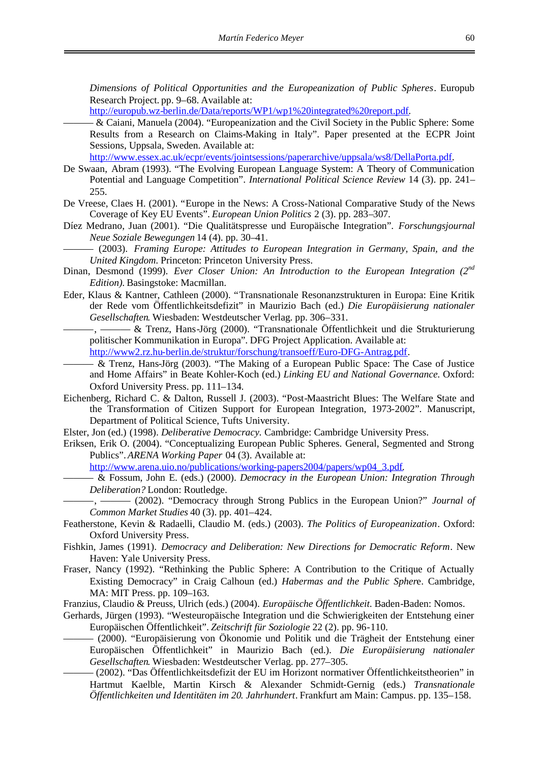*Dimensions of Political Opportunities and the Europeanization of Public Spheres*. Europub Research Project. pp. 9–68. Available at:

[http://europub.wz-berlin.de/Data/reports/WP1/wp1%20integrated%20report.pdf.](http://europub.wz-berlin.de/Data/reports/WP1/wp1 integrated report.pdf)

——— & Caiani, Manuela (2004). "Europeanization and the Civil Society in the Public Sphere: Some Results from a Research on Claims-Making in Italy". Paper presented at the ECPR Joint Sessions, Uppsala, Sweden. Available at:

[http://www.essex.ac.uk/ecpr/events/jointsessions/paperarchive/uppsala/ws8/DellaPorta.pdf.](http://www.essex.ac.uk/ecpr/events/jointsessions/paperarchive/uppsala/ws8/DellaPorta.pdf)

- De Swaan, Abram (1993). "The Evolving European Language System: A Theory of Communication Potential and Language Competition". *International Political Science Review* 14 (3). pp. 241– 255.
- De Vreese, Claes H. (2001). "Europe in the News: A Cross-National Comparative Study of the News Coverage of Key EU Events". *European Union Politics* 2 (3). pp. 283–307.
- Díez Medrano, Juan (2001). "Die Qualitätspresse und Europäische Integration". *Forschungsjournal Neue Soziale Bewegungen* 14 (4). pp. 30–41.
	- ——— (2003). *Framing Europe: Attitudes to European Integration in Germany, Spain, and the United Kingdom*. Princeton: Princeton University Press.
- Dinan, Desmond (1999). *Ever Closer Union: An Introduction to the European Integration* (2<sup>nd</sup> *Edition)*. Basingstoke: Macmillan.
- Eder, Klaus & Kantner, Cathleen (2000). "Transnationale Resonanzstrukturen in Europa: Eine Kritik der Rede vom Öffentlichkeitsdefizit" in Maurizio Bach (ed.) *Die Europäisierung nationaler Gesellschaften*. Wiesbaden: Westdeutscher Verlag. pp. 306–331.
	- ———, ——— & Trenz, Hans-Jörg (2000). "Transnationale Öffentlichkeit und die Strukturierung politischer Kommunikation in Europa". DFG Project Application. Available at:

[http://www2.rz.hu-berlin.de/struktur/forschung/transoeff/Euro-DFG-Antrag.pdf.](http://www2.rz.hu-berlin.de/struktur/forschung/transoeff/Euro-DFG-Antrag.pdf)

- ——— & Trenz, Hans-Jörg (2003). "The Making of a European Public Space: The Case of Justice and Home Affairs" in Beate Kohler-Koch (ed.) *Linking EU and National Governance*. Oxford: Oxford University Press. pp. 111–134.
- Eichenberg, Richard C. & Dalton, Russell J. (2003). "Post-Maastricht Blues: The Welfare State and the Transformation of Citizen Support for European Integration, 1973-2002". Manuscript, Department of Political Science, Tufts University.
- Elster, Jon (ed.) (1998). *Deliberative Democracy*. Cambridge: Cambridge University Press.
- Eriksen, Erik O. (2004). "Conceptualizing European Public Spheres. General, Segmented and Strong Publics". *ARENA Working Paper* 04 (3). Available at:

[http://www.arena.uio.no/publications/working-papers2004/papers/wp04\\_3.pdf.](http://www.arena.uio.no/publications/working-papers2004/papers/wp04_3.pdf)

——— & Fossum, John E. (eds.) (2000). *Democracy in the European Union: Integration Through Deliberation?* London: Routledge.

———, ——— (2002). "Democracy through Strong Publics in the European Union?" *Journal of Common Market Studies* 40 (3). pp. 401–424.

- Featherstone, Kevin & Radaelli, Claudio M. (eds.) (2003). *The Politics of Europeanization*. Oxford: Oxford University Press.
- Fishkin, James (1991). *Democracy and Deliberation: New Directions for Democratic Reform*. New Haven: Yale University Press.
- Fraser, Nancy (1992). "Rethinking the Public Sphere: A Contribution to the Critique of Actually Existing Democracy" in Craig Calhoun (ed.) *Habermas and the Public Spher*e. Cambridge, MA: MIT Press. pp. 109–163.

Franzius, Claudio & Preuss, Ulrich (eds.) (2004). *Europäische Öffentlichkeit*. Baden-Baden: Nomos.

- Gerhards, Jürgen (1993). "Westeuropäische Integration und die Schwierigkeiten der Entstehung einer Europäischen Öffentlichkeit". *Zeitschrift für Soziologie* 22 (2). pp. 96-110.
	- ——— (2000). "Europäisierung von Ökonomie und Politik und die Trägheit der Entstehung einer Europäischen Öffentlichkeit" in Maurizio Bach (ed.). *Die Europäisierung nationaler Gesellschaften*. Wiesbaden: Westdeutscher Verlag. pp. 277–305.
		- ——— (2002). "Das Öffentlichkeitsdefizit der EU im Horizont normativer Öffentlichkeitstheorien" in Hartmut Kaelble, Martin Kirsch & Alexander Schmidt-Gernig (eds.) *Transnationale Öffentlichkeiten und Identitäten im 20. Jahrhundert*. Frankfurt am Main: Campus. pp. 135–158.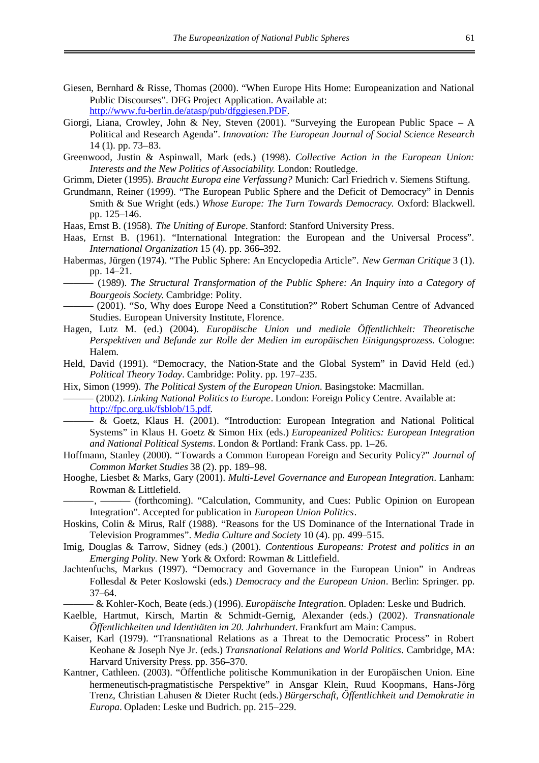- Giesen, Bernhard & Risse, Thomas (2000). "When Europe Hits Home: Europeanization and National Public Discourses". DFG Project Application. Available at: [http://www.fu-berlin.de/atasp/pub/dfggiesen.PDF.](http://www.fu-berlin.de/atasp/pub/dfggiesen.PDF)
- Giorgi, Liana, Crowley, John & Ney, Steven (2001). "Surveying the European Public Space A Political and Research Agenda". *Innovation: The European Journal of Social Science Research* 14 (1). pp. 73–83.
- Greenwood, Justin & Aspinwall, Mark (eds.) (1998). *Collective Action in the European Union: Interests and the New Politics of Associability*. London: Routledge.
- Grimm, Dieter (1995). *Braucht Europa eine Verfassung?* Munich: Carl Friedrich v. Siemens Stiftung.
- Grundmann, Reiner (1999). "The European Public Sphere and the Deficit of Democracy" in Dennis Smith & Sue Wright (eds.) *Whose Europe: The Turn Towards Democracy*. Oxford: Blackwell. pp. 125–146.
- Haas, Ernst B. (1958). *The Uniting of Europe*. Stanford: Stanford University Press.
- Haas, Ernst B. (1961). "International Integration: the European and the Universal Process". *International Organization* 15 (4). pp. 366–392.
- Habermas, Jürgen (1974). "The Public Sphere: An Encyclopedia Article". *New German Critique* 3 (1). pp. 14–21.
- ——— (1989). *The Structural Transformation of the Public Sphere: An Inquiry into a Category of Bourgeois Society*. Cambridge: Polity.
- ——— (2001). "So, Why does Europe Need a Constitution?" Robert Schuman Centre of Advanced Studies. European University Institute, Florence.
- Hagen, Lutz M. (ed.) (2004). *Europäische Union und mediale Öffentlichkeit: Theoretische Perspektiven und Befunde zur Rolle der Medien im europäischen Einigungsprozess.* Cologne: Halem.
- Held, David (1991). "Democracy, the Nation-State and the Global System" in David Held (ed.) *Political Theory Today*. Cambridge: Polity. pp. 197–235.
- Hix, Simon (1999). *The Political System of the European Union*. Basingstoke: Macmillan.
- ——— (2002). *Linking National Politics to Europe*. London: Foreign Policy Centre. Available at: [http://fpc.org.uk/fsblob/15.pdf.](http://fpc.org.uk/fsblob/15.pdf)
	- ——— & Goetz, Klaus H. (2001). "Introduction: European Integration and National Political Systems" in Klaus H. Goetz & Simon Hix (eds.) *Europeanized Politics: European Integration and National Political Systems*. London & Portland: Frank Cass. pp. 1–26.
- Hoffmann, Stanley (2000). "Towards a Common European Foreign and Security Policy?" *Journal of Common Market Studies* 38 (2). pp. 189–98.
- Hooghe, Liesbet & Marks, Gary (2001). *Multi-Level Governance and European Integration*. Lanham: Rowman & Littlefield.

 $-$ , ——— (forthcoming). "Calculation, Community, and Cues: Public Opinion on European Integration". Accepted for publication in *European Union Politics*.

- Hoskins, Colin & Mirus, Ralf (1988). "Reasons for the US Dominance of the International Trade in Television Programmes". *Media Culture and Society* 10 (4). pp. 499–515.
- Imig, Douglas & Tarrow, Sidney (eds.) (2001). *Contentious Europeans: Protest and politics in an Emerging Polity*. New York & Oxford: Rowman & Littlefield.
- Jachtenfuchs, Markus (1997). "Democracy and Governance in the European Union" in Andreas Follesdal & Peter Koslowski (eds.) *Democracy and the European Union*. Berlin: Springer. pp. 37–64.
	- ——— & Kohler-Koch, Beate (eds.) (1996). *Europäische Integratio*n. Opladen: Leske und Budrich.
- Kaelble, Hartmut, Kirsch, Martin & Schmidt-Gernig, Alexander (eds.) (2002). *Transnationale Öffentlichkeiten und Identitäten im 20. Jahrhundert*. Frankfurt am Main: Campus.
- Kaiser, Karl (1979). "Transnational Relations as a Threat to the Democratic Process" in Robert Keohane & Joseph Nye Jr. (eds.) *Transnational Relations and World Politics*. Cambridge, MA: Harvard University Press. pp. 356–370.
- Kantner, Cathleen. (2003). "Öffentliche politische Kommunikation in der Europäischen Union. Eine hermeneutisch-pragmatistische Perspektive" in Ansgar Klein, Ruud Koopmans, Hans-Jörg Trenz, Christian Lahusen & Dieter Rucht (eds.) *Bürgerschaft, Öffentlichkeit und Demokratie in Europa*. Opladen: Leske und Budrich. pp. 215–229.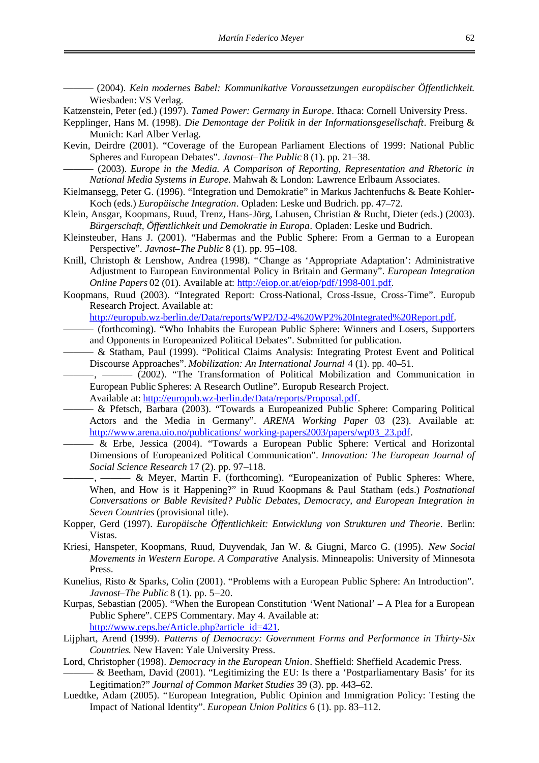——— (2004). *Kein modernes Babel: Kommunikative Voraussetzungen europäischer Öffentlichkeit*. Wiesbaden: VS Verlag.

Katzenstein, Peter (ed.) (1997). *Tamed Power: Germany in Europe*. Ithaca: Cornell University Press.

- Kepplinger, Hans M. (1998). *Die Demontage der Politik in der Informationsgesellschaft*. Freiburg & Munich: Karl Alber Verlag.
- Kevin, Deirdre (2001). "Coverage of the European Parliament Elections of 1999: National Public Spheres and European Debates". *Javnost–The Public* 8 (1). pp. 21–38.

——— (2003). *Europe in the Media. A Comparison of Reporting, Representation and Rhetoric in National Media Systems in Europe*. Mahwah & London: Lawrence Erlbaum Associates.

- Kielmansegg, Peter G. (1996). "Integration und Demokratie" in Markus Jachtenfuchs & Beate Kohler-Koch (eds.) *Europäische Integration*. Opladen: Leske und Budrich. pp. 47–72.
- Klein, Ansgar, Koopmans, Ruud, Trenz, Hans-Jörg, Lahusen, Christian & Rucht, Dieter (eds.) (2003). *Bürgerschaft, Öffentlichkeit und Demokratie in Europa*. Opladen: Leske und Budrich.
- Kleinsteuber, Hans J. (2001). "Habermas and the Public Sphere: From a German to a European Perspective". *Javnost–The Public* 8 (1). pp. 95–108.
- Knill, Christoph & Lenshow, Andrea (1998). "Change as 'Appropriate Adaptation': Administrative Adjustment to European Environmental Policy in Britain and Germany". *European Integration Online Papers* 02 (01). Available at: [http://eiop.or.at/eiop/pdf/1998-001.pdf.](http://eiop.or.at/eiop/pdf/1998-001.pdf)
- Koopmans, Ruud (2003). "Integrated Report: Cross-National, Cross-Issue, Cross-Time". Europub Research Project. Available at:

[http://europub.wz-berlin.de/Data/reports/WP2/D2-4%20WP2%20Integrated%20Report.pdf.](http://europub.wz-berlin.de/Data/reports/WP2/D2-4 WP2 Integrated Report.pdf)

- ——— (forthcoming). "Who Inhabits the European Public Sphere: Winners and Losers, Supporters and Opponents in Europeanized Political Debates". Submitted for publication.
- ——— & Statham, Paul (1999). "Political Claims Analysis: Integrating Protest Event and Political Discourse Approaches". *Mobilization: An International Journal* 4 (1). pp. 40–51.

- (2002). "The Transformation of Political Mobilization and Communication in European Public Spheres: A Research Outline". Europub Research Project.

- Available at: [http://europub.wz-berlin.de/Data/reports/Proposal.pdf.](http://europub.wz-berlin.de/Data/reports/Proposal.pdf)
- ——— & Pfetsch, Barbara (2003). "Towards a Europeanized Public Sphere: Comparing Political Actors and the Media in Germany". *ARENA Working Paper* 03 (23). Available at: http://www.arena.uio.no/publications/working-papers2003/papers/wp03\_23.pdf.
- $-\&$  Erbe, Jessica (2004). "Towards a European Public Sphere: Vertical and Horizontal Dimensions of Europeanized Political Communication". *Innovation: The European Journal of Social Science Research* 17 (2). pp. 97–118.
- -, ——— & Meyer, Martin F. (forthcoming). "Europeanization of Public Spheres: Where, When, and How is it Happening?" in Ruud Koopmans & Paul Statham (eds.) *Postnational Conversations or Bable Revisited? Public Debates, Democracy, and European Integration in Seven Countries* (provisional title).
- Kopper, Gerd (1997). *Europäische Öffentlichkeit: Entwicklung von Strukturen und Theorie*. Berlin: Vistas.
- Kriesi, Hanspeter, Koopmans, Ruud, Duyvendak, Jan W. & Giugni, Marco G. (1995). *New Social Movements in Western Europe. A Comparative* Analysis. Minneapolis: University of Minnesota Press.
- Kunelius, Risto & Sparks, Colin (2001). "Problems with a European Public Sphere: An Introduction". *Javnost–The Public* 8 (1). pp. 5–20.
- Kurpas, Sebastian (2005). "When the European Constitution 'Went National' A Plea for a European Public Sphere". CEPS Commentary. May 4. Available at: [http://www.ceps.be/Article.php?article\\_id=421.](http://www.ceps.be/Article.php?article_id=421)
- Lijphart, Arend (1999). *Patterns of Democracy: Government Forms and Performance in Thirty-Six Countries*. New Haven: Yale University Press.
- Lord, Christopher (1998). *Democracy in the European Union*. Sheffield: Sheffield Academic Press.
- ——— & Beetham, David (2001). "Legitimizing the EU: Is there a 'Postparliamentary Basis' for its Legitimation?" *Journal of Common Market Studies* 39 (3). pp. 443–62.
- Luedtke, Adam (2005). "European Integration, Public Opinion and Immigration Policy: Testing the Impact of National Identity". *European Union Politics* 6 (1). pp. 83–112.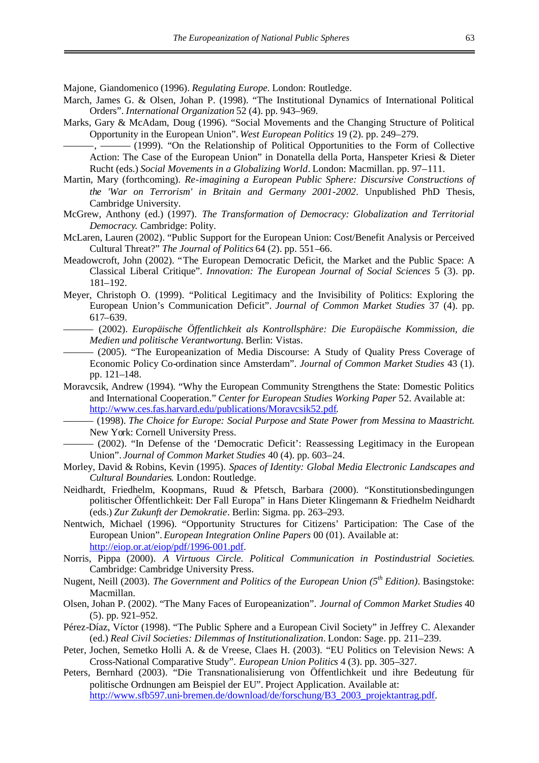Majone, Giandomenico (1996). *Regulating Europe*. London: Routledge.

- March, James G. & Olsen, Johan P. (1998). "The Institutional Dynamics of International Political Orders". *International Organization* 52 (4). pp. 943–969.
- Marks, Gary & McAdam, Doug (1996). "Social Movements and the Changing Structure of Political Opportunity in the European Union". *West European Politics* 19 (2). pp. 249–279.
- ———, ——— (1999). "On the Relationship of Political Opportunities to the Form of Collective Action: The Case of the European Union" in Donatella della Porta, Hanspeter Kriesi & Dieter Rucht (eds.) *Social Movements in a Globalizing World*. London: Macmillan. pp. 97–111.
- Martin, Mary (forthcoming). *Re-imagining a European Public Sphere: Discursive Constructions of the 'War on Terrorism' in Britain and Germany 2001-2002*. Unpublished PhD Thesis, Cambridge University.
- McGrew, Anthony (ed.) (1997). *The Transformation of Democracy: Globalization and Territorial Democracy*. Cambridge: Polity.
- McLaren, Lauren (2002). "Public Support for the European Union: Cost/Benefit Analysis or Perceived Cultural Threat?" *The Journal of Politics* 64 (2). pp. 551–66.
- Meadowcroft, John (2002). "The European Democratic Deficit, the Market and the Public Space: A Classical Liberal Critique". *Innovation: The European Journal of Social Sciences* 5 (3). pp. 181–192.
- Meyer, Christoph O. (1999). "Political Legitimacy and the Invisibility of Politics: Exploring the European Union's Communication Deficit". *Journal of Common Market Studies* 37 (4). pp. 617–639.
	- ——— (2002). *Europäische Öffentlichkeit als Kontrollsphäre: Die Europäische Kommission, die Medien und politische Verantwortung*. Berlin: Vistas.
- ——— (2005). "The Europeanization of Media Discourse: A Study of Quality Press Coverage of Economic Policy Co-ordination since Amsterdam". *Journal of Common Market Studies* 43 (1). pp. 121–148.
- Moravcsik, Andrew (1994). "Why the European Community Strengthens the State: Domestic Politics and International Cooperation." *Center for European Studies Working Paper* 52. Available at: [http://www.ces.fas.harvard.edu/publications/Moravcsik52.pdf.](http://www.ces.fas.harvard.edu/publications/Moravcsik52.pdf)
	- ——— (1998). *The Choice for Europe: Social Purpose and State Power from Messina to Maastricht*. New York: Cornell University Press.
	- ——— (2002). "In Defense of the 'Democratic Deficit': Reassessing Legitimacy in the European Union". *Journal of Common Market Studies* 40 (4). pp. 603–24.
- Morley, David & Robins, Kevin (1995). *Spaces of Identity: Global Media Electronic Landscapes and Cultural Boundaries*. London: Routledge.
- Neidhardt, Friedhelm, Koopmans, Ruud & Pfetsch, Barbara (2000). "Konstitutionsbedingungen politischer Öffentlichkeit: Der Fall Europa" in Hans Dieter Klingemann & Friedhelm Neidhardt (eds.) *Zur Zukunft der Demokratie*. Berlin: Sigma. pp. 263–293.
- Nentwich, Michael (1996). "Opportunity Structures for Citizens' Participation: The Case of the European Union". *European Integration Online Papers* 00 (01). Available at: [http://eiop.or.at/eiop/pdf/1996-001.pdf.](http://eiop.or.at/eiop/pdf/1996-001.pdf)
- Norris, Pippa (2000). *A Virtuous Circle. Political Communication in Postindustrial Societies*. Cambridge: Cambridge University Press.
- Nugent, Neill (2003). *The Government and Politics of the European Union (5th Edition)*. Basingstoke: Macmillan.
- Olsen, Johan P. (2002). "The Many Faces of Europeanization". *Journal of Common Market Studies* 40 (5). pp. 921–952.
- Pérez-Díaz, Víctor (1998). "The Public Sphere and a European Civil Society" in Jeffrey C. Alexander (ed.) *Real Civil Societies: Dilemmas of Institutionalization*. London: Sage. pp. 211–239.
- Peter, Jochen, Semetko Holli A. & de Vreese, Claes H. (2003). "EU Politics on Television News: A Cross-National Comparative Study". *European Union Politics* 4 (3). pp. 305–327.
- Peters, Bernhard (2003). "Die Transnationalisierung von Öffentlichkeit und ihre Bedeutung für politische Ordnungen am Beispiel der EU". Project Application. Available at: [http://www.sfb597.uni-bremen.de/download/de/forschung/B3\\_2003\\_projektantrag.pdf.](http://www.sfb597.uni-bremen.de/download/de/forschung/B3_2003_projektantrag.pdf)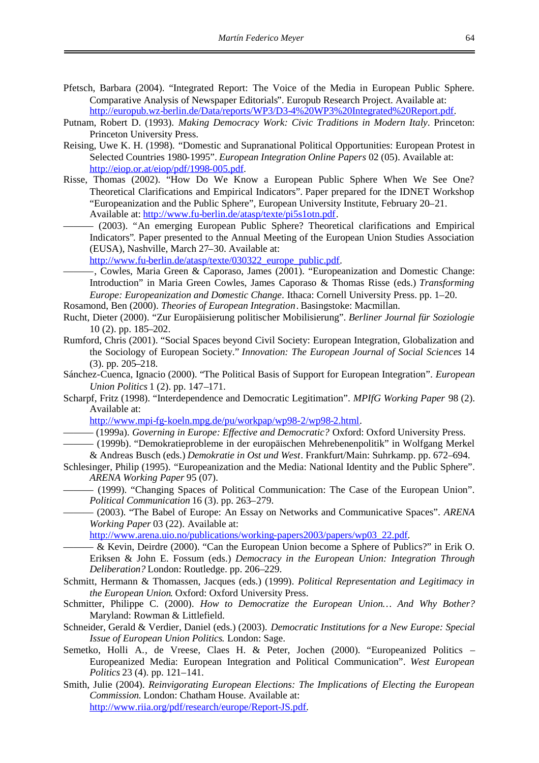- Pfetsch, Barbara (2004). "Integrated Report: The Voice of the Media in European Public Sphere. Comparative Analysis of Newspaper Editorials". Europub Research Project. Available at: [http://europub.wz-berlin.de/Data/reports/WP3/D3-4%20WP3%20Integrated%20Report.pdf.](http://europub.wz-berlin.de/Data/reports/WP3/D3-4 WP3 Integrated Report.pdf)
- Putnam, Robert D. (1993). *Making Democracy Work: Civic Traditions in Modern Italy*. Princeton: Princeton University Press.
- Reising, Uwe K. H. (1998). "Domestic and Supranational Political Opportunities: European Protest in Selected Countries 1980-1995". *European Integration Online Papers* 02 (05). Available at: [http://eiop.or.at/eiop/pdf/1998-005.pdf.](http://eiop.or.at/eiop/pdf/1998-005.pdf)
- Risse, Thomas (2002). "How Do We Know a European Public Sphere When We See One? Theoretical Clarifications and Empirical Indicators". Paper prepared for the IDNET Workshop "Europeanization and the Public Sphere", European University Institute, February 20–21. Available at: [http://www.fu-berlin.de/atasp/texte/pi5s1otn.pdf.](http://www.fu-berlin.de/atasp/texte/pi5s1otn.pdf)
	- ——— (2003). "An emerging European Public Sphere? Theoretical clarifications and Empirical Indicators". Paper presented to the Annual Meeting of the European Union Studies Association (EUSA), Nashville, March 27–30. Available at:

[http://www.fu-berlin.de/atasp/texte/030322\\_europe\\_public.pdf.](http://www.fu-berlin.de/atasp/texte/030322_europe_public.pdf)

 $-$ , Cowles, Maria Green & Caporaso, James (2001). "Europeanization and Domestic Change: Introduction" in Maria Green Cowles, James Caporaso & Thomas Risse (eds.) *Transforming Europe: Europeanization and Domestic Change*. Ithaca: Cornell University Press. pp. 1–20.

Rosamond, Ben (2000). *Theories of European Integration*. Basingstoke: Macmillan.

- Rucht, Dieter (2000). "Zur Europäisierung politischer Mobilisierung". *Berliner Journal für Soziologie* 10 (2). pp. 185–202.
- Rumford, Chris (2001). "Social Spaces beyond Civil Society: European Integration, Globalization and the Sociology of European Society." *Innovation: The European Journal of Social Sciences* 14 (3). pp. 205–218.
- Sánchez-Cuenca, Ignacio (2000). "The Political Basis of Support for European Integration". *European Union Politics* 1 (2). pp. 147–171.
- Scharpf, Fritz (1998). "Interdependence and Democratic Legitimation". *MPIfG Working Paper* 98 (2). Available at:

[http://www.mpi-fg-koeln.mpg.de/pu/workpap/wp98-2/wp98-2.html.](http://www.mpi-fg-koeln.mpg.de/pu/workpap/wp98-2/wp98-2.html)

——— (1999a). *Governing in Europe: Effective and Democratic?* Oxford: Oxford University Press.

- ——— (1999b). "Demokratieprobleme in der europäischen Mehrebenenpolitik" in Wolfgang Merkel & Andreas Busch (eds.) *Demokratie in Ost und West*. Frankfurt/Main: Suhrkamp. pp. 672–694.
- Schlesinger, Philip (1995). "Europeanization and the Media: National Identity and the Public Sphere". *ARENA Working Paper* 95 (07).
	- ——— (1999). "Changing Spaces of Political Communication: The Case of the European Union". *Political Communication* 16 (3). pp. 263–279.

——— (2003). "The Babel of Europe: An Essay on Networks and Communicative Spaces". *ARENA Working Paper* 03 (22). Available at:

[http://www.arena.uio.no/publications/working-papers2003/papers/wp03\\_22.pdf.](http://www.arena.uio.no/publications/working-papers2003/papers/wp03_22.pdf)

- ——— & Kevin, Deirdre (2000). "Can the European Union become a Sphere of Publics?" in Erik O. Eriksen & John E. Fossum (eds.) *Democracy in the European Union: Integration Through Deliberation?* London: Routledge. pp. 206–229.
- Schmitt, Hermann & Thomassen, Jacques (eds.) (1999). *Political Representation and Legitimacy in the European Union*. Oxford: Oxford University Press.
- Schmitter, Philippe C. (2000). *How to Democratize the European Union… And Why Bother?* Maryland: Rowman & Littlefield.
- Schneider, Gerald & Verdier, Daniel (eds.) (2003). *Democratic Institutions for a New Europe: Special Issue of European Union Politics*. London: Sage.
- Semetko, Holli A., de Vreese, Claes H. & Peter, Jochen (2000). "Europeanized Politics Europeanized Media: European Integration and Political Communication". *West European Politics* 23 (4). pp. 121–141.
- Smith, Julie (2004). *Reinvigorating European Elections: The Implications of Electing the European Commission*. London: Chatham House. Available at: [http://www.riia.org/pdf/research/europe/Report-JS.pdf.](http://www.riia.org/pdf/research/europe/Report-JS.pdf)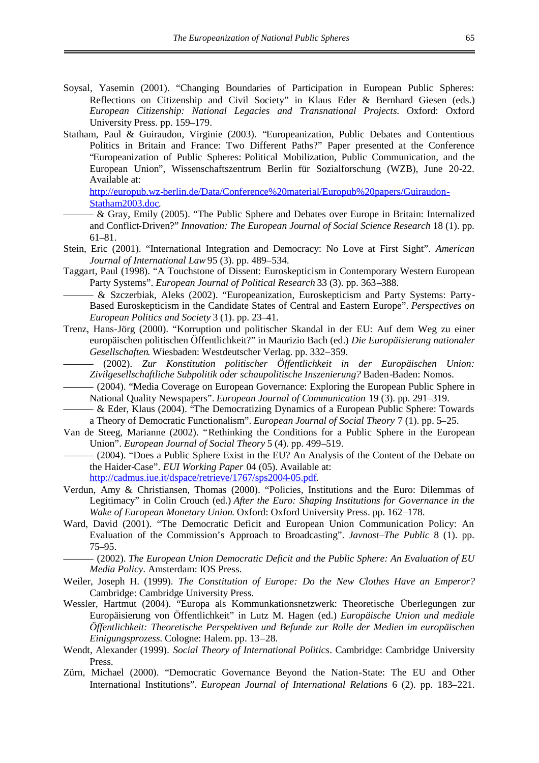- Soysal, Yasemin (2001). "Changing Boundaries of Participation in European Public Spheres: Reflections on Citizenship and Civil Society" in Klaus Eder & Bernhard Giesen (eds.) *European Citizenship: National Legacies and Transnational Projects*. Oxford: Oxford University Press. pp. 159–179.
- Statham, Paul & Guiraudon, Virginie (2003). "Europeanization, Public Debates and Contentious Politics in Britain and France: Two Different Paths?" Paper presented at the Conference "Europeanization of Public Spheres: Political Mobilization, Public Communication, and the European Union", Wissenschaftszentrum Berlin für Sozialforschung (WZB), June 20-22. Available at:

[http://europub.wz-berlin.de/Data/Conference%20material/Europub%20papers/Guiraudon-](http://europub.wz-berlin.de/Data/Conference material/Europub papers/Guiraudon-Statham2003.doc)[Statham2003.doc.](http://europub.wz-berlin.de/Data/Conference material/Europub papers/Guiraudon-Statham2003.doc)

- ——— & Gray, Emily (2005). "The Public Sphere and Debates over Europe in Britain: Internalized and Conflict-Driven?" *Innovation: The European Journal of Social Science Research* 18 (1). pp. 61–81.
- Stein, Eric (2001). "International Integration and Democracy: No Love at First Sight". *American Journal of International Law* 95 (3). pp. 489–534.
- Taggart, Paul (1998). "A Touchstone of Dissent: Euroskepticism in Contemporary Western European Party Systems". *European Journal of Political Research* 33 (3). pp. 363–388.
	- ——— & Szczerbiak, Aleks (2002). "Europeanization, Euroskepticism and Party Systems: Party-Based Euroskepticism in the Candidate States of Central and Eastern Europe". *Perspectives on European Politics and Society* 3 (1). pp. 23–41.
- Trenz, Hans-Jörg (2000). "Korruption und politischer Skandal in der EU: Auf dem Weg zu einer europäischen politischen Öffentlichkeit?" in Maurizio Bach (ed.) *Die Europäisierung nationaler Gesellschaften*. Wiesbaden: Westdeutscher Verlag. pp. 332–359.
	- ——— (2002). *Zur Konstitution politischer Öffentlichkeit in der Europäischen Union: Zivilgesellschaftliche Subpolitik oder schaupolitische Inszenierung?* Baden-Baden: Nomos.
- ——— (2004). "Media Coverage on European Governance: Exploring the European Public Sphere in National Quality Newspapers". *European Journal of Communication* 19 (3). pp. 291–319.
- ——— & Eder, Klaus (2004). "The Democratizing Dynamics of a European Public Sphere: Towards a Theory of Democratic Functionalism". *European Journal of Social Theory* 7 (1). pp. 5–25.
- Van de Steeg, Marianne (2002). "Rethinking the Conditions for a Public Sphere in the European Union". *European Journal of Social Theory* 5 (4). pp. 499–519.
- ——— (2004). "Does a Public Sphere Exist in the EU? An Analysis of the Content of the Debate on the Haider-Case". *EUI Working Paper* 04 (05). Available at: [http://cadmus.iue.it/dspace/retrieve/1767/sps2004-05.pdf.](http://cadmus.iue.it/dspace/retrieve/1767/sps2004-05.pdf)
- Verdun, Amy & Christiansen, Thomas (2000). "Policies, Institutions and the Euro: Dilemmas of Legitimacy" in Colin Crouch (ed.) *After the Euro: Shaping Institutions for Governance in the Wake of European Monetary Union*. Oxford: Oxford University Press. pp. 162–178.
- Ward, David (2001). "The Democratic Deficit and European Union Communication Policy: An Evaluation of the Commission's Approach to Broadcasting". *Javnost–The Public* 8 (1). pp. 75–95.
- ——— (2002). *The European Union Democratic Deficit and the Public Sphere: An Evaluation of EU Media Policy*. Amsterdam: IOS Press.
- Weiler, Joseph H. (1999). *The Constitution of Europe: Do the New Clothes Have an Emperor?* Cambridge: Cambridge University Press.
- Wessler, Hartmut (2004). "Europa als Kommunkationsnetzwerk: Theoretische Überlegungen zur Europäisierung von Öffentlichkeit" in Lutz M. Hagen (ed.) *Europäische Union und mediale Öffentlichkeit: Theoretische Perspektiven und Befunde zur Rolle der Medien im europäischen Einigungsprozess.* Cologne: Halem. pp. 13–28.
- Wendt, Alexander (1999). *Social Theory of International Politics*. Cambridge: Cambridge University Press.
- Zürn, Michael (2000). "Democratic Governance Beyond the Nation-State: The EU and Other International Institutions". *European Journal of International Relations* 6 (2). pp. 183–221.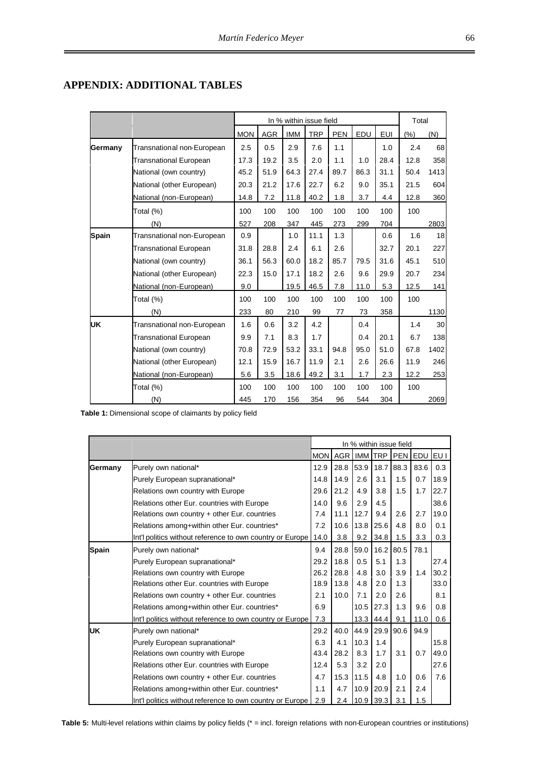## **APPENDIX: ADDITIONAL TABLES**

|              |                               |            | In % within issue field |            |            |            |      |            |      |      |  |  |  |  |
|--------------|-------------------------------|------------|-------------------------|------------|------------|------------|------|------------|------|------|--|--|--|--|
|              |                               | <b>MON</b> | <b>AGR</b>              | <b>IMM</b> | <b>TRP</b> | <b>PEN</b> | EDU  | <b>EUI</b> | (%)  | (N)  |  |  |  |  |
| Germany      | Transnational non-European    | 2.5        | 0.5                     | 2.9        | 7.6        | 1.1        |      | 1.0        | 2.4  | 68   |  |  |  |  |
|              | Transnational European        | 17.3       | 19.2                    | 3.5        | 2.0        | 1.1        | 1.0  | 28.4       | 12.8 | 358  |  |  |  |  |
|              | National (own country)        | 45.2       | 51.9                    | 64.3       | 27.4       | 89.7       | 86.3 | 31.1       | 50.4 | 1413 |  |  |  |  |
|              | National (other European)     | 20.3       | 21.2                    | 17.6       | 22.7       | 6.2        | 9.0  | 35.1       | 21.5 | 604  |  |  |  |  |
|              | National (non-European)       | 14.8       | 7.2                     | 11.8       | 40.2       | 1.8        | 3.7  | 4.4        | 12.8 | 360  |  |  |  |  |
|              | Total (%)                     | 100        | 100                     | 100        | 100        | 100        | 100  | 100        | 100  |      |  |  |  |  |
|              | (N)                           | 527        | 208                     | 347        | 445        | 273        | 299  | 704        |      | 2803 |  |  |  |  |
| <b>Spain</b> | Transnational non-European    | 0.9        |                         | 1.0        | 11.1       | 1.3        |      | 0.6        | 1.6  | 18   |  |  |  |  |
|              | <b>Transnational European</b> | 31.8       | 28.8                    | 2.4        | 6.1        | 2.6        |      | 32.7       | 20.1 | 227  |  |  |  |  |
|              | National (own country)        | 36.1       | 56.3                    | 60.0       | 18.2       | 85.7       | 79.5 | 31.6       | 45.1 | 510  |  |  |  |  |
|              | National (other European)     | 22.3       | 15.0                    | 17.1       | 18.2       | 2.6        | 9.6  | 29.9       | 20.7 | 234  |  |  |  |  |
|              | National (non-European)       | 9.0        |                         | 19.5       | 46.5       | 7.8        | 11.0 | 5.3        | 12.5 | 141  |  |  |  |  |
|              | Total (%)                     | 100        | 100                     | 100        | 100        | 100        | 100  | 100        | 100  |      |  |  |  |  |
|              | (N)                           | 233        | 80                      | 210        | 99         | 77         | 73   | 358        |      | 1130 |  |  |  |  |
| UK           | Transnational non-European    | 1.6        | 0.6                     | 3.2        | 4.2        |            | 0.4  |            | 1.4  | 30   |  |  |  |  |
|              | Transnational European        | 9.9        | 7.1                     | 8.3        | 1.7        |            | 0.4  | 20.1       | 6.7  | 138  |  |  |  |  |
|              | National (own country)        | 70.8       | 72.9                    | 53.2       | 33.1       | 94.8       | 95.0 | 51.0       | 67.8 | 1402 |  |  |  |  |
|              | National (other European)     | 12.1       | 15.9                    | 16.7       | 11.9       | 2.1        | 2.6  | 26.6       | 11.9 | 246  |  |  |  |  |
|              | National (non-European)       | 5.6        | 3.5                     | 18.6       | 49.2       | 3.1        | 1.7  | 2.3        | 12.2 | 253  |  |  |  |  |
|              | Total (%)                     | 100        | 100                     | 100        | 100        | 100        | 100  | 100        | 100  |      |  |  |  |  |
|              | (N)                           | 445        | 170                     | 156        | 354        | 96         | 544  | 304        |      | 2069 |  |  |  |  |

**Table 1:** Dimensional scope of claimants by policy field

|              |                                                           | In % within issue field |             |           |      |      |      |      |  |  |
|--------------|-----------------------------------------------------------|-------------------------|-------------|-----------|------|------|------|------|--|--|
|              |                                                           | <b>MON</b>              | AGR IMM TRP |           |      | PEN  | EDU  | EU I |  |  |
| Germany      | Purely own national*                                      | 12.9                    | 28.8        | 53.9      | 18.7 | 88.3 | 83.6 | 0.3  |  |  |
|              | Purely European supranational*                            | 14.8                    | 14.9        | 2.6       | 3.1  | 1.5  | 0.7  | 18.9 |  |  |
|              | Relations own country with Europe                         | 29.6                    | 21.2        | 4.9       | 3.8  | 1.5  | 1.7  | 22.7 |  |  |
|              | Relations other Eur. countries with Europe                | 14.0                    | 9.6         | 2.9       | 4.5  |      |      | 38.6 |  |  |
|              | Relations own country + other Eur. countries              | 7.4                     | 11.1        | 12.7      | 9.4  | 2.6  | 2.7  | 19.0 |  |  |
|              | Relations among+within other Eur. countries*              | 7.2                     | 10.6        | 13.8      | 25.6 | 4.8  | 8.0  | 0.1  |  |  |
|              | Int'l politics without reference to own country or Europe | 14.0                    | 3.8         | 9.2       | 34.8 | 1.5  | 3.3  | 0.3  |  |  |
| <b>Spain</b> | Purely own national*                                      | 9.4                     | 28.8        | 59.0      | 16.2 | 80.5 | 78.1 |      |  |  |
|              | Purely European supranational*                            | 29.2                    | 18.8        | 0.5       | 5.1  | 1.3  |      | 27.4 |  |  |
|              | Relations own country with Europe                         | 26.2                    | 28.8        | 4.8       | 3.0  | 3.9  | 1.4  | 30.2 |  |  |
|              | Relations other Eur. countries with Europe                | 18.9                    | 13.8        | 4.8       | 2.0  | 1.3  |      | 33.0 |  |  |
|              | Relations own country + other Eur. countries              | 2.1                     | 10.0        | 7.1       | 2.0  | 2.6  |      | 8.1  |  |  |
|              | Relations among+within other Eur. countries*              | 6.9                     |             | 10.5      | 27.3 | 1.3  | 9.6  | 0.8  |  |  |
|              | Int'l politics without reference to own country or Europe | 7.3                     |             | 13.3      | 44.4 | 9.1  | 11.0 | 0.6  |  |  |
| UK           | Purely own national*                                      | 29.2                    | 40.0        | 44.9      | 29.9 | 90.6 | 94.9 |      |  |  |
|              | Purely European supranational*                            | 6.3                     | 4.1         | 10.3      | 1.4  |      |      | 15.8 |  |  |
|              | Relations own country with Europe                         | 43.4                    | 28.2        | 8.3       | 1.7  | 3.1  | 0.7  | 49.0 |  |  |
|              | Relations other Eur. countries with Europe                | 12.4                    | 5.3         | 3.2       | 2.0  |      |      | 27.6 |  |  |
|              | Relations own country + other Eur. countries              | 4.7                     | 15.3        | 11.5      | 4.8  | 1.0  | 0.6  | 7.6  |  |  |
|              | Relations among+within other Eur. countries*              | 1.1                     | 4.7         | 10.9      | 20.9 | 2.1  | 2.4  |      |  |  |
|              | Int'l politics without reference to own country or Europe | 2.9                     | 2.4         | 10.9 39.3 |      | 3.1  | 1.5  |      |  |  |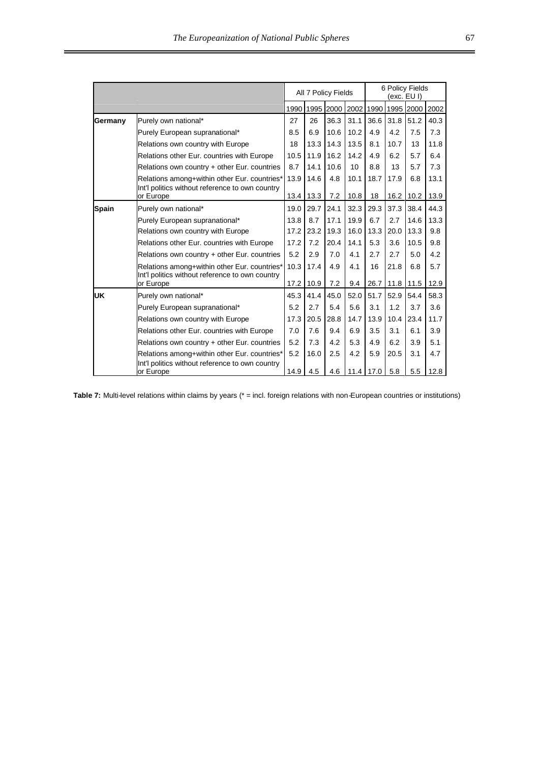|         |                                                                                                 |      |      | All 7 Policy Fields |           | 6 Policy Fields<br>(exc. EU I) |                |           |      |  |  |  |
|---------|-------------------------------------------------------------------------------------------------|------|------|---------------------|-----------|--------------------------------|----------------|-----------|------|--|--|--|
|         |                                                                                                 | 1990 |      | 1995 2000 2002      |           | 1990                           |                | 1995 2000 | 2002 |  |  |  |
| Germany | Purely own national*                                                                            | 27   | 26   | 36.3                | 31.1      | 36.6                           | 31.8           | 51.2      | 40.3 |  |  |  |
|         | Purely European supranational*                                                                  | 8.5  | 6.9  | 10.6                | 10.2      | 4.9                            | 4.2            | 7.5       | 7.3  |  |  |  |
|         | Relations own country with Europe                                                               | 18   | 13.3 | 14.3                | 13.5      | 8.1                            | 10.7           | 13        | 11.8 |  |  |  |
|         | Relations other Eur. countries with Europe                                                      | 10.5 | 11.9 | 16.2                | 14.2      | 4.9                            | 6.2            | 5.7       | 6.4  |  |  |  |
|         | Relations own country + other Eur. countries                                                    | 8.7  | 14.1 | 10.6                | 10        | 8.8                            | 13             | 5.7       | 7.3  |  |  |  |
|         | Relations among+within other Eur. countries*                                                    | 13.9 | 14.6 | 4.8                 | 10.1      | 18.7                           | 17.9           | 6.8       | 13.1 |  |  |  |
|         | Int'l politics without reference to own country<br>or Europe                                    | 13.4 | 13.3 | 7.2                 | 10.8      | 18                             | 16.2           | 10.2      | 13.9 |  |  |  |
| Spain   | Purely own national*                                                                            | 19.0 | 29.7 | 24.1                | 32.3      | 29.3                           | 37.3           | 38.4      | 44.3 |  |  |  |
|         | Purely European supranational*                                                                  | 13.8 | 8.7  | 17.1                | 19.9      | 6.7                            | 2.7            | 14.6      | 13.3 |  |  |  |
|         | Relations own country with Europe                                                               | 17.2 | 23.2 | 19.3                | 16.0      | 13.3                           | 20.0           | 13.3      | 9.8  |  |  |  |
|         | Relations other Eur. countries with Europe                                                      | 17.2 | 7.2  | 20.4                | 14.1      | 5.3                            | 3.6            | 10.5      | 9.8  |  |  |  |
|         | Relations own country + other Eur. countries                                                    | 5.2  | 2.9  | 7.0                 | 4.1       | 2.7                            | 2.7            | 5.0       | 4.2  |  |  |  |
|         | Relations among+within other Eur. countries*<br>Int'l politics without reference to own country | 10.3 | 17.4 | 4.9                 | 4.1       | 16                             | 21.8           | 6.8       | 5.7  |  |  |  |
|         | or Europe                                                                                       | 17.2 | 10.9 | 7.2                 | 9.4       |                                | 26.7 11.8 11.5 |           | 12.9 |  |  |  |
| UK      | Purely own national*                                                                            | 45.3 | 41.4 | 45.0                | 52.0      | 51.7                           | 52.9           | 54.4      | 58.3 |  |  |  |
|         | Purely European supranational*                                                                  | 5.2  | 2.7  | 5.4                 | 5.6       | 3.1                            | 1.2            | 3.7       | 3.6  |  |  |  |
|         | Relations own country with Europe                                                               | 17.3 | 20.5 | 28.8                | 14.7      | 13.9                           | 10.4           | 23.4      | 11.7 |  |  |  |
|         | Relations other Eur. countries with Europe                                                      | 7.0  | 7.6  | 9.4                 | 6.9       | 3.5                            | 3.1            | 6.1       | 3.9  |  |  |  |
|         | Relations own country + other Eur. countries                                                    | 5.2  | 7.3  | 4.2                 | 5.3       | 4.9                            | 6.2            | 3.9       | 5.1  |  |  |  |
|         | Relations among+within other Eur. countries*                                                    | 5.2  | 16.0 | 2.5                 | 4.2       | 5.9                            | 20.5           | 3.1       | 4.7  |  |  |  |
|         | Int'l politics without reference to own country<br>or Europe                                    | 14.9 | 4.5  | 4.6                 | 11.4 17.0 |                                | 5.8            | 5.5       | 12.8 |  |  |  |

Table 7: Multi-level relations within claims by years (\* = incl. foreign relations with non-European countries or institutions)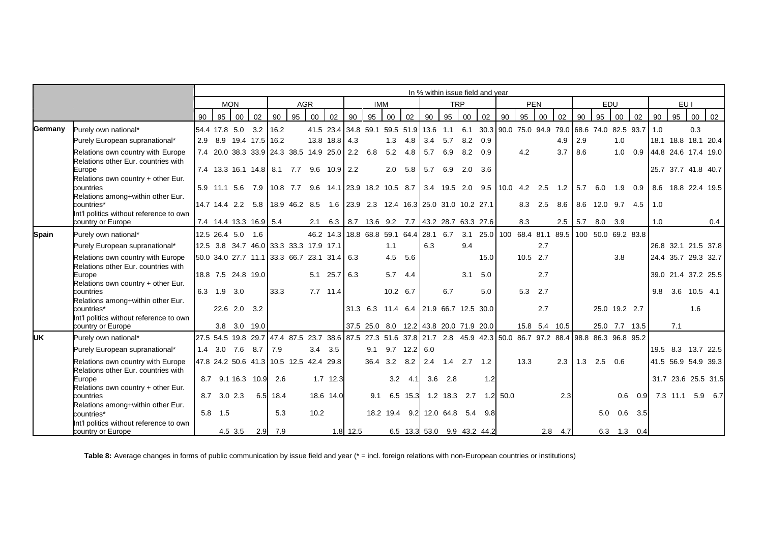|              |                                                              | In % within issue field and year |                   |              |                        |                                                                                         |            |      |               |            |                                                                                          |              |                 |     |            |                 |                                 |                       |            |            |               |     |                   |               |                                                      |     |      |                                    |     |
|--------------|--------------------------------------------------------------|----------------------------------|-------------------|--------------|------------------------|-----------------------------------------------------------------------------------------|------------|------|---------------|------------|------------------------------------------------------------------------------------------|--------------|-----------------|-----|------------|-----------------|---------------------------------|-----------------------|------------|------------|---------------|-----|-------------------|---------------|------------------------------------------------------|-----|------|------------------------------------|-----|
|              |                                                              |                                  |                   | <b>MON</b>   |                        |                                                                                         | <b>AGR</b> |      |               |            | <b>IMM</b>                                                                               |              |                 |     | <b>TRP</b> |                 |                                 |                       |            | <b>PEN</b> |               |     | EDU               |               |                                                      |     | EU I |                                    |     |
|              |                                                              | 90                               | 95                | 00           | 02                     | 90                                                                                      | 95         | 00   | 02            | 90         | 95                                                                                       | 00           | 02              | 90  | 95         | 00              | 02                              | 90                    | 95         | 00         | 02            | 90  | 95                | 00            | 02                                                   | 90  | 95   | 00                                 | 02  |
| Germany      | Purely own national*                                         |                                  |                   |              | 54.4 17.8 5.0 3.2 16.2 |                                                                                         |            |      |               |            | 41.5 23.4 34.8 59.1 59.5 51.9 13.6                                                       |              |                 |     | 1.1        |                 |                                 |                       |            |            |               |     |                   |               | 6.1 30.3 90.0 75.0 94.9 79.0 68.6 74.0 82.5 93.7 1.0 |     |      | 0.3                                |     |
|              | Purely European supranational*                               |                                  |                   |              | 2.9 8.9 19.4 17.5 16.2 |                                                                                         |            |      | 13.8 18.8 4.3 |            |                                                                                          | 1.3          | 4.8             | 3.4 | 5.7        | 8.2             | 0.9                             |                       |            |            | 4.9           | 2.9 |                   | 1.0           |                                                      |     |      | 18.1 18.8 18.1 20.4                |     |
|              | Relations own country with Europe                            |                                  |                   |              |                        | 7.4 20.0 38.3 33.9 24.3 38.5 14.9 25.0 2.2 6.8                                          |            |      |               |            |                                                                                          | $5.2$ 4.8    |                 | 5.7 | 6.9        | 8.2             | 0.9                             |                       | 4.2        |            | 3.7           | 8.6 |                   | 1.0           |                                                      |     |      | 0.9 44.8 24.6 17.4 19.0            |     |
|              | Relations other Eur, countries with                          |                                  |                   |              |                        |                                                                                         |            |      |               |            |                                                                                          |              |                 |     |            |                 |                                 |                       |            |            |               |     |                   |               |                                                      |     |      |                                    |     |
|              | Europe<br>Relations own country + other Eur.                 |                                  |                   |              |                        | 7.4 13.3 16.1 14.8 8.1 7.7 9.6 10.9 2.2                                                 |            |      |               |            |                                                                                          | $2.0$ 5.8    |                 |     | 5.7 6.9    | $2.0$ 3.6       |                                 |                       |            |            |               |     |                   |               |                                                      |     |      | 25.7 37.7 41.8 40.7                |     |
|              | countries                                                    |                                  |                   |              |                        | 5.9 11.1 5.6 7.9 10.8 7.7 9.6 14.1 23.9 18.2 10.5 8.7 3.4 19.5 2.0 9.5 10.0 4.2 2.5 1.2 |            |      |               |            |                                                                                          |              |                 |     |            |                 |                                 |                       |            |            |               |     |                   |               |                                                      |     |      | 5.7 6.0 1.9 0.9 8.6 18.8 22.4 19.5 |     |
|              | Relations among+within other Eur.                            |                                  |                   |              |                        |                                                                                         |            |      |               |            |                                                                                          |              |                 |     |            |                 |                                 |                       |            |            |               |     |                   |               |                                                      |     |      |                                    |     |
|              | countries*<br>Int'l politics without reference to own        |                                  |                   |              |                        | 14.7 14.4 2.2 5.8 18.9 46.2 8.5 1.6 23.9 2.3 12.4 16.3 25.0 31.0 10.2 27.1              |            |      |               |            |                                                                                          |              |                 |     |            |                 |                                 |                       |            |            | 8.3 2.5 8.6   |     |                   |               | 8.6 12.0 9.7 4.5                                     | 1.0 |      |                                    |     |
|              | country or Europe                                            |                                  |                   |              | 7.4 14.4 13.3 16.9 5.4 |                                                                                         |            |      |               |            | 2.1 6.3 8.7 13.6 9.2 7.7 43.2 28.7 63.3 27.6                                             |              |                 |     |            |                 |                                 |                       | 8.3        |            | 2.5           |     | 5.7 8.0 3.9       |               |                                                      | 1.0 |      |                                    | 0.4 |
| <b>Spain</b> | Purely own national*                                         |                                  | 12.5 26.4 5.0 1.6 |              |                        |                                                                                         |            |      |               |            | 46.2 14.3 18.8 68.8 59.1 64.4 28.1 6.7 3.1 25.0 100 68.4 81.1 89.5 100 50.0 69.2 83.8    |              |                 |     |            |                 |                                 |                       |            |            |               |     |                   |               |                                                      |     |      |                                    |     |
|              | Purely European supranational*                               |                                  |                   |              |                        | 12.5 3.8 34.7 46.0 33.3 33.3 17.9 17.1                                                  |            |      |               |            |                                                                                          | 1.1          |                 | 6.3 |            | 9.4             |                                 |                       |            | 2.7        |               |     |                   |               |                                                      |     |      | 26.8 32.1 21.5 37.8                |     |
|              | Relations own country with Europe                            |                                  |                   |              |                        | 50.0 34.0 27.7 11.1 33.3 66.7 23.1 31.4 6.3                                             |            |      |               |            |                                                                                          |              | 4.5 5.6         |     |            |                 | 15.0                            |                       | $10.5$ 2.7 |            |               |     |                   | 3.8           |                                                      |     |      | 24.4 35.7 29.3 32.7                |     |
|              | Relations other Eur. countries with                          |                                  |                   |              |                        |                                                                                         |            |      |               |            |                                                                                          |              |                 |     |            |                 |                                 |                       |            |            |               |     |                   |               |                                                      |     |      |                                    |     |
|              | Europe                                                       |                                  |                   |              | 18.8 7.5 24.8 19.0     |                                                                                         |            |      | 5.1 25.7 6.3  |            |                                                                                          | $5.7$ 4.4    |                 |     |            | 3.1             | 5.0                             |                       |            | 2.7        |               |     |                   |               |                                                      |     |      | 39.0 21.4 37.2 25.5                |     |
|              | Relations own country + other Eur.<br>countries              |                                  | 6.3 1.9 3.0       |              |                        | 33.3                                                                                    |            |      | $7.7$ 11.4    |            |                                                                                          | 10.2 6.7     |                 |     | 6.7        |                 | 5.0                             |                       | 5.3        | 2.7        |               |     |                   |               |                                                      |     |      | 9.8 3.6 10.5 4.1                   |     |
|              | Relations among+within other Eur.                            |                                  |                   |              |                        |                                                                                         |            |      |               |            |                                                                                          |              |                 |     |            |                 |                                 |                       |            |            |               |     |                   |               |                                                      |     |      |                                    |     |
|              | countries*                                                   |                                  |                   | 22.6 2.0 3.2 |                        |                                                                                         |            |      |               |            | 31.3 6.3 11.4 6.4 21.9 66.7 12.5 30.0                                                    |              |                 |     |            |                 |                                 |                       |            | 2.7        |               |     |                   | 25.0 19.2 2.7 |                                                      |     |      | 1.6                                |     |
|              | Int'l politics without reference to own<br>country or Europe |                                  |                   |              | 3.8 3.0 19.0           |                                                                                         |            |      |               |            | 37.5 25.0 8.0 12.2 43.8 20.0 71.9 20.0                                                   |              |                 |     |            |                 |                                 |                       |            |            | 15.8 5.4 10.5 |     |                   |               | 25.0 7.7 13.5                                        |     | 7.1  |                                    |     |
| <b>UK</b>    | Purely own national*                                         |                                  |                   |              |                        | 27.5 54.5 19.8 29.7 47.4 87.5                                                           |            |      |               |            | 23.7 38.6 87.5 27.3 51.6 37.8 21.7 2.8 45.9 42.3 50.0 86.7 97.2 88.4 98.8 86.3 96.8 95.2 |              |                 |     |            |                 |                                 |                       |            |            |               |     |                   |               |                                                      |     |      |                                    |     |
|              | Purely European supranational*                               |                                  | 1.4 3.0 7.6 8.7   |              |                        | 7.9                                                                                     |            |      | $3.4$ $3.5$   |            | 9.1                                                                                      |              | $9.7$ 12.2 6.0  |     |            |                 |                                 |                       |            |            |               |     |                   |               |                                                      |     |      | 19.5 8.3 13.7 22.5                 |     |
|              | Relations own country with Europe                            |                                  |                   |              |                        | 47.8 24.2 50.6 41.3 10.5 12.5 42.4 29.8                                                 |            |      |               |            |                                                                                          | 36.4 3.2 8.2 |                 |     |            | 2.4 1.4 2.7 1.2 |                                 |                       | 13.3       |            | 2.3           |     | $1.3$ $2.5$ $0.6$ |               |                                                      |     |      | 41.5 56.9 54.9 39.3                |     |
|              | Relations other Eur, countries with                          |                                  |                   |              |                        |                                                                                         |            |      |               |            |                                                                                          |              |                 |     |            |                 |                                 |                       |            |            |               |     |                   |               |                                                      |     |      |                                    |     |
|              | Europe                                                       |                                  |                   |              | 8.7 9.1 16.3 10.9      | 2.6                                                                                     |            |      | $1.7$ 12.3    |            |                                                                                          |              | $3.2 \quad 4.1$ |     | $3.6$ 2.8  |                 | 1.2                             |                       |            |            |               |     |                   |               |                                                      |     |      | 31.7 23.6 25.5 31.5                |     |
|              | Relations own country + other Eur.                           |                                  |                   |              |                        |                                                                                         |            |      |               |            | 9.1                                                                                      |              |                 |     |            |                 |                                 |                       |            |            |               |     |                   |               |                                                      |     |      |                                    |     |
|              | countries<br>Relations among+within other Eur.               |                                  | 8.7 3.0 2.3       |              |                        | $6.5$ 18.4                                                                              |            |      | 18.6 14.0     |            |                                                                                          |              | 6.5 15.3        |     |            |                 |                                 | 1.2 18.3 2.7 1.2 50.0 |            |            | 2.3           |     |                   | 0.6           | 0.9                                                  |     |      | 7.3 11.1 5.9 6.7                   |     |
|              | countries*                                                   |                                  | $5.8$ 1.5         |              |                        | 5.3                                                                                     |            | 10.2 |               |            |                                                                                          |              |                 |     |            |                 | 18.2 19.4 9.2 12.0 64.8 5.4 9.8 |                       |            |            |               |     | 5.0               |               | $0.6$ 3.5                                            |     |      |                                    |     |
|              | Int'l politics without reference to own                      |                                  |                   |              |                        |                                                                                         |            |      |               |            |                                                                                          |              |                 |     |            |                 |                                 |                       |            |            |               |     |                   |               |                                                      |     |      |                                    |     |
|              | country or Europe                                            |                                  |                   | 4.5 3.5      |                        | $2.9$ 7.9                                                                               |            |      |               | $1.8$ 12.5 |                                                                                          |              |                 |     |            |                 | 6.5 13.3 53.0 9.9 43.2 44.2     |                       |            |            | $2.8$ 4.7     |     |                   |               | 6.3 1.3 0.4                                          |     |      |                                    |     |

Table 8: Average changes in forms of public communication by issue field and year (\* = incl. foreign relations with non-European countries or institutions)